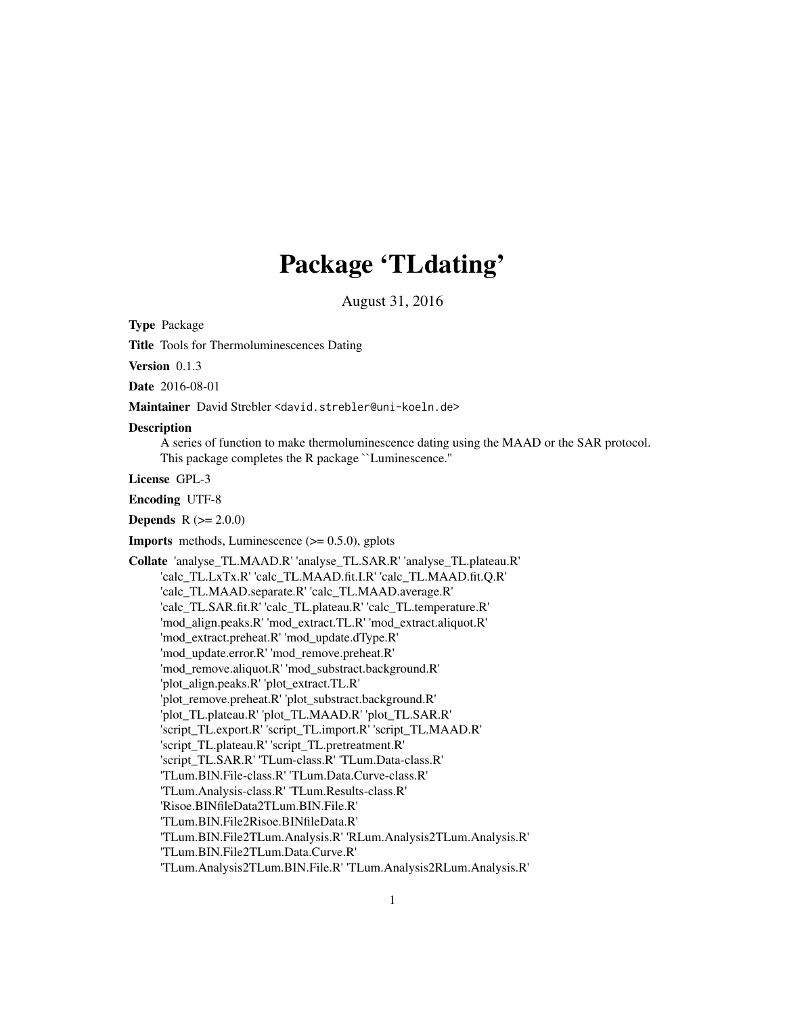# Package 'TLdating'

August 31, 2016

<span id="page-0-0"></span>Type Package

Title Tools for Thermoluminescences Dating

Version 0.1.3

Date 2016-08-01

Maintainer David Strebler <david.strebler@uni-koeln.de>

#### **Description**

A series of function to make thermoluminescence dating using the MAAD or the SAR protocol. This package completes the R package ``Luminescence.''

License GPL-3

Encoding UTF-8

**Depends**  $R (= 2.0.0)$ 

**Imports** methods, Luminescence  $(>= 0.5.0)$ , gplots

Collate 'analyse\_TL.MAAD.R' 'analyse\_TL.SAR.R' 'analyse\_TL.plateau.R' 'calc\_TL.LxTx.R' 'calc\_TL.MAAD.fit.I.R' 'calc\_TL.MAAD.fit.Q.R' 'calc\_TL.MAAD.separate.R' 'calc\_TL.MAAD.average.R' 'calc\_TL.SAR.fit.R' 'calc\_TL.plateau.R' 'calc\_TL.temperature.R' 'mod\_align.peaks.R' 'mod\_extract.TL.R' 'mod\_extract.aliquot.R' 'mod\_extract.preheat.R' 'mod\_update.dType.R' 'mod\_update.error.R' 'mod\_remove.preheat.R' 'mod\_remove.aliquot.R' 'mod\_substract.background.R' 'plot\_align.peaks.R' 'plot\_extract.TL.R' 'plot\_remove.preheat.R' 'plot\_substract.background.R' 'plot\_TL.plateau.R' 'plot\_TL.MAAD.R' 'plot\_TL.SAR.R' 'script\_TL.export.R' 'script\_TL.import.R' 'script\_TL.MAAD.R' 'script\_TL.plateau.R' 'script\_TL.pretreatment.R' 'script\_TL.SAR.R' 'TLum-class.R' 'TLum.Data-class.R' 'TLum.BIN.File-class.R' 'TLum.Data.Curve-class.R' 'TLum.Analysis-class.R' 'TLum.Results-class.R' 'Risoe.BINfileData2TLum.BIN.File.R' 'TLum.BIN.File2Risoe.BINfileData.R' 'TLum.BIN.File2TLum.Analysis.R' 'RLum.Analysis2TLum.Analysis.R' 'TLum.BIN.File2TLum.Data.Curve.R' 'TLum.Analysis2TLum.BIN.File.R' 'TLum.Analysis2RLum.Analysis.R'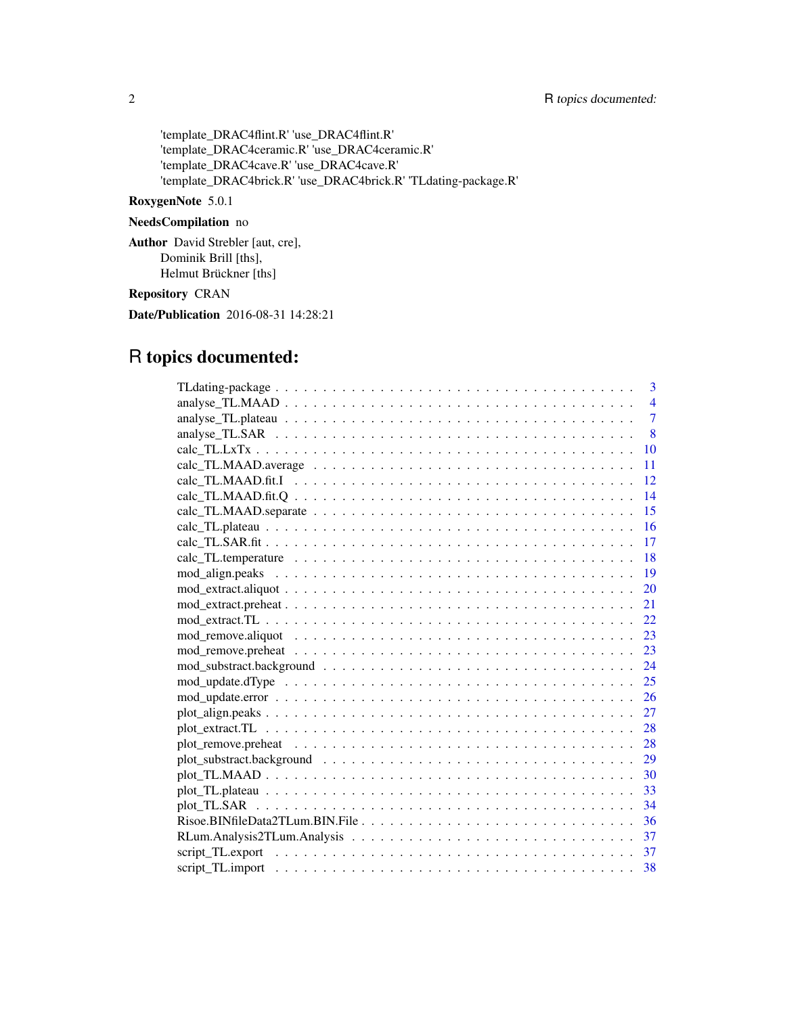'template\_DRAC4flint.R' 'use\_DRAC4flint.R' 'template\_DRAC4ceramic.R' 'use\_DRAC4ceramic.R' 'template\_DRAC4cave.R' 'use\_DRAC4cave.R' 'template\_DRAC4brick.R' 'use\_DRAC4brick.R' 'TLdating-package.R'

### RoxygenNote 5.0.1

## NeedsCompilation no

Author David Strebler [aut, cre], Dominik Brill [ths], Helmut Brückner [ths]

Repository CRAN

Date/Publication 2016-08-31 14:28:21

## R topics documented:

| 3                                                                                                                                      |
|----------------------------------------------------------------------------------------------------------------------------------------|
| $\overline{4}$                                                                                                                         |
| $\overline{7}$                                                                                                                         |
| 8                                                                                                                                      |
| 10                                                                                                                                     |
| 11                                                                                                                                     |
| 12                                                                                                                                     |
| 14                                                                                                                                     |
| 15                                                                                                                                     |
| 16                                                                                                                                     |
| 17                                                                                                                                     |
| -18                                                                                                                                    |
| 19                                                                                                                                     |
| 20                                                                                                                                     |
| 21                                                                                                                                     |
|                                                                                                                                        |
| 23                                                                                                                                     |
| 23                                                                                                                                     |
| 24                                                                                                                                     |
| $\text{mod\_update}.dType \dots \dots \dots \dots \dots \dots \dots \dots \dots \dots \dots \dots \dots \dots \dots \dots \dots \dots$ |
| 26                                                                                                                                     |
| 27                                                                                                                                     |
|                                                                                                                                        |
| 28                                                                                                                                     |
| 29                                                                                                                                     |
|                                                                                                                                        |
|                                                                                                                                        |
|                                                                                                                                        |
|                                                                                                                                        |
|                                                                                                                                        |
|                                                                                                                                        |
|                                                                                                                                        |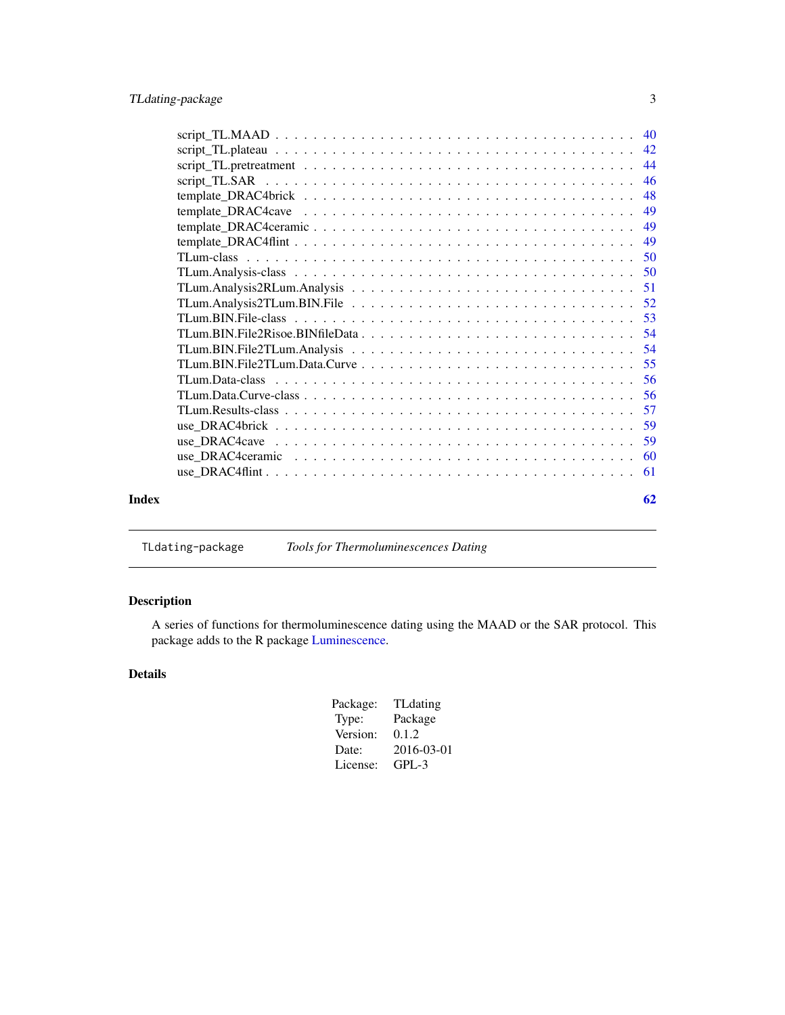<span id="page-2-0"></span>

|       | 46 |
|-------|----|
|       | 48 |
|       |    |
|       |    |
|       |    |
|       |    |
|       |    |
|       |    |
|       |    |
|       |    |
|       |    |
|       |    |
|       |    |
|       |    |
|       |    |
|       |    |
|       |    |
|       |    |
|       |    |
|       |    |
| Index | 62 |
|       |    |

TLdating-package *Tools for Thermoluminescences Dating*

### Description

A series of functions for thermoluminescence dating using the MAAD or the SAR protocol. This package adds to the R package [Luminescence.](#page-0-0)

### Details

| Package: | <b>TL</b> dating |
|----------|------------------|
| Type:    | Package          |
| Version: | 0.1.2            |
| Date:    | 2016-03-01       |
| License: | GPL-3            |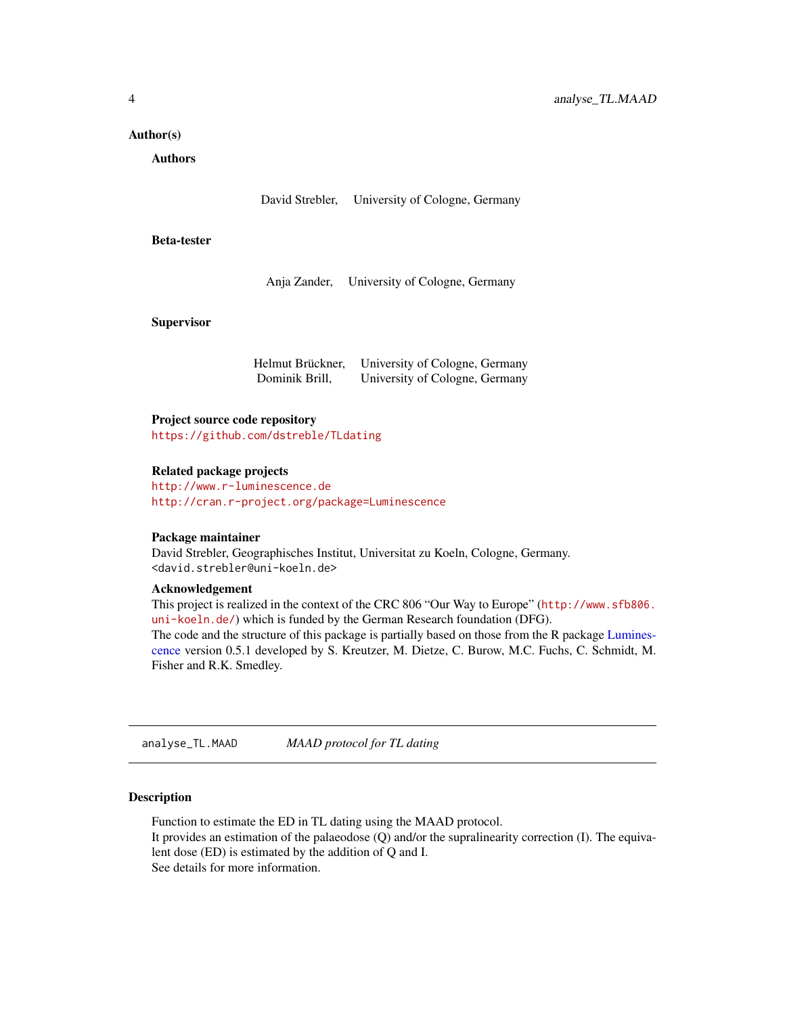#### <span id="page-3-0"></span>Author(s)

Authors

David Strebler, University of Cologne, Germany

#### Beta-tester

Anja Zander, University of Cologne, Germany

#### **Supervisor**

Helmut Brückner, University of Cologne, Germany Dominik Brill, University of Cologne, Germany

#### Project source code repository

<https://github.com/dstreble/TLdating>

#### Related package projects

<http://www.r-luminescence.de> <http://cran.r-project.org/package=Luminescence>

#### Package maintainer

David Strebler, Geographisches Institut, Universitat zu Koeln, Cologne, Germany. <david.strebler@uni-koeln.de>

#### Acknowledgement

This project is realized in the context of the CRC 806 "Our Way to Europe" ([http://www.sfb806.](http://www.sfb806.uni-koeln.de/) [uni-koeln.de/](http://www.sfb806.uni-koeln.de/)) which is funded by the German Research foundation (DFG). The code and the structure of this package is partially based on those from the R package [Lumines](#page-0-0)[cence](#page-0-0) version 0.5.1 developed by S. Kreutzer, M. Dietze, C. Burow, M.C. Fuchs, C. Schmidt, M. Fisher and R.K. Smedley.

<span id="page-3-1"></span>analyse\_TL.MAAD *MAAD protocol for TL dating*

#### Description

Function to estimate the ED in TL dating using the MAAD protocol. It provides an estimation of the palaeodose (Q) and/or the supralinearity correction (I). The equivalent dose (ED) is estimated by the addition of Q and I. See details for more information.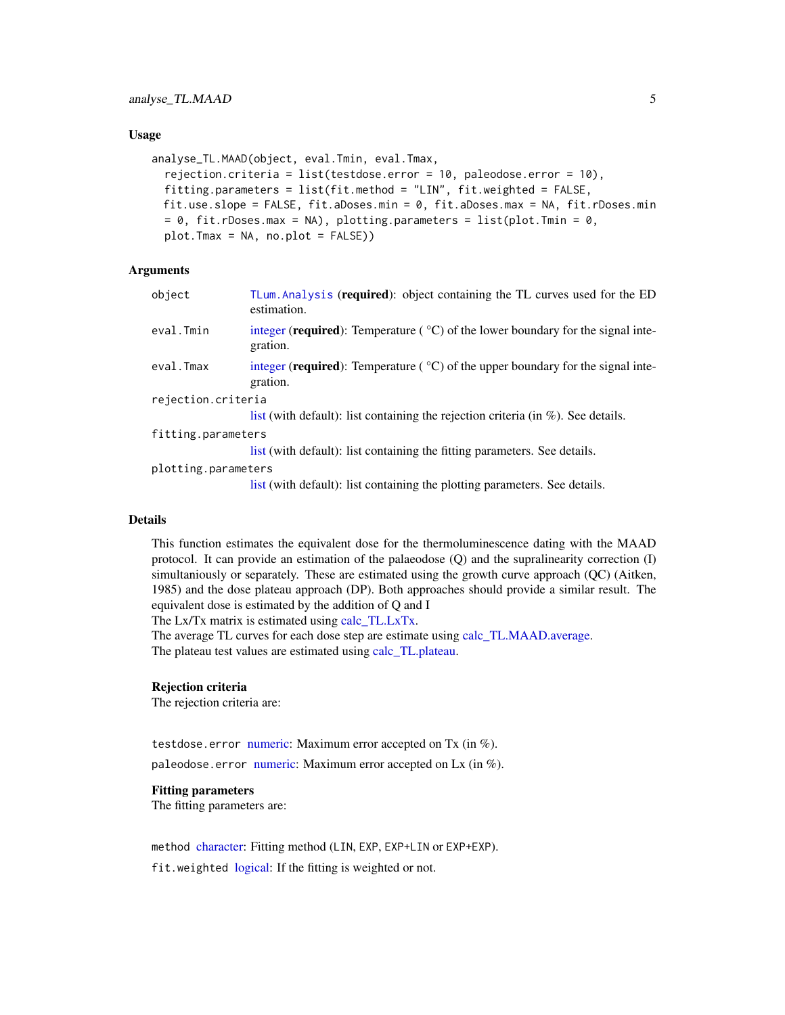#### <span id="page-4-0"></span>Usage

```
analyse_TL.MAAD(object, eval.Tmin, eval.Tmax,
  rejection.criteria = list(testdose.error = 10, paleodose.error = 10),
  fitting.parameters = list(fit.method = "LIN", fit.weighted = FALSE,
 fit.use.slope = FALSE, fit.aDoses.min = 0, fit.aDoses.max = NA, fit.rDoses.min
 = 0, fit.rDoses.max = NA), plotting.parameters = list(plot.Tmin = 0,
 plot.Tmax = NA, no.plot = FALSE))
```
#### **Arguments**

| object              | TLum. Analysis (required): object containing the TL curves used for the ED<br>estimation.                       |
|---------------------|-----------------------------------------------------------------------------------------------------------------|
| eval.Tmin           | integer ( <b>required</b> ): Temperature $({}^{\circ}C)$ of the lower boundary for the signal inte-<br>gration. |
| eval.Tmax           | integer (required): Temperature $({}^{\circ}C)$ of the upper boundary for the signal inte-<br>gration.          |
| rejection.criteria  |                                                                                                                 |
|                     | list (with default): list containing the rejection criteria (in $\%$ ). See details.                            |
| fitting.parameters  |                                                                                                                 |
|                     | list (with default): list containing the fitting parameters. See details.                                       |
| plotting.parameters |                                                                                                                 |
|                     | list (with default): list containing the plotting parameters. See details.                                      |

### Details

This function estimates the equivalent dose for the thermoluminescence dating with the MAAD protocol. It can provide an estimation of the palaeodose (Q) and the supralinearity correction (I) simultaniously or separately. These are estimated using the growth curve approach (QC) (Aitken, 1985) and the dose plateau approach (DP). Both approaches should provide a similar result. The equivalent dose is estimated by the addition of Q and I

The Lx/Tx matrix is estimated using [calc\\_TL.LxTx.](#page-9-1)

The average TL curves for each dose step are estimate using [calc\\_TL.MAAD.average.](#page-10-1) The plateau test values are estimated using [calc\\_TL.plateau.](#page-15-1)

#### Rejection criteria

The rejection criteria are:

testdose.error [numeric:](#page-0-0) Maximum error accepted on Tx (in %).

paleodose.error [numeric:](#page-0-0) Maximum error accepted on Lx (in  $%$ ).

### Fitting parameters

The fitting parameters are:

method [character:](#page-0-0) Fitting method (LIN, EXP, EXP+LIN or EXP+EXP).

fit.weighted [logical:](#page-0-0) If the fitting is weighted or not.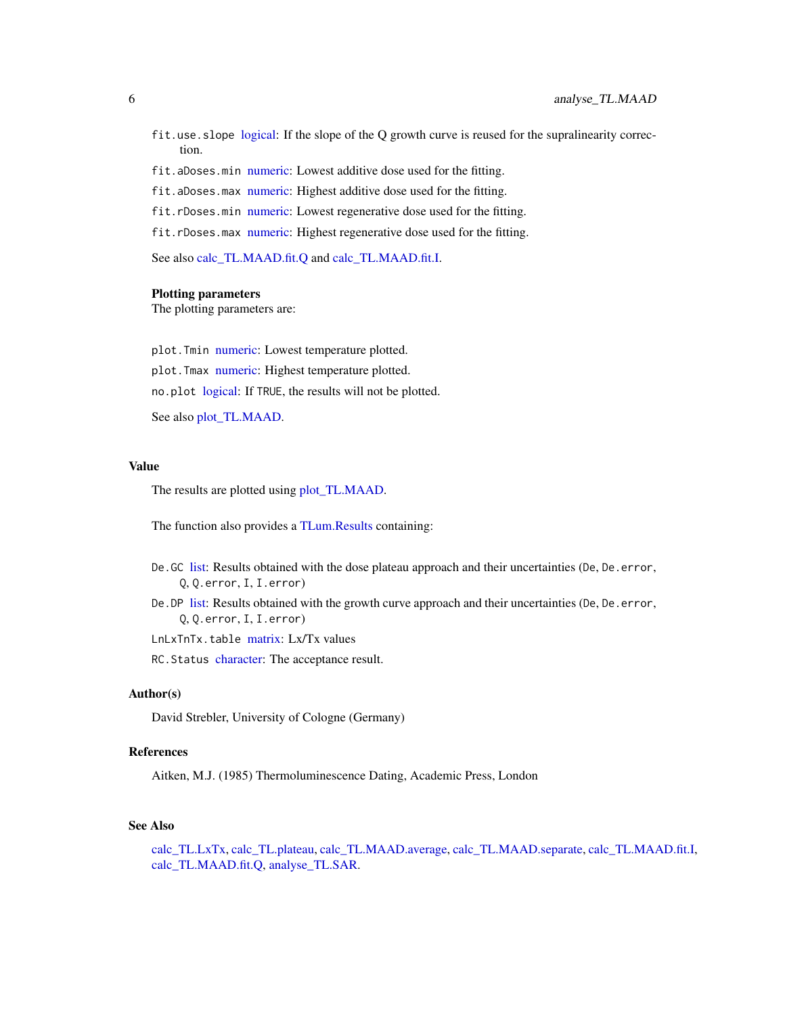- <span id="page-5-0"></span>fit.use.slope [logical:](#page-0-0) If the slope of the Q growth curve is reused for the supralinearity correction.
- fit.aDoses.min [numeric:](#page-0-0) Lowest additive dose used for the fitting.
- fit.aDoses.max [numeric:](#page-0-0) Highest additive dose used for the fitting.
- fit.rDoses.min [numeric:](#page-0-0) Lowest regenerative dose used for the fitting.
- fit.rDoses.max [numeric:](#page-0-0) Highest regenerative dose used for the fitting.

See also [calc\\_TL.MAAD.fit.Q](#page-13-1) and [calc\\_TL.MAAD.fit.I.](#page-11-1)

#### Plotting parameters

The plotting parameters are:

plot.Tmin [numeric:](#page-0-0) Lowest temperature plotted. plot.Tmax [numeric:](#page-0-0) Highest temperature plotted. no.plot [logical:](#page-0-0) If TRUE, the results will not be plotted.

See also [plot\\_TL.MAAD.](#page-29-1)

#### Value

The results are plotted using [plot\\_TL.MAAD.](#page-29-1)

The function also provides a [TLum.Results](#page-56-1) containing:

- De.GC [list:](#page-0-0) Results obtained with the dose plateau approach and their uncertainties (De, De.error, Q, Q.error, I, I.error)
- De. DP [list:](#page-0-0) Results obtained with the growth curve approach and their uncertainties (De, De. error, Q, Q.error, I, I.error)
- LnLxTnTx.table [matrix:](#page-0-0) Lx/Tx values

RC. Status [character:](#page-0-0) The acceptance result.

#### Author(s)

David Strebler, University of Cologne (Germany)

#### References

Aitken, M.J. (1985) Thermoluminescence Dating, Academic Press, London

#### See Also

[calc\\_TL.LxTx,](#page-9-1) [calc\\_TL.plateau,](#page-15-1) [calc\\_TL.MAAD.average,](#page-10-1) [calc\\_TL.MAAD.separate,](#page-14-1) [calc\\_TL.MAAD.fit.I,](#page-11-1) [calc\\_TL.MAAD.fit.Q,](#page-13-1) [analyse\\_TL.SAR.](#page-7-1)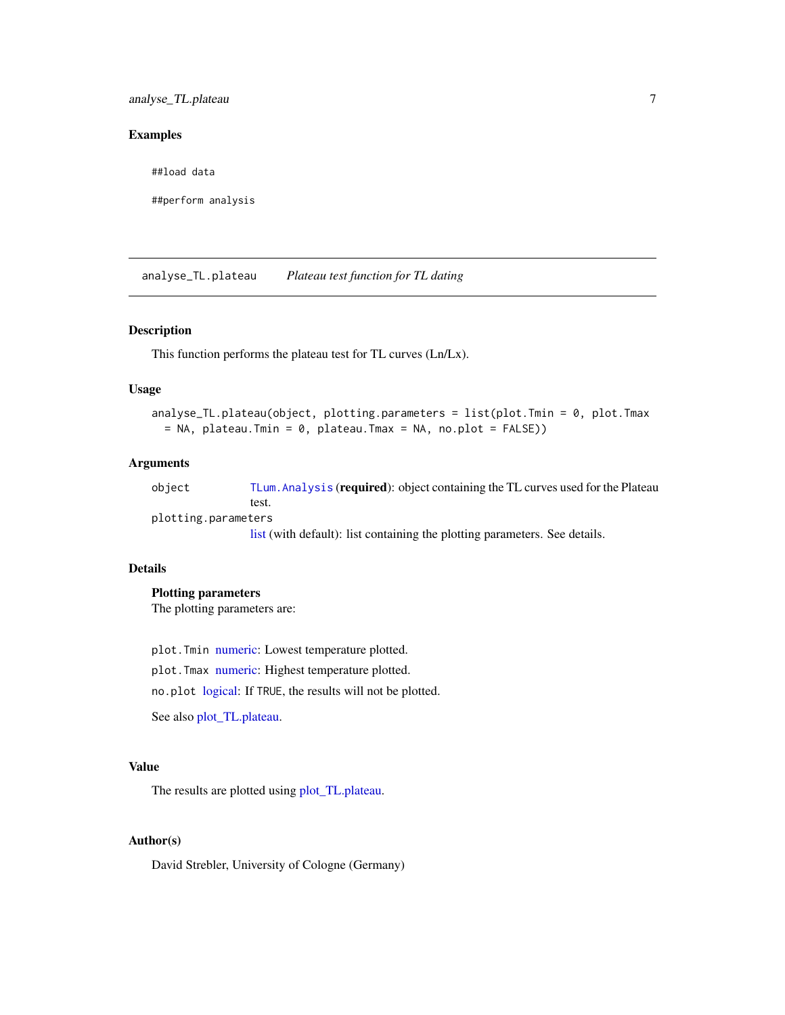### <span id="page-6-0"></span>Examples

##load data

##perform analysis

<span id="page-6-1"></span>analyse\_TL.plateau *Plateau test function for TL dating*

### Description

This function performs the plateau test for TL curves (Ln/Lx).

#### Usage

```
analyse_TL.plateau(object, plotting.parameters = list(plot.Tmin = 0, plot.Tmax
 = NA, plateau.Tmin = 0, plateau.Tmax = NA, no.plot = FALSE))
```
### Arguments

object [TLum.Analysis](#page-49-1) (required): object containing the TL curves used for the Plateau test.

plotting.parame[ters](#page-0-0)

list (with default): list containing the plotting parameters. See details.

#### Details

### Plotting parameters

The plotting parameters are:

plot.Tmin [numeric:](#page-0-0) Lowest temperature plotted. plot.Tmax [numeric:](#page-0-0) Highest temperature plotted.

no.plot [logical:](#page-0-0) If TRUE, the results will not be plotted.

See also [plot\\_TL.plateau.](#page-32-1)

### Value

The results are plotted using [plot\\_TL.plateau.](#page-32-1)

### Author(s)

David Strebler, University of Cologne (Germany)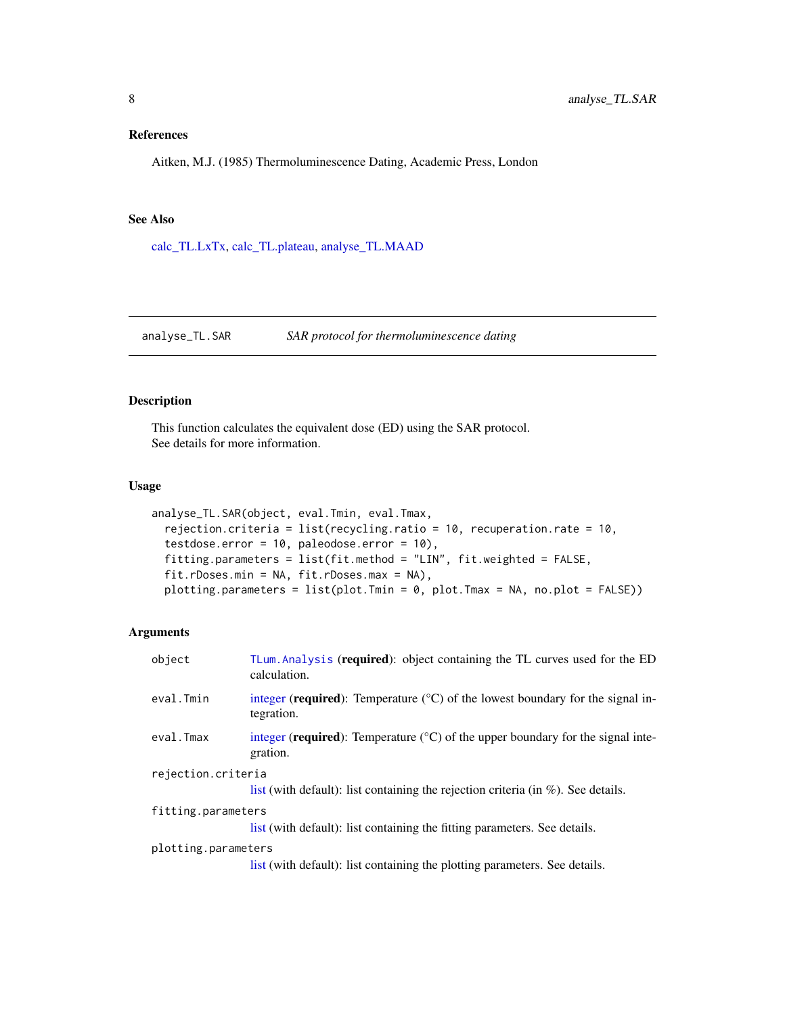### <span id="page-7-0"></span>References

Aitken, M.J. (1985) Thermoluminescence Dating, Academic Press, London

### See Also

[calc\\_TL.LxTx,](#page-9-1) [calc\\_TL.plateau,](#page-15-1) [analyse\\_TL.MAAD](#page-3-1)

### <span id="page-7-1"></span>analyse\_TL.SAR *SAR protocol for thermoluminescence dating*

### Description

This function calculates the equivalent dose (ED) using the SAR protocol. See details for more information.

### Usage

```
analyse_TL.SAR(object, eval.Tmin, eval.Tmax,
 rejection.criteria = list(recycling.ratio = 10, recuperation.rate = 10,
 testdose.error = 10, paleodose.error = 10),
 fitting.parameters = list(fit.method = "LIN", fit.weighted = FALSE,
 fit.rDoses.min = NA, fit.rDoses.max = NA),
 plotting.parameters = list(plot.Tmin = 0, plot.Tmax = NA, no.plot = FALSE))
```
#### Arguments

| object              | TLum. Analysis (required): object containing the TL curves used for the ED<br>calculation.              |
|---------------------|---------------------------------------------------------------------------------------------------------|
| eval.Tmin           | integer (required): Temperature $({}^{\circ}C)$ of the lowest boundary for the signal in-<br>tegration. |
| eval.Tmax           | integer (required): Temperature $({}^{\circ}C)$ of the upper boundary for the signal inte-<br>gration.  |
| rejection.criteria  | list (with default): list containing the rejection criteria (in $\%$ ). See details.                    |
| fitting.parameters  |                                                                                                         |
|                     | list (with default): list containing the fitting parameters. See details.                               |
| plotting.parameters | list (with default): list containing the plotting parameters. See details.                              |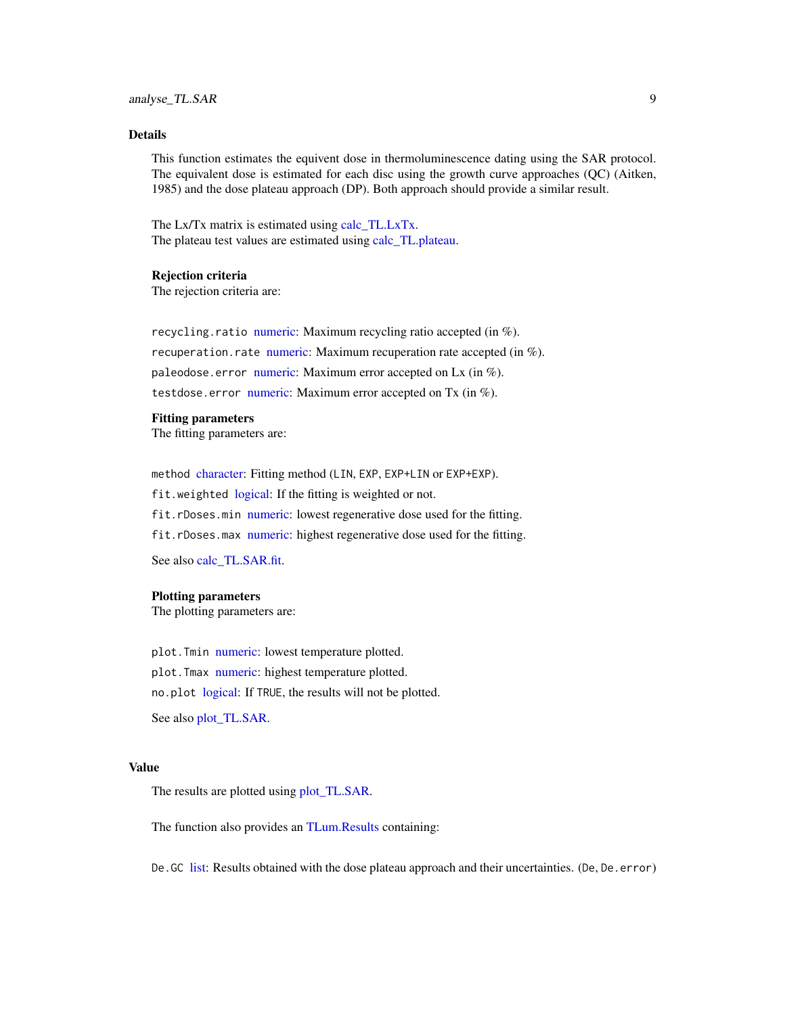### <span id="page-8-0"></span>analyse\_TL.SAR 9

### Details

This function estimates the equivent dose in thermoluminescence dating using the SAR protocol. The equivalent dose is estimated for each disc using the growth curve approaches (QC) (Aitken, 1985) and the dose plateau approach (DP). Both approach should provide a similar result.

The Lx/Tx matrix is estimated using [calc\\_TL.LxTx.](#page-9-1) The plateau test values are estimated using [calc\\_TL.plateau.](#page-15-1)

#### Rejection criteria

The rejection criteria are:

recycling.ratio [numeric:](#page-0-0) Maximum recycling ratio accepted (in  $\%$ ). recuperation.rate [numeric:](#page-0-0) Maximum recuperation rate accepted (in  $\%$ ). paleodose.error [numeric:](#page-0-0) Maximum error accepted on Lx (in  $\%$ ). testdose.error [numeric:](#page-0-0) Maximum error accepted on Tx (in %).

#### Fitting parameters

The fitting parameters are:

method [character:](#page-0-0) Fitting method (LIN, EXP, EXP+LIN or EXP+EXP). fit.weighted [logical:](#page-0-0) If the fitting is weighted or not. fit.rDoses.min [numeric:](#page-0-0) lowest regenerative dose used for the fitting. fit.rDoses.max [numeric:](#page-0-0) highest regenerative dose used for the fitting.

See also [calc\\_TL.SAR.fit.](#page-16-1)

#### Plotting parameters

The plotting parameters are:

plot.Tmin [numeric:](#page-0-0) lowest temperature plotted. plot. Tmax [numeric:](#page-0-0) highest temperature plotted. no.plot [logical:](#page-0-0) If TRUE, the results will not be plotted. See also [plot\\_TL.SAR.](#page-33-1)

#### Value

The results are plotted using [plot\\_TL.SAR.](#page-33-1)

The function also provides an [TLum.Results](#page-56-1) containing:

De. GC [list:](#page-0-0) Results obtained with the dose plateau approach and their uncertainties. (De, De. error)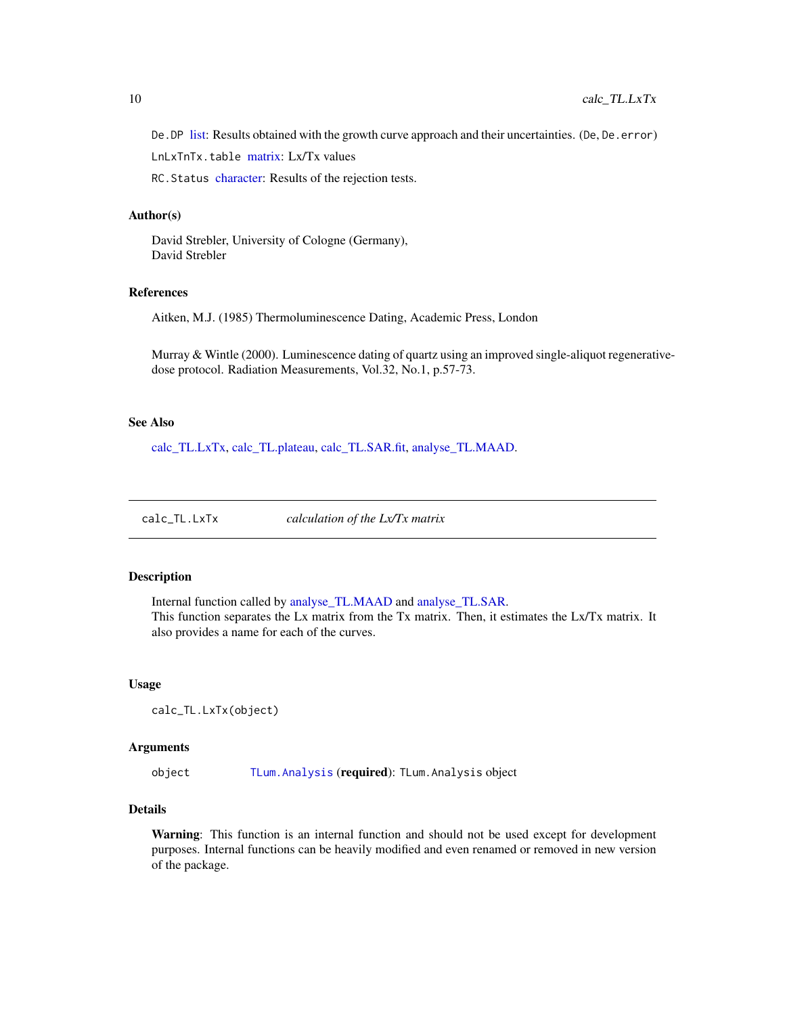<span id="page-9-0"></span>De. DP [list:](#page-0-0) Results obtained with the growth curve approach and their uncertainties. (De, De. error)

LnLxTnTx.table [matrix:](#page-0-0) Lx/Tx values

RC.Status [character:](#page-0-0) Results of the rejection tests.

#### Author(s)

David Strebler, University of Cologne (Germany), David Strebler

### References

Aitken, M.J. (1985) Thermoluminescence Dating, Academic Press, London

Murray & Wintle (2000). Luminescence dating of quartz using an improved single-aliquot regenerativedose protocol. Radiation Measurements, Vol.32, No.1, p.57-73.

#### See Also

[calc\\_TL.LxTx,](#page-9-1) [calc\\_TL.plateau,](#page-15-1) [calc\\_TL.SAR.fit,](#page-16-1) [analyse\\_TL.MAAD.](#page-3-1)

<span id="page-9-1"></span>calc\_TL.LxTx *calculation of the Lx/Tx matrix*

### Description

Internal function called by [analyse\\_TL.MAAD](#page-3-1) and [analyse\\_TL.SAR.](#page-7-1) This function separates the Lx matrix from the Tx matrix. Then, it estimates the Lx/Tx matrix. It also provides a name for each of the curves.

#### Usage

calc\_TL.LxTx(object)

#### Arguments

object [TLum.Analysis](#page-49-1) (required): TLum.Analysis object

#### Details

Warning: This function is an internal function and should not be used except for development purposes. Internal functions can be heavily modified and even renamed or removed in new version of the package.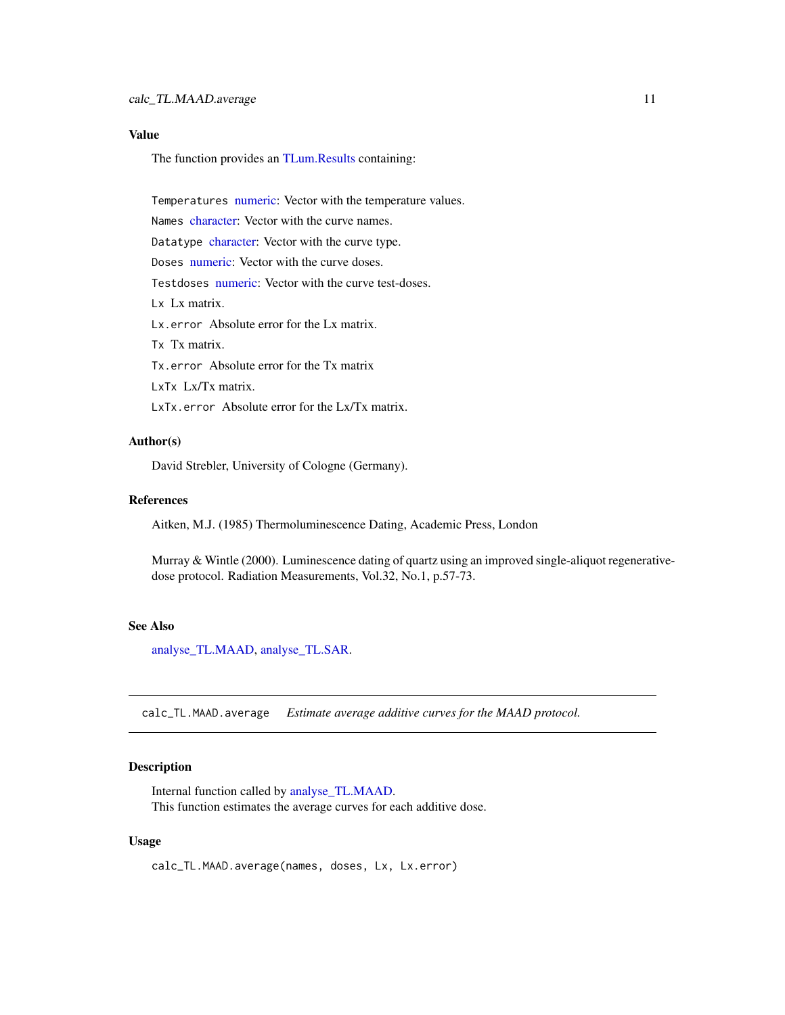### <span id="page-10-0"></span>Value

The function provides an [TLum.Results](#page-56-1) containing:

Temperatures [numeric:](#page-0-0) Vector with the temperature values.

Names [character:](#page-0-0) Vector with the curve names.

Datatype [character:](#page-0-0) Vector with the curve type.

Doses [numeric:](#page-0-0) Vector with the curve doses.

Testdoses [numeric:](#page-0-0) Vector with the curve test-doses.

Lx Lx matrix.

Lx.error Absolute error for the Lx matrix.

Tx Tx matrix.

Tx.error Absolute error for the Tx matrix

LxTx Lx/Tx matrix.

LxTx.error Absolute error for the Lx/Tx matrix.

### Author(s)

David Strebler, University of Cologne (Germany).

### References

Aitken, M.J. (1985) Thermoluminescence Dating, Academic Press, London

Murray & Wintle (2000). Luminescence dating of quartz using an improved single-aliquot regenerativedose protocol. Radiation Measurements, Vol.32, No.1, p.57-73.

#### See Also

[analyse\\_TL.MAAD,](#page-3-1) [analyse\\_TL.SAR.](#page-7-1)

<span id="page-10-1"></span>calc\_TL.MAAD.average *Estimate average additive curves for the MAAD protocol.*

#### Description

Internal function called by [analyse\\_TL.MAAD.](#page-3-1) This function estimates the average curves for each additive dose.

#### Usage

calc\_TL.MAAD.average(names, doses, Lx, Lx.error)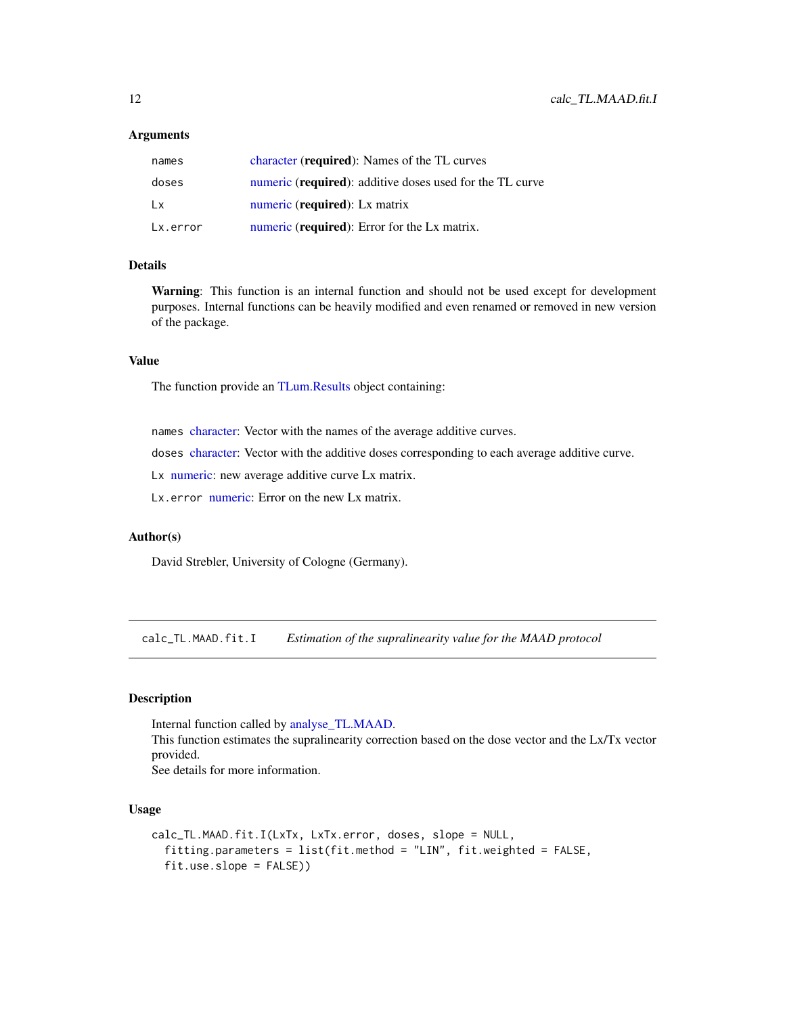#### <span id="page-11-0"></span>**Arguments**

| names    | character ( <b>required</b> ): Names of the TL curves             |
|----------|-------------------------------------------------------------------|
| doses    | numeric ( <b>required</b> ): additive doses used for the TL curve |
| Lx       | numeric (required): Lx matrix                                     |
| Lx.error | numeric (required): Error for the Lx matrix.                      |

#### Details

Warning: This function is an internal function and should not be used except for development purposes. Internal functions can be heavily modified and even renamed or removed in new version of the package.

### Value

The function provide an [TLum.Results](#page-56-1) object containing:

names [character:](#page-0-0) Vector with the names of the average additive curves.

doses [character:](#page-0-0) Vector with the additive doses corresponding to each average additive curve.

Lx [numeric:](#page-0-0) new average additive curve Lx matrix.

Lx.error [numeric:](#page-0-0) Error on the new Lx matrix.

### Author(s)

David Strebler, University of Cologne (Germany).

<span id="page-11-1"></span>calc\_TL.MAAD.fit.I *Estimation of the supralinearity value for the MAAD protocol*

### Description

Internal function called by [analyse\\_TL.MAAD.](#page-3-1) This function estimates the supralinearity correction based on the dose vector and the Lx/Tx vector provided. See details for more information.

### Usage

```
calc_TL.MAAD.fit.I(LxTx, LxTx.error, doses, slope = NULL,
  fitting.parameters = list(fit.method = "LIN", fit.weighted = FALSE,
  fit.use.slope = FALSE))
```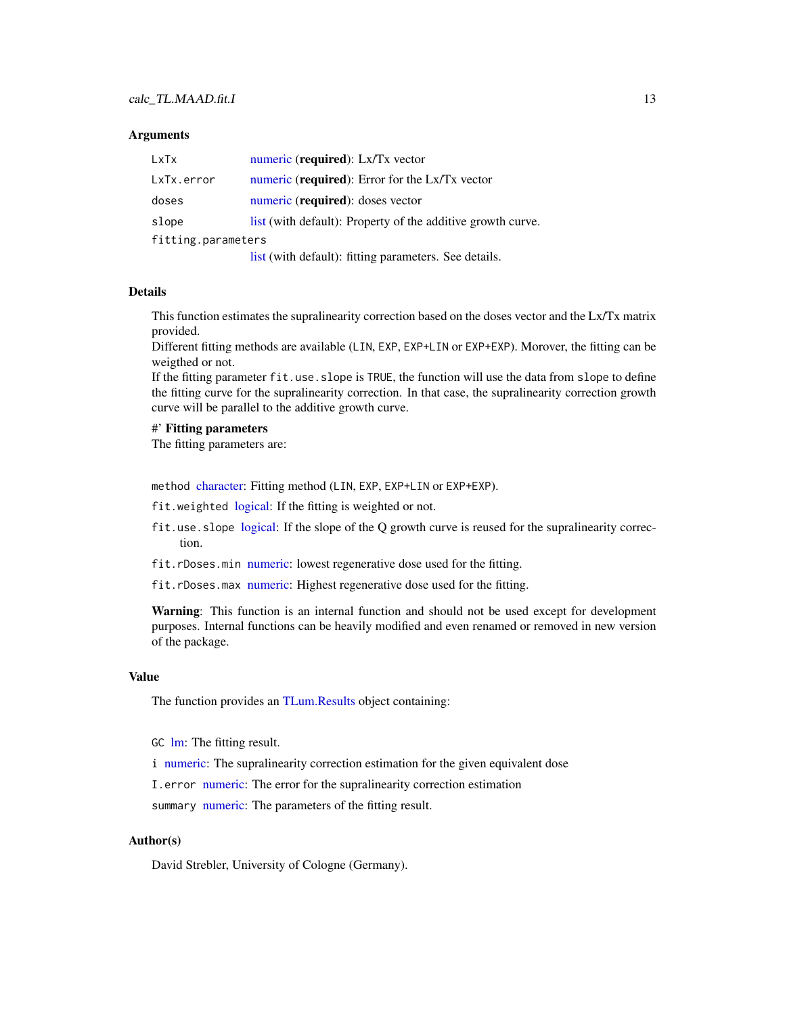#### <span id="page-12-0"></span>**Arguments**

| LxTx               | numeric (required): Lx/Tx vector                            |
|--------------------|-------------------------------------------------------------|
| LxTx.error         | numeric (required): Error for the Lx/Tx vector              |
| doses              | numeric (required): doses vector                            |
| slope              | list (with default): Property of the additive growth curve. |
| fitting.parameters |                                                             |
|                    | list (with default): fitting parameters. See details.       |

#### Details

This function estimates the supralinearity correction based on the doses vector and the Lx/Tx matrix provided.

Different fitting methods are available (LIN, EXP, EXP+LIN or EXP+EXP). Morover, the fitting can be weigthed or not.

If the fitting parameter fit.use.slope is TRUE, the function will use the data from slope to define the fitting curve for the supralinearity correction. In that case, the supralinearity correction growth curve will be parallel to the additive growth curve.

#### #' Fitting parameters

The fitting parameters are:

method [character:](#page-0-0) Fitting method (LIN, EXP, EXP+LIN or EXP+EXP).

fit.weighted [logical:](#page-0-0) If the fitting is weighted or not.

- fit.use.slope [logical:](#page-0-0) If the slope of the Q growth curve is reused for the supralinearity correction.
- fit.rDoses.min [numeric:](#page-0-0) lowest regenerative dose used for the fitting.
- fit.rDoses.max [numeric:](#page-0-0) Highest regenerative dose used for the fitting.

Warning: This function is an internal function and should not be used except for development purposes. Internal functions can be heavily modified and even renamed or removed in new version of the package.

#### Value

The function provides an [TLum.Results](#page-56-1) object containing:

GC [lm:](#page-0-0) The fitting result.

i [numeric:](#page-0-0) The supralinearity correction estimation for the given equivalent dose

I.error [numeric:](#page-0-0) The error for the supralinearity correction estimation

summary [numeric:](#page-0-0) The parameters of the fitting result.

### Author(s)

David Strebler, University of Cologne (Germany).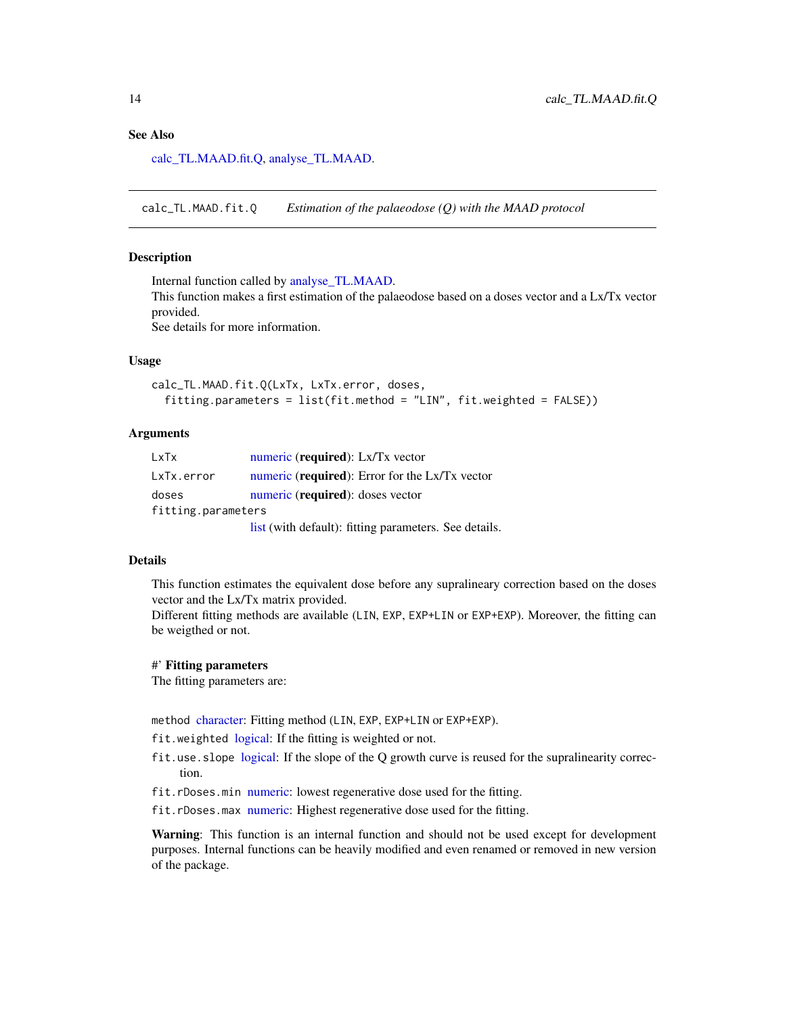### <span id="page-13-0"></span>See Also

[calc\\_TL.MAAD.fit.Q,](#page-13-1) [analyse\\_TL.MAAD.](#page-3-1)

<span id="page-13-1"></span>calc\_TL.MAAD.fit.Q *Estimation of the palaeodose (Q) with the MAAD protocol*

#### Description

Internal function called by [analyse\\_TL.MAAD.](#page-3-1)

This function makes a first estimation of the palaeodose based on a doses vector and a Lx/Tx vector provided.

See details for more information.

### Usage

```
calc_TL.MAAD.fit.Q(LxTx, LxTx.error, doses,
  fitting.parameters = list(fit.method = "LIN", fit.weighted = FALSE))
```
### Arguments

| LxTx               | numeric (required): Lx/Tx vector                      |
|--------------------|-------------------------------------------------------|
| LxTx.error         | numeric (required): Error for the Lx/Tx vector        |
| doses              | numeric (required): doses vector                      |
| fitting.parameters |                                                       |
|                    | list (with default): fitting parameters. See details. |

#### Details

This function estimates the equivalent dose before any supralineary correction based on the doses vector and the Lx/Tx matrix provided.

Different fitting methods are available (LIN, EXP, EXP+LIN or EXP+EXP). Moreover, the fitting can be weigthed or not.

#### #' Fitting parameters

The fitting parameters are:

method [character:](#page-0-0) Fitting method (LIN, EXP, EXP+LIN or EXP+EXP).

fit.weighted [logical:](#page-0-0) If the fitting is weighted or not.

- fit.use.slope [logical:](#page-0-0) If the slope of the Q growth curve is reused for the supralinearity correction.
- fit.rDoses.min [numeric:](#page-0-0) lowest regenerative dose used for the fitting.
- fit.rDoses.max [numeric:](#page-0-0) Highest regenerative dose used for the fitting.

Warning: This function is an internal function and should not be used except for development purposes. Internal functions can be heavily modified and even renamed or removed in new version of the package.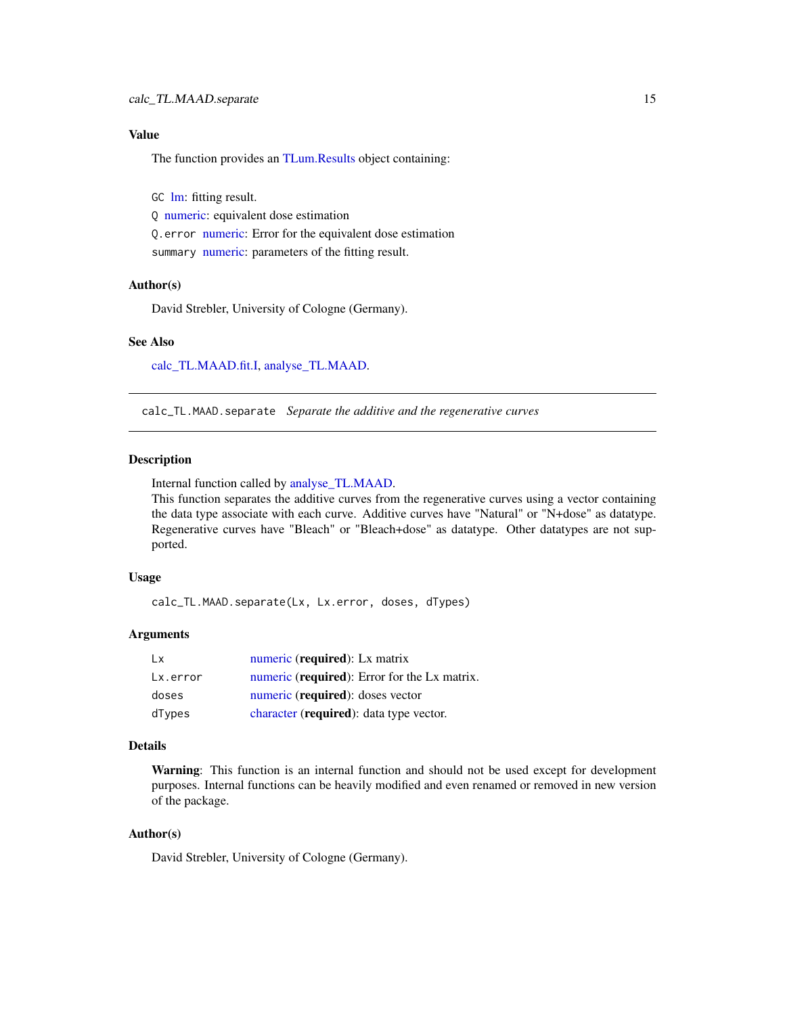### <span id="page-14-0"></span>Value

The function provides an [TLum.Results](#page-56-1) object containing:

GC [lm:](#page-0-0) fitting result. Q [numeric:](#page-0-0) equivalent dose estimation Q.error [numeric:](#page-0-0) Error for the equivalent dose estimation summary [numeric:](#page-0-0) parameters of the fitting result.

#### Author(s)

David Strebler, University of Cologne (Germany).

#### See Also

[calc\\_TL.MAAD.fit.I,](#page-11-1) [analyse\\_TL.MAAD.](#page-3-1)

<span id="page-14-1"></span>calc\_TL.MAAD.separate *Separate the additive and the regenerative curves*

#### Description

Internal function called by [analyse\\_TL.MAAD.](#page-3-1)

This function separates the additive curves from the regenerative curves using a vector containing the data type associate with each curve. Additive curves have "Natural" or "N+dose" as datatype. Regenerative curves have "Bleach" or "Bleach+dose" as datatype. Other datatypes are not supported.

#### Usage

calc\_TL.MAAD.separate(Lx, Lx.error, doses, dTypes)

#### Arguments

| Lx.      | numeric (required): Lx matrix                |
|----------|----------------------------------------------|
| Lx.error | numeric (required): Error for the Lx matrix. |
| doses    | numeric (required): doses vector             |
| dTypes   | character (required): data type vector.      |

### Details

Warning: This function is an internal function and should not be used except for development purposes. Internal functions can be heavily modified and even renamed or removed in new version of the package.

### Author(s)

David Strebler, University of Cologne (Germany).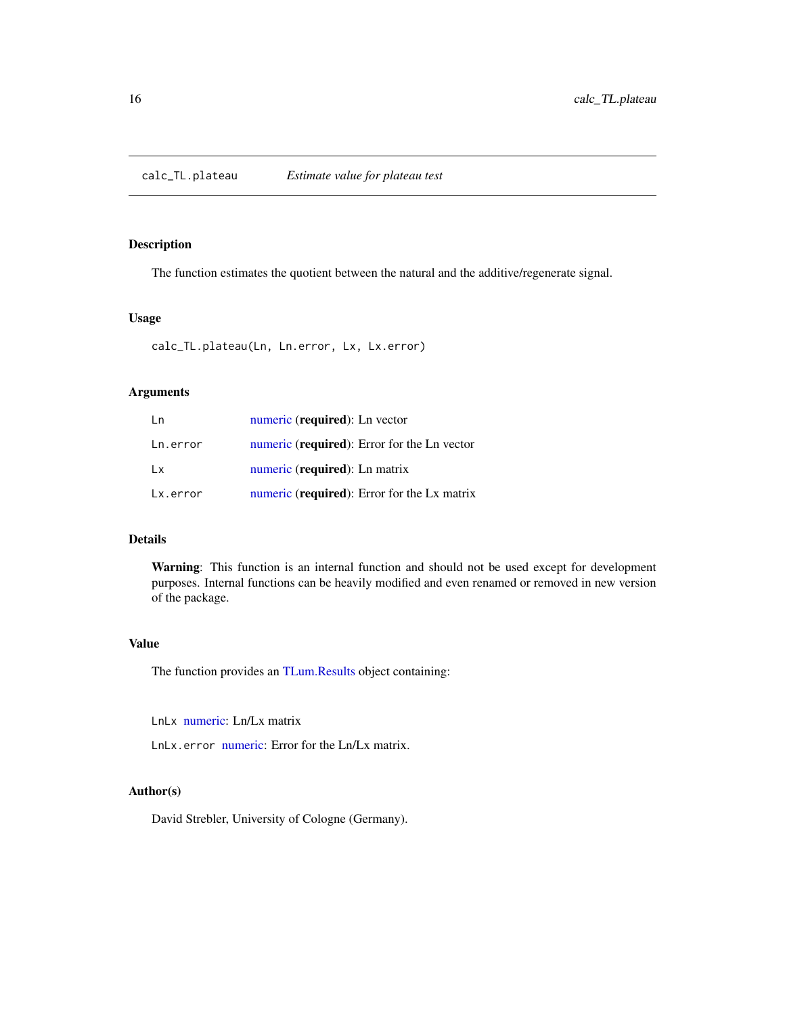<span id="page-15-1"></span><span id="page-15-0"></span>calc\_TL.plateau *Estimate value for plateau test*

### Description

The function estimates the quotient between the natural and the additive/regenerate signal.

### Usage

calc\_TL.plateau(Ln, Ln.error, Lx, Lx.error)

### Arguments

| Ln       | numeric (required): Ln vector                        |
|----------|------------------------------------------------------|
| Ln.error | numeric ( <b>required</b> ): Error for the Ln vector |
| Lx.      | numeric (required): Ln matrix                        |
| Lx.error | numeric ( <b>required</b> ): Error for the Lx matrix |

### Details

Warning: This function is an internal function and should not be used except for development purposes. Internal functions can be heavily modified and even renamed or removed in new version of the package.

### Value

The function provides an [TLum.Results](#page-56-1) object containing:

LnLx [numeric:](#page-0-0) Ln/Lx matrix

LnLx.error [numeric:](#page-0-0) Error for the Ln/Lx matrix.

#### Author(s)

David Strebler, University of Cologne (Germany).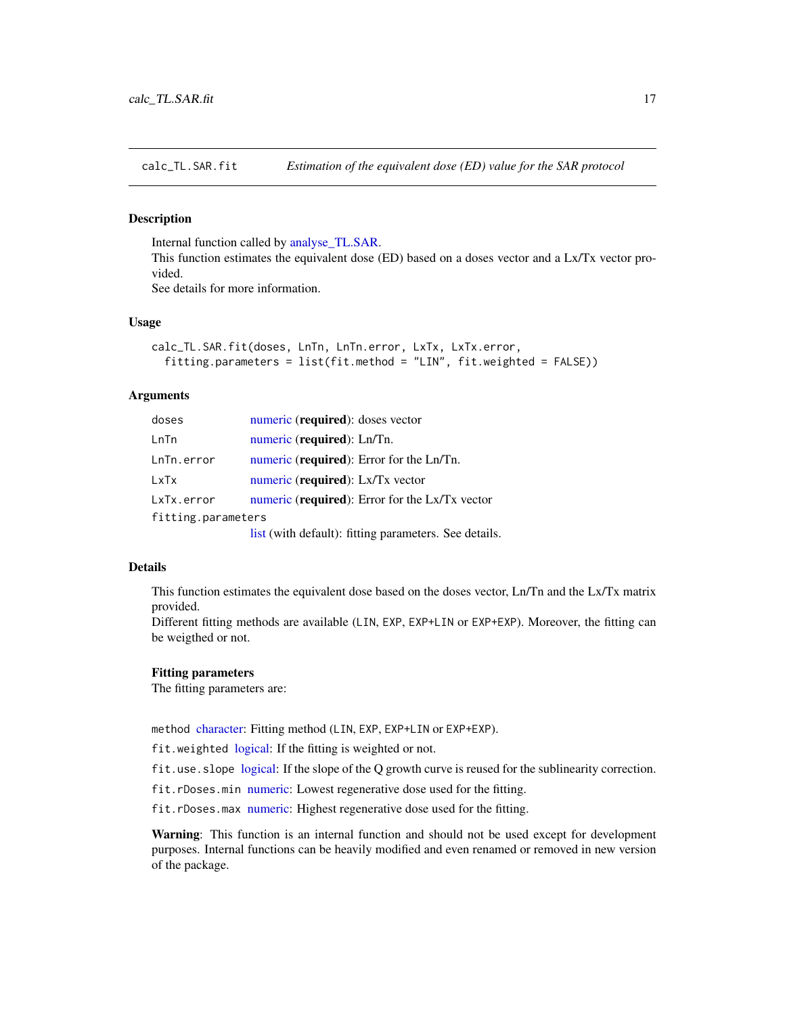<span id="page-16-1"></span><span id="page-16-0"></span>calc\_TL.SAR.fit *Estimation of the equivalent dose (ED) value for the SAR protocol*

#### Description

Internal function called by [analyse\\_TL.SAR.](#page-7-1)

This function estimates the equivalent dose (ED) based on a doses vector and a Lx/Tx vector provided.

See details for more information.

### Usage

```
calc_TL.SAR.fit(doses, LnTn, LnTn.error, LxTx, LxTx.error,
  fitting.parameters = list(fit.method = "LIN", fit.weighted = FALSE))
```
### Arguments

| doses              | numeric (required): doses vector                                                                                                                                                                                                                                                                  |
|--------------------|---------------------------------------------------------------------------------------------------------------------------------------------------------------------------------------------------------------------------------------------------------------------------------------------------|
| LnTn               | numeric (required): Ln/Tn.                                                                                                                                                                                                                                                                        |
| LnTn.error         | numeric ( <b>required</b> ): Error for the Ln/Tn.                                                                                                                                                                                                                                                 |
| LxTx               | numeric (required): Lx/Tx vector                                                                                                                                                                                                                                                                  |
| LxTx.error         | numeric (required): Error for the Lx/Tx vector                                                                                                                                                                                                                                                    |
| fitting.parameters |                                                                                                                                                                                                                                                                                                   |
|                    | $\mathbf{1}$ , and $\mathbf{1}$ and $\mathbf{1}$ and $\mathbf{1}$ and $\mathbf{1}$ and $\mathbf{1}$ and $\mathbf{1}$ and $\mathbf{1}$ and $\mathbf{1}$ and $\mathbf{1}$ and $\mathbf{1}$ and $\mathbf{1}$ and $\mathbf{1}$ and $\mathbf{1}$ and $\mathbf{1}$ and $\mathbf{1}$ and $\mathbf{1}$ an |

list (with default): fitting parameters. See details.

#### Details

This function estimates the equivalent dose based on the doses vector, Ln/Tn and the Lx/Tx matrix provided.

Different fitting methods are available (LIN, EXP, EXP+LIN or EXP+EXP). Moreover, the fitting can be weigthed or not.

#### Fitting parameters

The fitting parameters are:

method [character:](#page-0-0) Fitting method (LIN, EXP, EXP+LIN or EXP+EXP).

fit.weighted [logical:](#page-0-0) If the fitting is weighted or not.

fit.use.slope [logical:](#page-0-0) If the slope of the Q growth curve is reused for the sublinearity correction.

fit.rDoses.min [numeric:](#page-0-0) Lowest regenerative dose used for the fitting.

fit.rDoses.max [numeric:](#page-0-0) Highest regenerative dose used for the fitting.

Warning: This function is an internal function and should not be used except for development purposes. Internal functions can be heavily modified and even renamed or removed in new version of the package.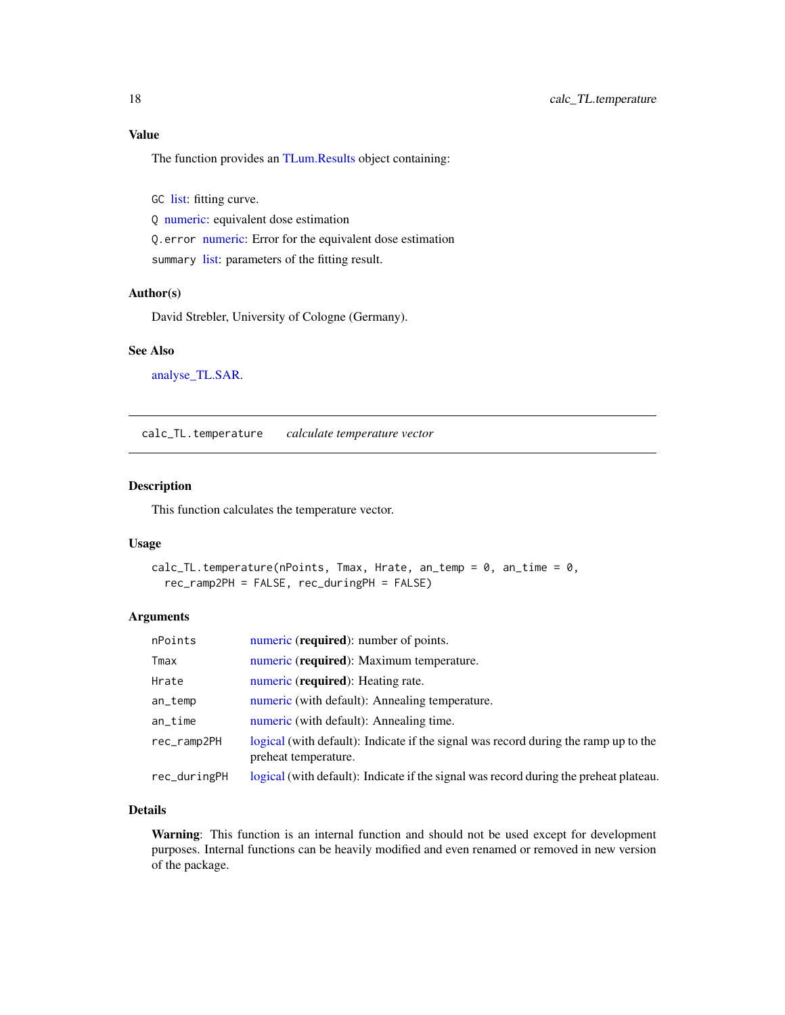### <span id="page-17-0"></span>Value

The function provides an [TLum.Results](#page-56-1) object containing:

GC [list:](#page-0-0) fitting curve.

Q [numeric:](#page-0-0) equivalent dose estimation

Q.error [numeric:](#page-0-0) Error for the equivalent dose estimation

summary [list:](#page-0-0) parameters of the fitting result.

### Author(s)

David Strebler, University of Cologne (Germany).

#### See Also

[analyse\\_TL.SAR.](#page-7-1)

calc\_TL.temperature *calculate temperature vector*

### Description

This function calculates the temperature vector.

#### Usage

```
calc_TL.temperature(nPoints, Tmax, Hrate, an_temp = 0, an_time = 0,
  rec_ramp2PH = FALSE, rec_duringPH = FALSE)
```
### Arguments

| nPoints      | numeric (required): number of points.                                                                       |
|--------------|-------------------------------------------------------------------------------------------------------------|
| Tmax         | numeric (required): Maximum temperature.                                                                    |
| Hrate        | numeric (required): Heating rate.                                                                           |
| an_temp      | numeric (with default): Annealing temperature.                                                              |
| $an$ _time   | numeric (with default): Annealing time.                                                                     |
| rec_ramp2PH  | logical (with default): Indicate if the signal was record during the ramp up to the<br>preheat temperature. |
| rec_duringPH | logical (with default): Indicate if the signal was record during the preheat plateau.                       |

### Details

Warning: This function is an internal function and should not be used except for development purposes. Internal functions can be heavily modified and even renamed or removed in new version of the package.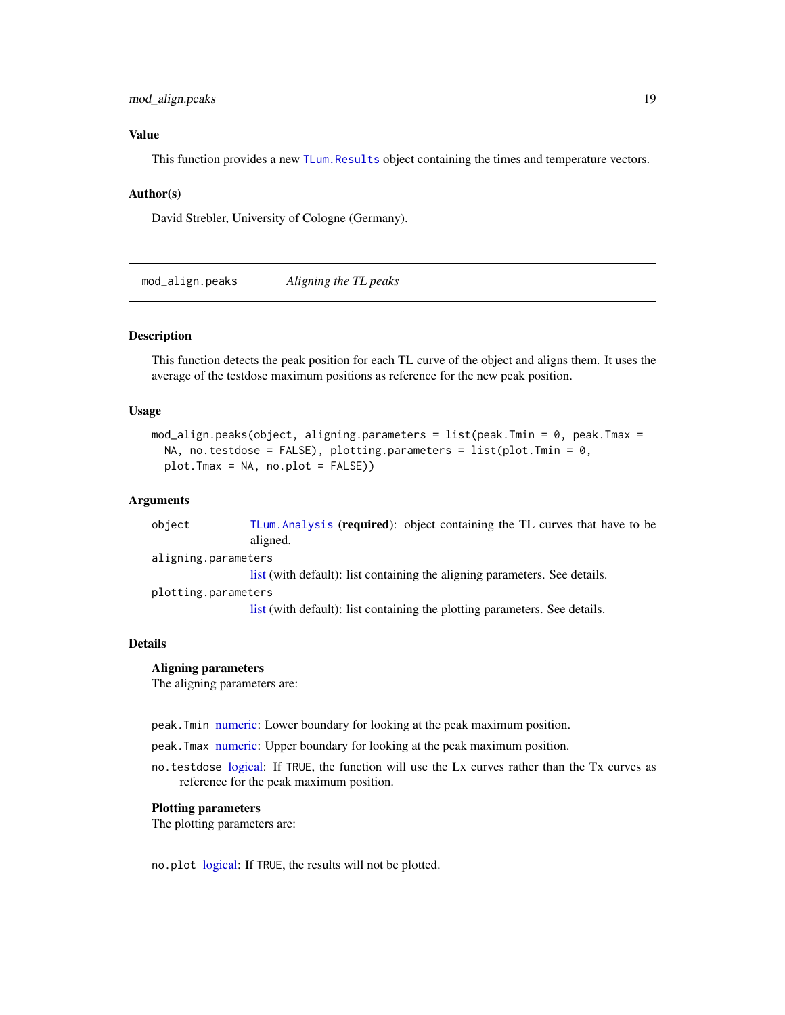### <span id="page-18-0"></span>mod\_align.peaks 19

### Value

This function provides a new [TLum.Results](#page-56-1) object containing the times and temperature vectors.

#### Author(s)

David Strebler, University of Cologne (Germany).

<span id="page-18-1"></span>mod\_align.peaks *Aligning the TL peaks*

### **Description**

This function detects the peak position for each TL curve of the object and aligns them. It uses the average of the testdose maximum positions as reference for the new peak position.

#### Usage

```
mod_align.peaks(object, aligning.parameters = list(peak.Tmin = 0, peak.Tmax =
 NA, no.testdose = FALSE), plotting.parameters = list(plot.Tmin = 0,plot.Tmax = NA, no.plot = FALSE))
```
#### Arguments

object [TLum.Analysis](#page-49-1) (required): object containing the TL curves that have to be aligned. aligning.parame[ters](#page-0-0) list (with default): list containing the aligning parameters. See details. plotting.parame[ters](#page-0-0) list (with default): list containing the plotting parameters. See details.

#### Details

#### Aligning parameters

The aligning parameters are:

peak.Tmin [numeric:](#page-0-0) Lower boundary for looking at the peak maximum position.

peak.Tmax [numeric:](#page-0-0) Upper boundary for looking at the peak maximum position.

no.testdose [logical:](#page-0-0) If TRUE, the function will use the Lx curves rather than the Tx curves as reference for the peak maximum position.

#### Plotting parameters

The plotting parameters are:

no.plot [logical:](#page-0-0) If TRUE, the results will not be plotted.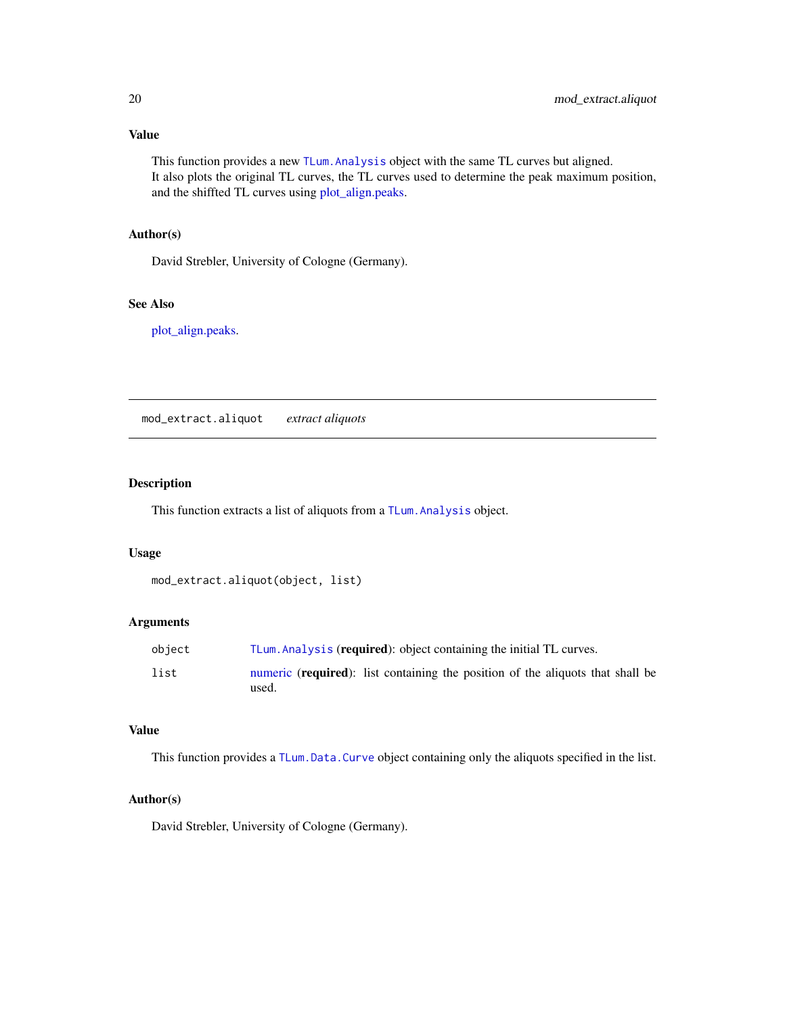### Value

This function provides a new [TLum.Analysis](#page-49-1) object with the same TL curves but aligned. It also plots the original TL curves, the TL curves used to determine the peak maximum position, and the shiffted TL curves using [plot\\_align.peaks.](#page-26-1)

### Author(s)

David Strebler, University of Cologne (Germany).

### See Also

[plot\\_align.peaks.](#page-26-1)

mod\_extract.aliquot *extract aliquots*

### Description

This function extracts a list of aliquots from a [TLum.Analysis](#page-49-1) object.

### Usage

```
mod_extract.aliquot(object, list)
```
### Arguments

| object | TLum. Analysis (required): object containing the initial TL curves.                              |
|--------|--------------------------------------------------------------------------------------------------|
| list   | numeric ( <b>required</b> ): list containing the position of the aliquots that shall be<br>used. |

#### Value

This function provides a [TLum.Data.Curve](#page-55-1) object containing only the aliquots specified in the list.

### Author(s)

David Strebler, University of Cologne (Germany).

<span id="page-19-0"></span>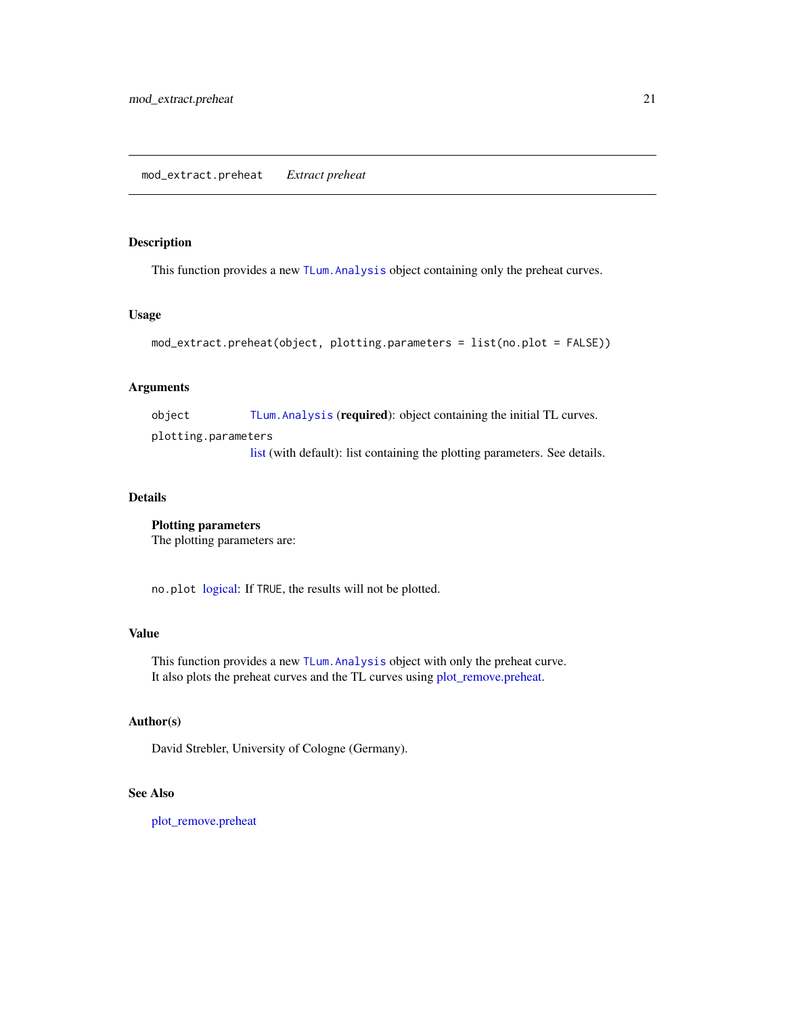### <span id="page-20-0"></span>Description

This function provides a new [TLum.Analysis](#page-49-1) object containing only the preheat curves.

#### Usage

```
mod_extract.preheat(object, plotting.parameters = list(no.plot = FALSE))
```
### Arguments

object [TLum.Analysis](#page-49-1) (required): object containing the initial TL curves. plotting.parame[ters](#page-0-0)

list (with default): list containing the plotting parameters. See details.

### Details

Plotting parameters The plotting parameters are:

no.plot [logical:](#page-0-0) If TRUE, the results will not be plotted.

### Value

This function provides a new [TLum.Analysis](#page-49-1) object with only the preheat curve. It also plots the preheat curves and the TL curves using [plot\\_remove.preheat.](#page-27-1)

### Author(s)

David Strebler, University of Cologne (Germany).

### See Also

[plot\\_remove.preheat](#page-27-1)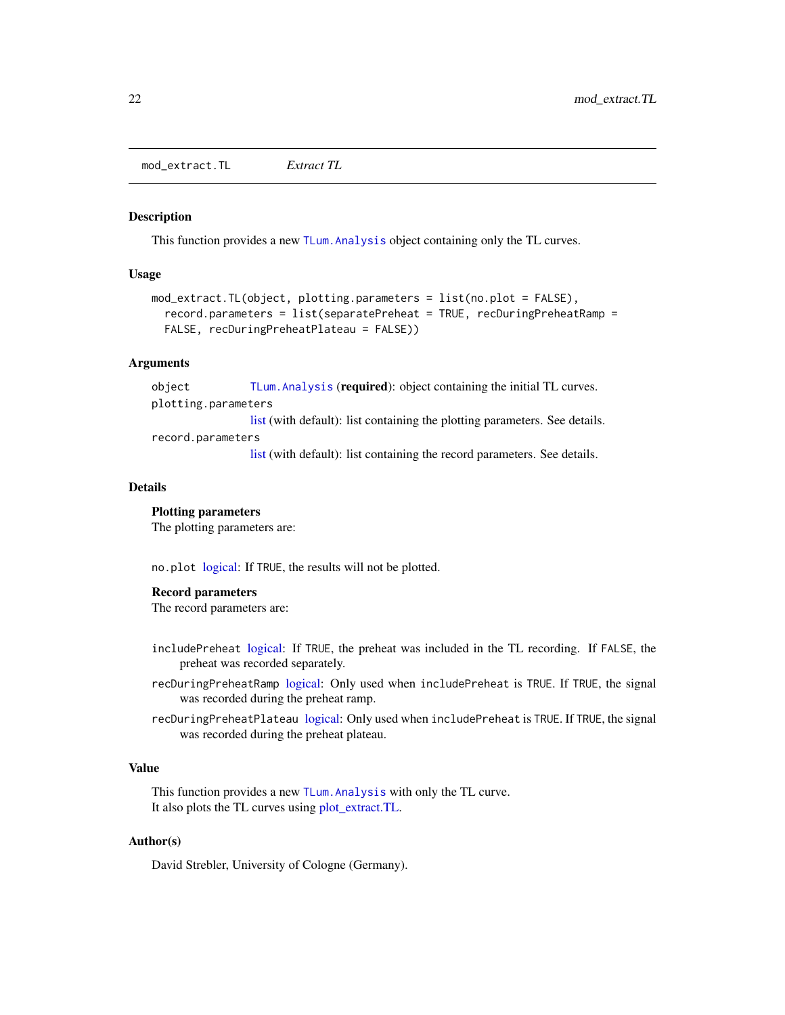<span id="page-21-1"></span><span id="page-21-0"></span>mod\_extract.TL *Extract TL*

#### Description

This function provides a new [TLum.Analysis](#page-49-1) object containing only the TL curves.

#### Usage

```
mod_extract.TL(object, plotting.parameters = list(no.plot = FALSE),
  record.parameters = list(separatePreheat = TRUE, recDuringPreheatRamp =
  FALSE, recDuringPreheatPlateau = FALSE))
```
### Arguments

object [TLum.Analysis](#page-49-1) (required): object containing the initial TL curves. plotting.parame[ters](#page-0-0) list (with default): list containing the plotting parameters. See details. record.parameters

[list](#page-0-0) (with default): list containing the record parameters. See details.

#### Details

#### Plotting parameters

The plotting parameters are:

no.plot [logical:](#page-0-0) If TRUE, the results will not be plotted.

#### Record parameters

The record parameters are:

- includePreheat [logical:](#page-0-0) If TRUE, the preheat was included in the TL recording. If FALSE, the preheat was recorded separately.
- recDuringPreheatRamp [logical:](#page-0-0) Only used when includePreheat is TRUE. If TRUE, the signal was recorded during the preheat ramp.
- recDuringPreheatPlateau [logical:](#page-0-0) Only used when includePreheat is TRUE. If TRUE, the signal was recorded during the preheat plateau.

### Value

This function provides a new TLum. Analysis with only the TL curve. It also plots the TL curves using [plot\\_extract.TL.](#page-27-2)

#### Author(s)

David Strebler, University of Cologne (Germany).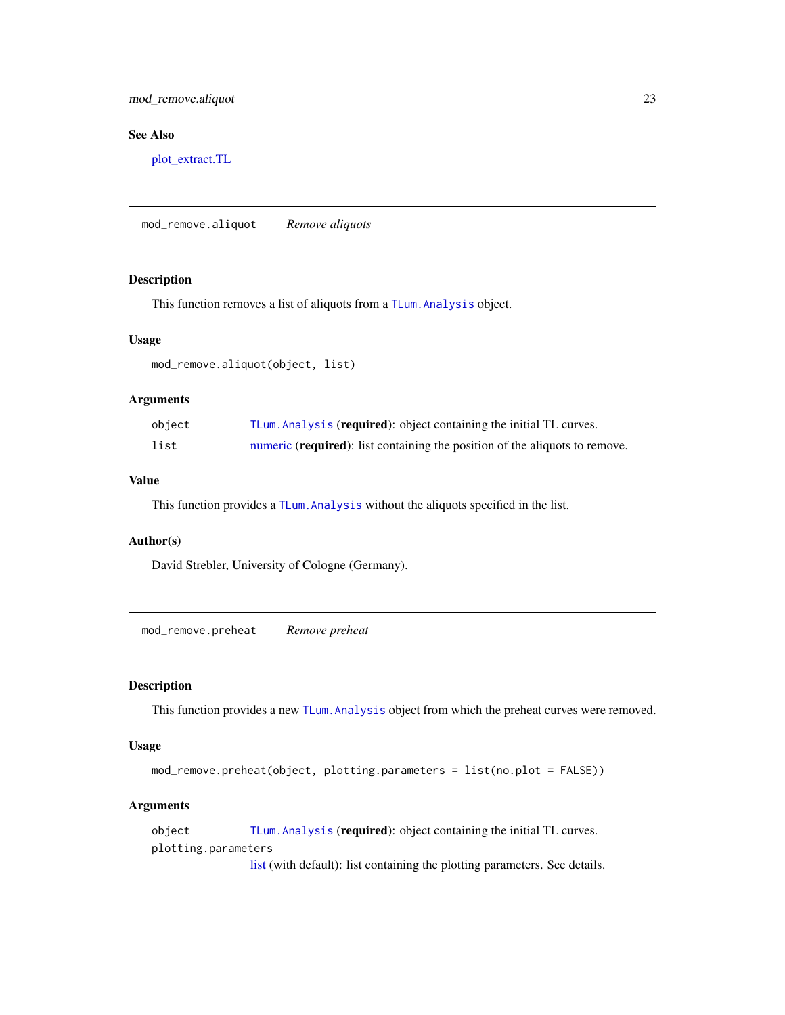### <span id="page-22-0"></span>mod\_remove.aliquot 23

### See Also

[plot\\_extract.TL](#page-27-2)

<span id="page-22-2"></span>mod\_remove.aliquot *Remove aliquots*

### Description

This function removes a list of aliquots from a [TLum.Analysis](#page-49-1) object.

#### Usage

mod\_remove.aliquot(object, list)

### Arguments

| object | TLum. Analysis (required): object containing the initial TL curves.                  |
|--------|--------------------------------------------------------------------------------------|
| list   | numeric ( <b>required</b> ): list containing the position of the aliquots to remove. |

### Value

This function provides a [TLum.Analysis](#page-49-1) without the aliquots specified in the list.

#### Author(s)

David Strebler, University of Cologne (Germany).

<span id="page-22-1"></span>mod\_remove.preheat *Remove preheat*

### Description

This function provides a new [TLum.Analysis](#page-49-1) object from which the preheat curves were removed.

#### Usage

```
mod_remove.preheat(object, plotting.parameters = list(no.plot = FALSE))
```
### Arguments

object [TLum.Analysis](#page-49-1) (required): object containing the initial TL curves. plotting.parame[ters](#page-0-0)

list (with default): list containing the plotting parameters. See details.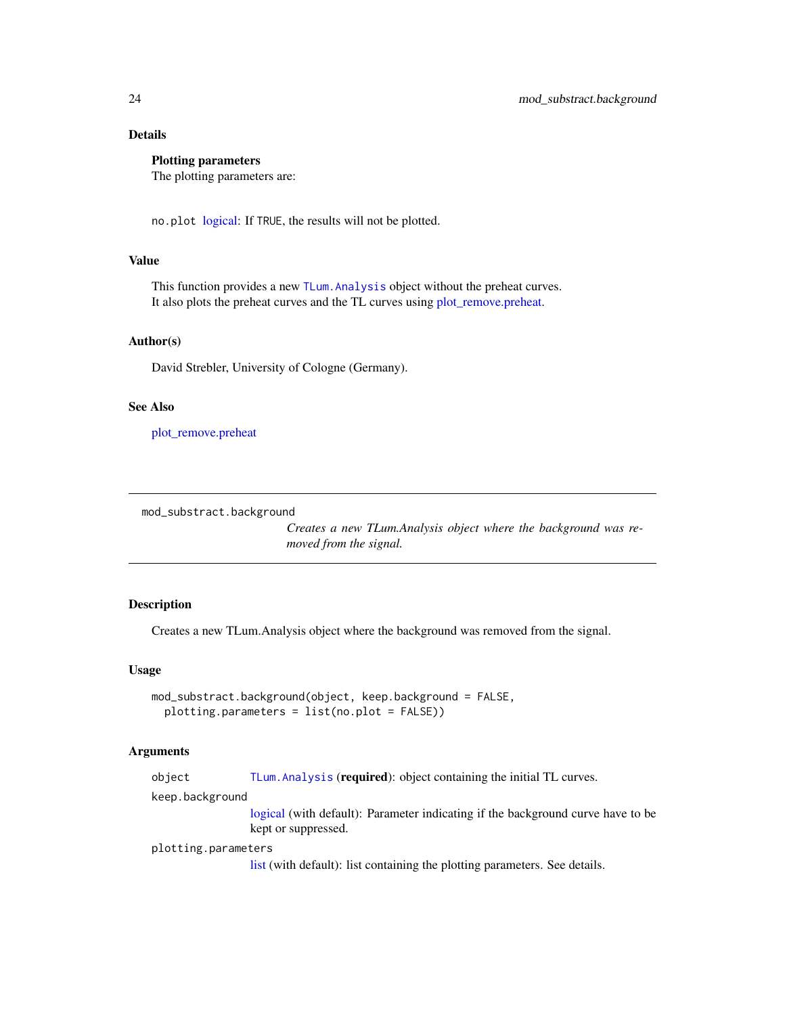### <span id="page-23-0"></span>Details

### Plotting parameters

The plotting parameters are:

no.plot [logical:](#page-0-0) If TRUE, the results will not be plotted.

### Value

This function provides a new [TLum.Analysis](#page-49-1) object without the preheat curves. It also plots the preheat curves and the TL curves using [plot\\_remove.preheat.](#page-27-1)

#### Author(s)

David Strebler, University of Cologne (Germany).

#### See Also

[plot\\_remove.preheat](#page-27-1)

<span id="page-23-1"></span>mod\_substract.background

*Creates a new TLum.Analysis object where the background was removed from the signal.*

### Description

Creates a new TLum.Analysis object where the background was removed from the signal.

#### Usage

```
mod_substract.background(object, keep.background = FALSE,
 plotting.parameters = list(no.plot = FALSE))
```
### Arguments

object [TLum.Analysis](#page-49-1) (required): object containing the initial TL curves.

keep.background

[logical](#page-0-0) (with default): Parameter indicating if the background curve have to be kept or suppressed.

plotting.parame[ters](#page-0-0)

list (with default): list containing the plotting parameters. See details.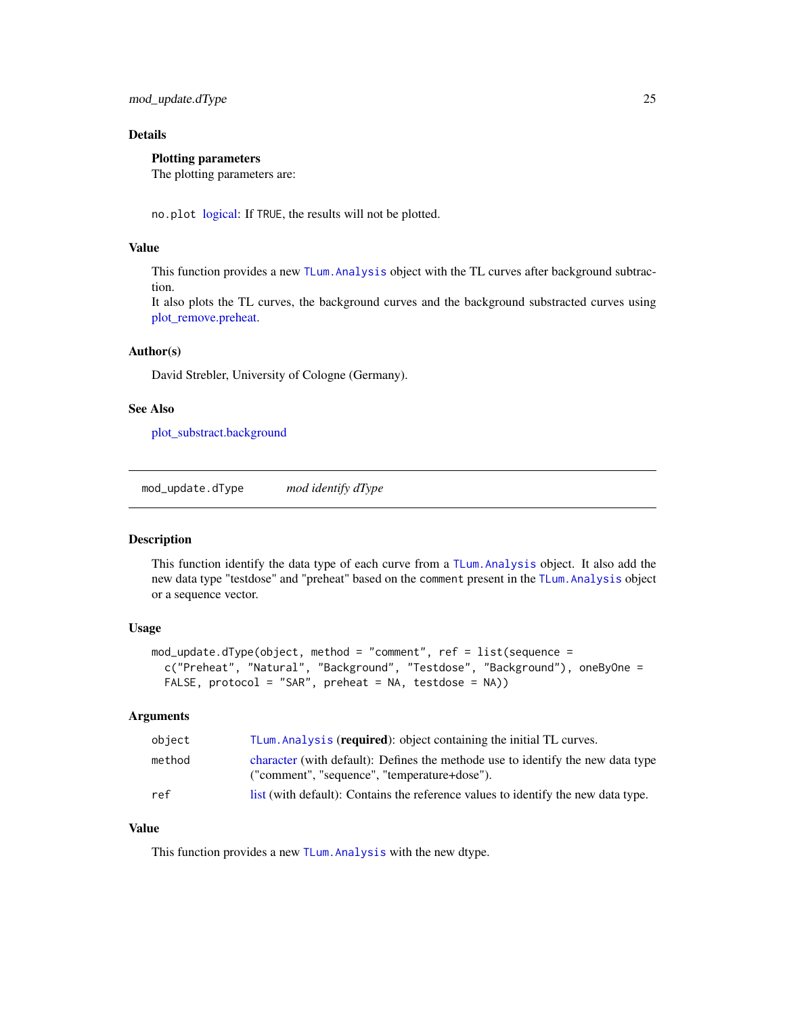### <span id="page-24-0"></span>Details

### Plotting parameters

The plotting parameters are:

no.plot [logical:](#page-0-0) If TRUE, the results will not be plotted.

### Value

This function provides a new [TLum.Analysis](#page-49-1) object with the TL curves after background subtraction.

It also plots the TL curves, the background curves and the background substracted curves using [plot\\_remove.preheat.](#page-27-1)

#### Author(s)

David Strebler, University of Cologne (Germany).

### See Also

[plot\\_substract.background](#page-28-1)

<span id="page-24-1"></span>mod\_update.dType *mod identify dType*

#### Description

This function identify the data type of each curve from a [TLum.Analysis](#page-49-1) object. It also add the new data type "testdose" and "preheat" based on the comment present in the [TLum.Analysis](#page-49-1) object or a sequence vector.

#### Usage

```
mod\_update.dType(objject, method = "comment", ref = list(sequence =c("Preheat", "Natural", "Background", "Testdose", "Background"), oneByOne =
 FALSE, protocol = "SAR", preheat = NA, testdose = NA))
```
#### **Arguments**

| object | TLum. Analysis (required): object containing the initial TL curves.                                                             |
|--------|---------------------------------------------------------------------------------------------------------------------------------|
| method | character (with default): Defines the methode use to identify the new data type<br>("comment", "sequence", "temperature+dose"). |
| ref    | list (with default): Contains the reference values to identify the new data type.                                               |

#### Value

This function provides a new [TLum.Analysis](#page-49-1) with the new dtype.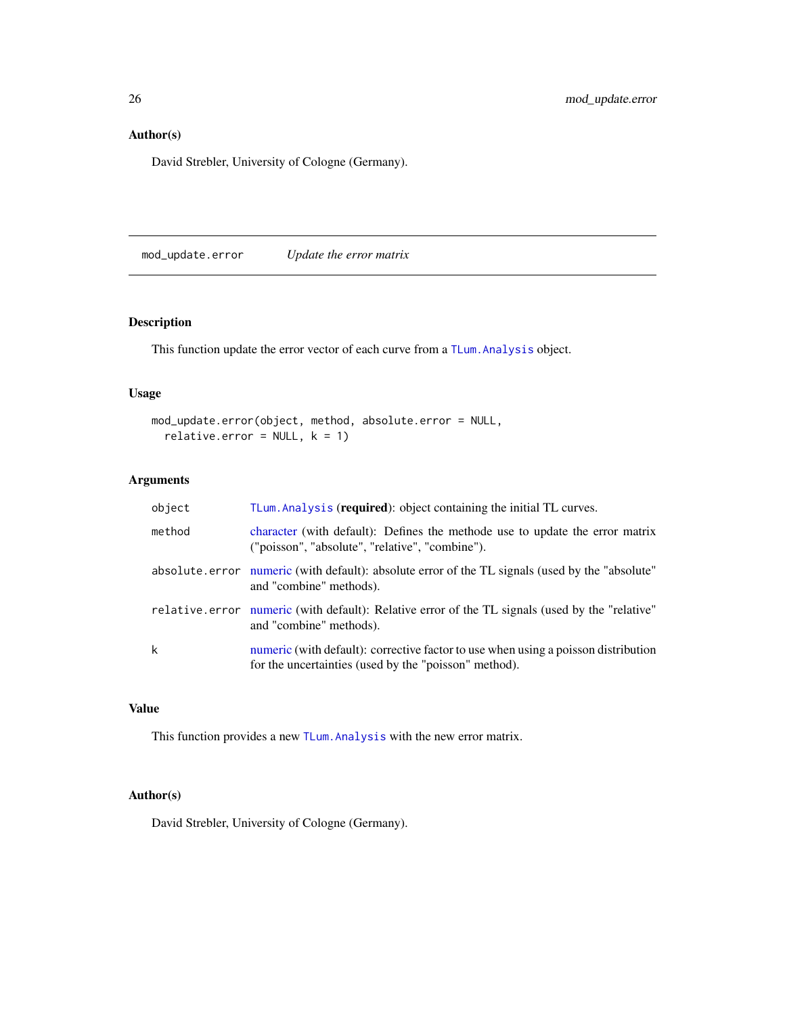### <span id="page-25-0"></span>Author(s)

David Strebler, University of Cologne (Germany).

mod\_update.error *Update the error matrix*

### Description

This function update the error vector of each curve from a [TLum.Analysis](#page-49-1) object.

### Usage

```
mod_update.error(object, method, absolute.error = NULL,
  relative.error = NULL, k = 1)
```
### Arguments

| object | TLum. Analysis (required): object containing the initial TL curves.                                                                         |
|--------|---------------------------------------------------------------------------------------------------------------------------------------------|
| method | character (with default): Defines the methode use to update the error matrix<br>("poisson", "absolute", "relative", "combine").             |
|        | absolute error numeric (with default): absolute error of the TL signals (used by the "absolute"<br>and "combine" methods).                  |
|        | relative error numeric (with default): Relative error of the TL signals (used by the "relative"<br>and "combine" methods).                  |
| k      | numeric (with default): corrective factor to use when using a poisson distribution<br>for the uncertainties (used by the "poisson" method). |

### Value

This function provides a new [TLum.Analysis](#page-49-1) with the new error matrix.

### Author(s)

David Strebler, University of Cologne (Germany).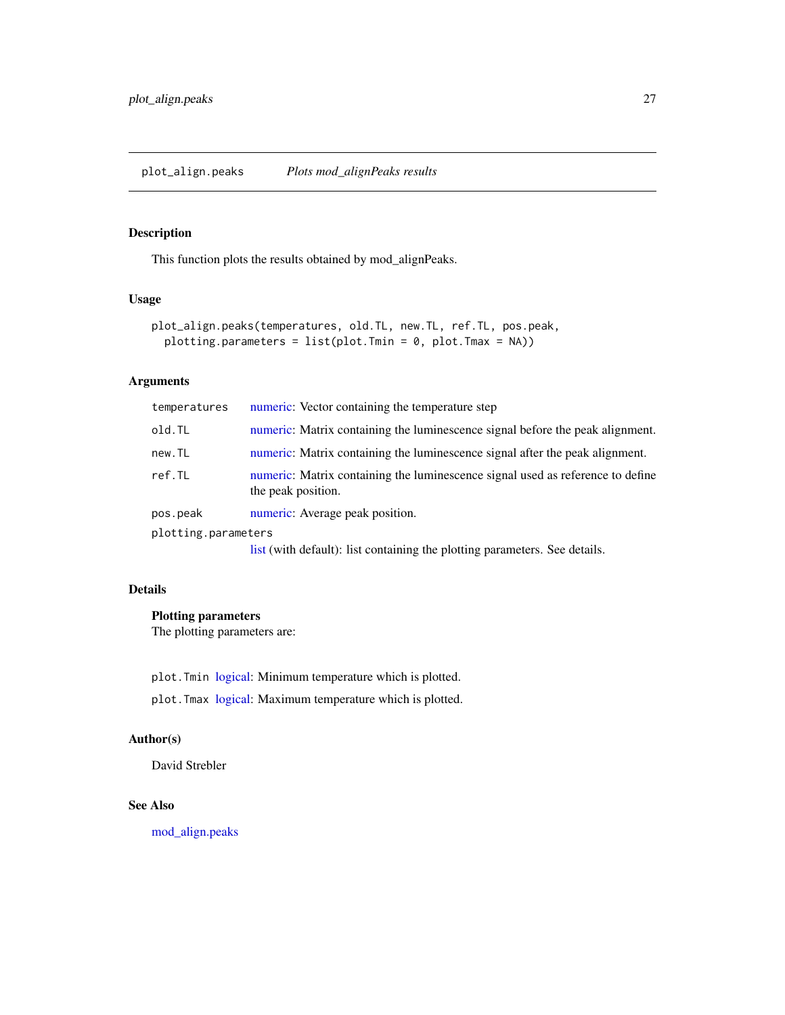### <span id="page-26-1"></span><span id="page-26-0"></span>Description

This function plots the results obtained by mod\_alignPeaks.

### Usage

```
plot_align.peaks(temperatures, old.TL, new.TL, ref.TL, pos.peak,
 plotting.parameters = list(plot.Tmin = 0, plot.Tmax = NA))
```
### Arguments

| temperatures        | numeric: Vector containing the temperature step                                                      |
|---------------------|------------------------------------------------------------------------------------------------------|
| old.TL              | numeric: Matrix containing the luminescence signal before the peak alignment.                        |
| new.TL              | numeric: Matrix containing the luminescence signal after the peak alignment.                         |
| ref.TL              | numeric: Matrix containing the luminescence signal used as reference to define<br>the peak position. |
| pos.peak            | numeric: Average peak position.                                                                      |
| plotting.parameters |                                                                                                      |
|                     | list (with default): list containing the plotting parameters. See details.                           |

#### Details

### Plotting parameters

The plotting parameters are:

plot.Tmin [logical:](#page-0-0) Minimum temperature which is plotted.

plot.Tmax [logical:](#page-0-0) Maximum temperature which is plotted.

### Author(s)

David Strebler

### See Also

[mod\\_align.peaks](#page-18-1)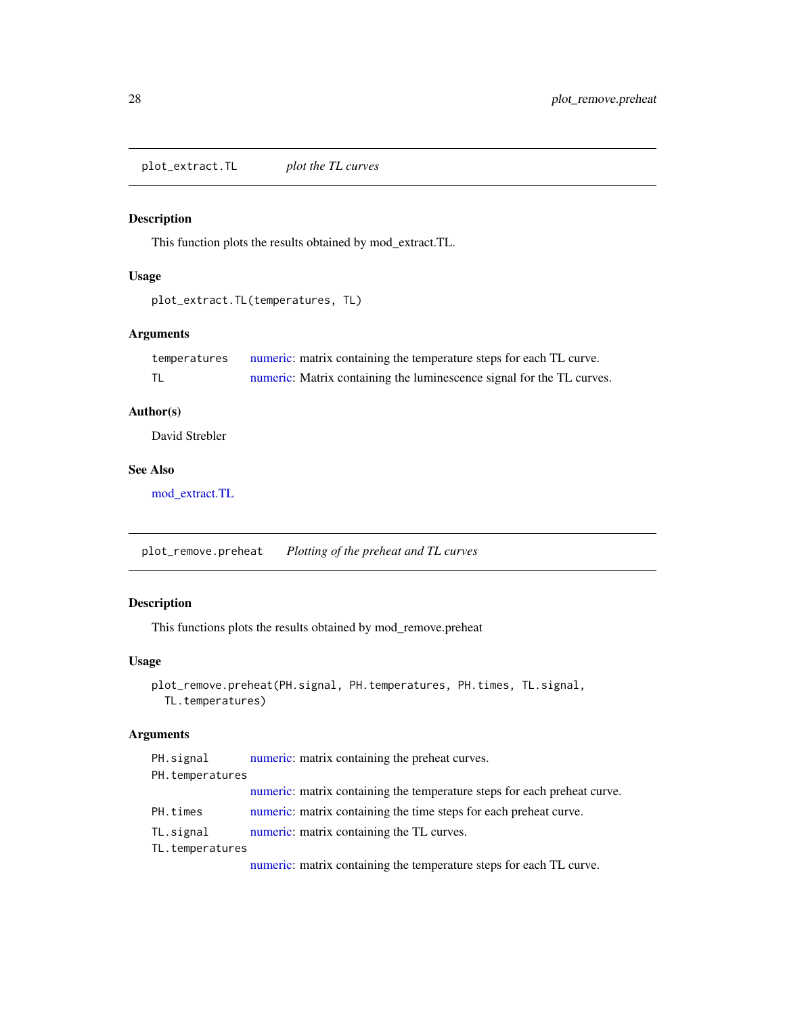<span id="page-27-2"></span><span id="page-27-0"></span>plot\_extract.TL *plot the TL curves*

### Description

This function plots the results obtained by mod\_extract.TL.

### Usage

```
plot_extract.TL(temperatures, TL)
```
### Arguments

| temperatures | numeric: matrix containing the temperature steps for each TL curve.   |
|--------------|-----------------------------------------------------------------------|
|              | numeric: Matrix containing the luminescence signal for the TL curves. |

### Author(s)

David Strebler

### See Also

[mod\\_extract.TL](#page-21-1)

<span id="page-27-1"></span>plot\_remove.preheat *Plotting of the preheat and TL curves*

### Description

This functions plots the results obtained by mod\_remove.preheat

### Usage

```
plot_remove.preheat(PH.signal, PH.temperatures, PH.times, TL.signal,
  TL.temperatures)
```
### Arguments

| PH.signal       | numeric: matrix containing the preheat curves.                           |
|-----------------|--------------------------------------------------------------------------|
| PH.temperatures |                                                                          |
|                 | numeric: matrix containing the temperature steps for each preheat curve. |
| PH.times        | numeric: matrix containing the time steps for each preheat curve.        |
| TL.signal       | numeric: matrix containing the TL curves.                                |
| TL.temperatures |                                                                          |

[numeric:](#page-0-0) matrix containing the temperature steps for each TL curve.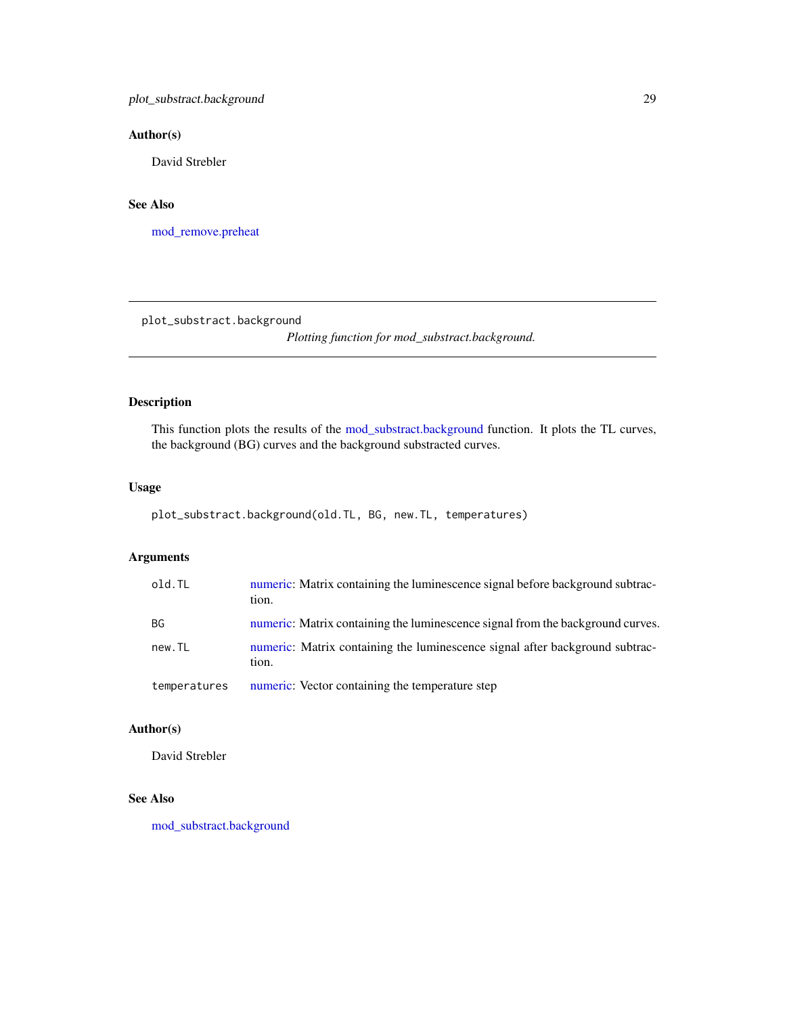### <span id="page-28-0"></span>Author(s)

David Strebler

### See Also

[mod\\_remove.preheat](#page-22-1)

<span id="page-28-1"></span>plot\_substract.background

*Plotting function for mod\_substract.background.*

### Description

This function plots the results of the [mod\\_substract.background](#page-23-1) function. It plots the TL curves, the background (BG) curves and the background substracted curves.

### Usage

```
plot_substract.background(old.TL, BG, new.TL, temperatures)
```
### Arguments

| old.TL       | numeric: Matrix containing the luminescence signal before background subtrac-<br>tion. |
|--------------|----------------------------------------------------------------------------------------|
| BG.          | numeric: Matrix containing the luminescence signal from the background curves.         |
| new.TL       | numeric: Matrix containing the luminescence signal after background subtrac-<br>tion.  |
| temperatures | numeric: Vector containing the temperature step                                        |

### Author(s)

David Strebler

### See Also

[mod\\_substract.background](#page-23-1)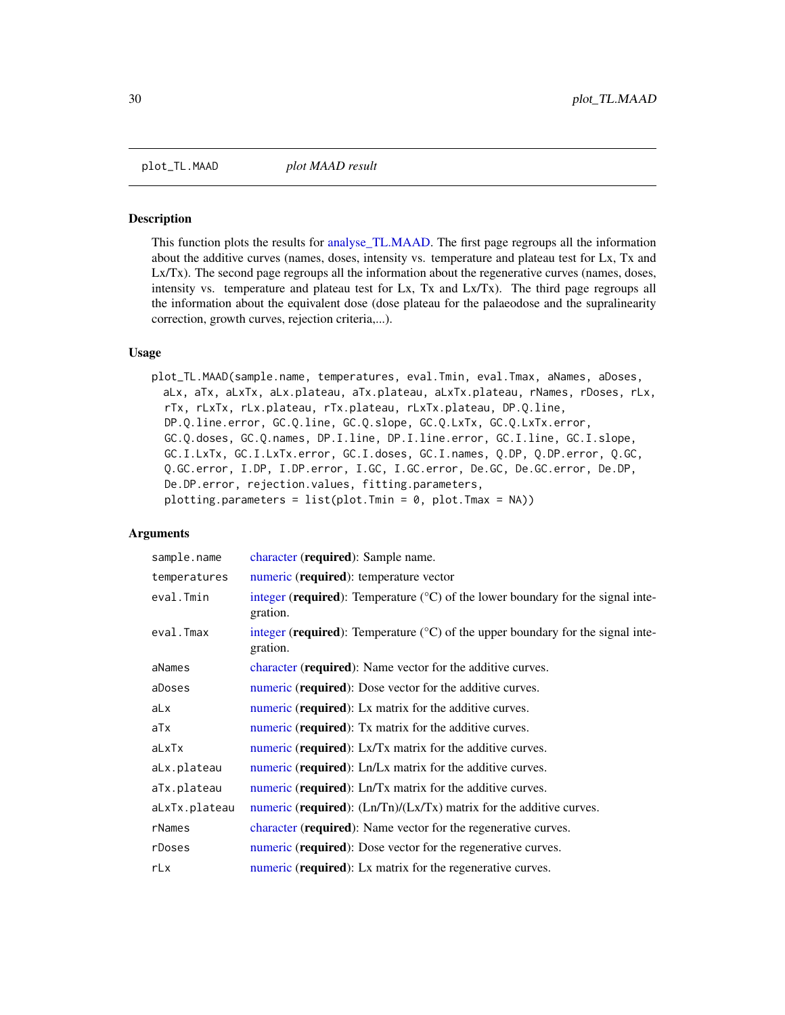<span id="page-29-1"></span><span id="page-29-0"></span>

#### Description

This function plots the results for [analyse\\_TL.MAAD.](#page-3-1) The first page regroups all the information about the additive curves (names, doses, intensity vs. temperature and plateau test for Lx, Tx and Lx/Tx). The second page regroups all the information about the regenerative curves (names, doses, intensity vs. temperature and plateau test for Lx, Tx and Lx/Tx). The third page regroups all the information about the equivalent dose (dose plateau for the palaeodose and the supralinearity correction, growth curves, rejection criteria,...).

#### Usage

plot\_TL.MAAD(sample.name, temperatures, eval.Tmin, eval.Tmax, aNames, aDoses, aLx, aTx, aLxTx, aLx.plateau, aTx.plateau, aLxTx.plateau, rNames, rDoses, rLx, rTx, rLxTx, rLx.plateau, rTx.plateau, rLxTx.plateau, DP.Q.line, DP.Q.line.error, GC.Q.line, GC.Q.slope, GC.Q.LxTx, GC.Q.LxTx.error, GC.Q.doses, GC.Q.names, DP.I.line, DP.I.line.error, GC.I.line, GC.I.slope, GC.I.LxTx, GC.I.LxTx.error, GC.I.doses, GC.I.names, Q.DP, Q.DP.error, Q.GC, Q.GC.error, I.DP, I.DP.error, I.GC, I.GC.error, De.GC, De.GC.error, De.DP, De.DP.error, rejection.values, fitting.parameters, plotting.parameters =  $list(plot.Tmin = 0, plot.Tmax = NA))$ 

#### Arguments

| sample.name   | character (required): Sample name.                                                                             |
|---------------|----------------------------------------------------------------------------------------------------------------|
| temperatures  | numeric (required): temperature vector                                                                         |
| eval.Tmin     | integer (required): Temperature $({}^{\circ}C)$ of the lower boundary for the signal inte-<br>gration.         |
| eval.Tmax     | integer ( <b>required</b> ): Temperature ( $\degree$ C) of the upper boundary for the signal inte-<br>gration. |
| aNames        | character (required): Name vector for the additive curves.                                                     |
| aDoses        | numeric ( <b>required</b> ): Dose vector for the additive curves.                                              |
| aLx           | numeric (required): Lx matrix for the additive curves.                                                         |
| aTx           | numeric ( <b>required</b> ): Tx matrix for the additive curves.                                                |
| aLxTx         | numeric (required): Lx/Tx matrix for the additive curves.                                                      |
| aLx.plateau   | numeric ( <b>required</b> ): Ln/Lx matrix for the additive curves.                                             |
| aTx.plateau   | numeric ( <b>required</b> ): Ln/Tx matrix for the additive curves.                                             |
| aLxTx.plateau | numeric ( <b>required</b> ): $(Ln/Tn)/(Lx/Tx)$ matrix for the additive curves.                                 |
| rNames        | character (required): Name vector for the regenerative curves.                                                 |
| rDoses        | numeric (required): Dose vector for the regenerative curves.                                                   |
| rLx           | numeric (required): Lx matrix for the regenerative curves.                                                     |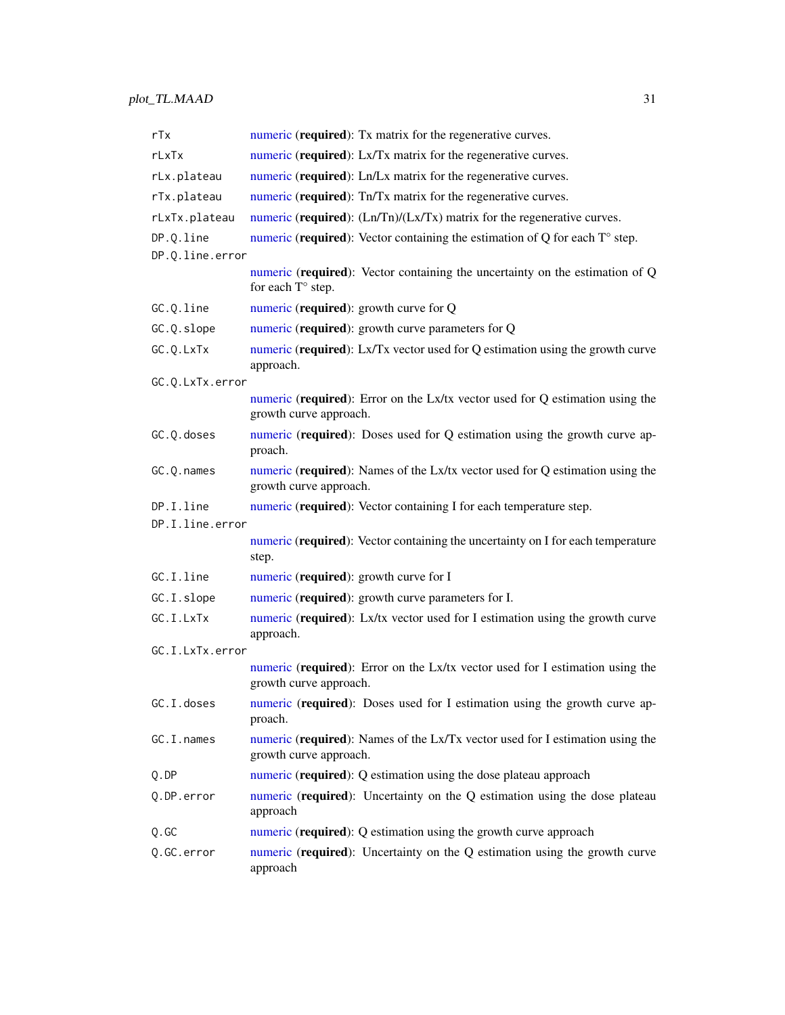| rTx             | numeric (required): Tx matrix for the regenerative curves.                                              |  |
|-----------------|---------------------------------------------------------------------------------------------------------|--|
| rLxTx           | numeric (required): Lx/Tx matrix for the regenerative curves.                                           |  |
| rLx.plateau     | numeric (required): Ln/Lx matrix for the regenerative curves.                                           |  |
| rTx.plateau     | numeric (required): Tn/Tx matrix for the regenerative curves.                                           |  |
| rLxTx.plateau   | numeric (required): $(Ln/Tn)/(Lx/Tx)$ matrix for the regenerative curves.                               |  |
| DP.Q.line       | numeric (required): Vector containing the estimation of $Q$ for each $T^{\circ}$ step.                  |  |
| DP.Q.line.error |                                                                                                         |  |
|                 | numeric (required): Vector containing the uncertainty on the estimation of Q<br>for each T° step.       |  |
| GC.Q.line       | numeric (required): growth curve for Q                                                                  |  |
| GC.Q.slope      | numeric (required): growth curve parameters for Q                                                       |  |
| GC.Q.LxTx       | numeric (required): Lx/Tx vector used for Q estimation using the growth curve<br>approach.              |  |
| GC.Q.LxTx.error |                                                                                                         |  |
|                 | numeric (required): Error on the Lx/tx vector used for Q estimation using the<br>growth curve approach. |  |
| GC.Q.doses      | numeric (required): Doses used for Q estimation using the growth curve ap-<br>proach.                   |  |
| GC.Q.names      | numeric (required): Names of the Lx/tx vector used for Q estimation using the<br>growth curve approach. |  |
| DP.I.line       | numeric (required): Vector containing I for each temperature step.                                      |  |
| DP.I.line.error |                                                                                                         |  |
|                 | numeric (required): Vector containing the uncertainty on I for each temperature<br>step.                |  |
| GC.I.line       | numeric (required): growth curve for I                                                                  |  |
| GC.I.slope      | numeric (required): growth curve parameters for I.                                                      |  |
| GC.I.LxTx       | numeric (required): Lx/tx vector used for I estimation using the growth curve<br>approach.              |  |
| GC.I.LxTx.error |                                                                                                         |  |
|                 | numeric (required): Error on the Lx/tx vector used for I estimation using the<br>growth curve approach. |  |
| GC.I.doses      | numeric (required): Doses used for I estimation using the growth curve ap-<br>proach.                   |  |
| GC.I.names      | numeric (required): Names of the Lx/Tx vector used for I estimation using the<br>growth curve approach. |  |
| Q.DP            | numeric (required): Q estimation using the dose plateau approach                                        |  |
| Q.DP.error      | numeric (required): Uncertainty on the Q estimation using the dose plateau<br>approach                  |  |
| Q.GC            | numeric (required): Q estimation using the growth curve approach                                        |  |
| Q.GC.error      | numeric (required): Uncertainty on the Q estimation using the growth curve<br>approach                  |  |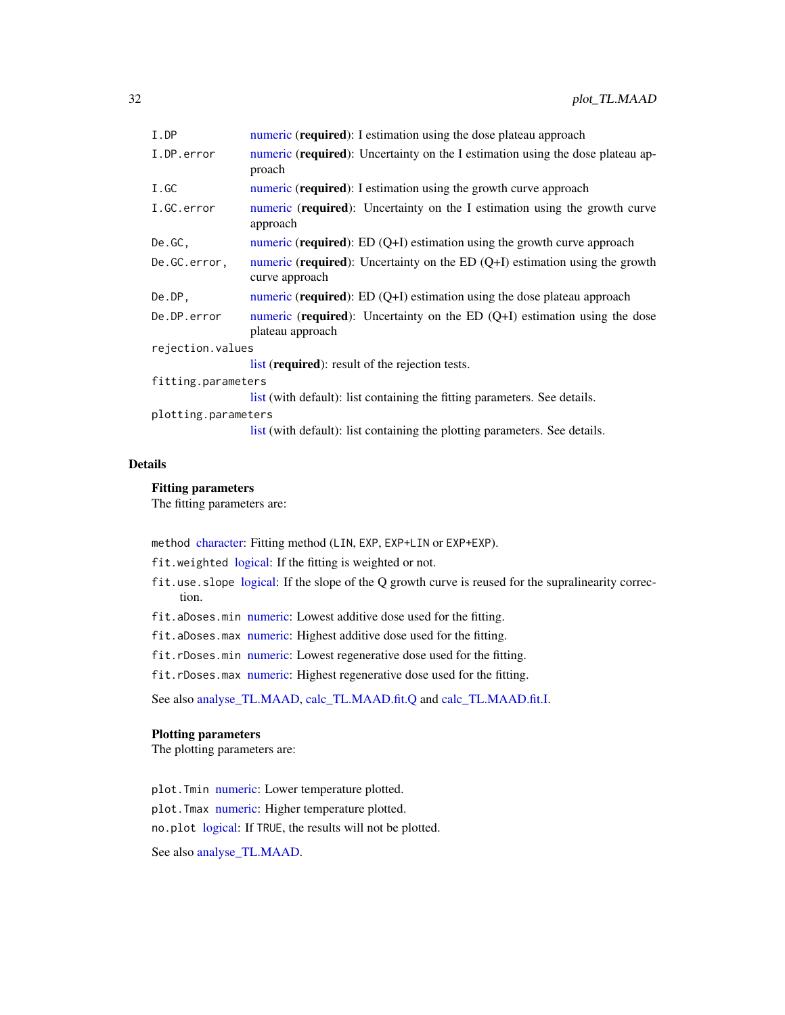<span id="page-31-0"></span>

| I.DP                | numeric ( <b>required</b> ): I estimation using the dose plateau approach                                |  |
|---------------------|----------------------------------------------------------------------------------------------------------|--|
| I.DP.error          | numeric (required): Uncertainty on the I estimation using the dose plateau ap-<br>proach                 |  |
| I.GC                | numeric ( <b>required</b> ): I estimation using the growth curve approach                                |  |
| I.GC.error          | numeric ( <b>required</b> ): Uncertainty on the I estimation using the growth curve<br>approach          |  |
| De.GC,              | numeric (required): $ED(Q+I)$ estimation using the growth curve approach                                 |  |
| De.GC.error,        | numeric (required): Uncertainty on the ED $(Q+I)$ estimation using the growth<br>curve approach          |  |
| De.DP,              | numeric (required): ED $(Q+I)$ estimation using the dose plateau approach                                |  |
| De.DP.error         | numeric ( <b>required</b> ): Uncertainty on the ED $(Q+I)$ estimation using the dose<br>plateau approach |  |
| rejection.values    |                                                                                                          |  |
|                     | list (required): result of the rejection tests.                                                          |  |
| fitting.parameters  |                                                                                                          |  |
|                     | list (with default): list containing the fitting parameters. See details.                                |  |
| plotting.parameters |                                                                                                          |  |
|                     | list (with default): list containing the plotting parameters. See details.                               |  |

### Details

### Fitting parameters

The fitting parameters are:

method [character:](#page-0-0) Fitting method (LIN, EXP, EXP+LIN or EXP+EXP).

- fit.weighted [logical:](#page-0-0) If the fitting is weighted or not.
- fit.use.slope [logical:](#page-0-0) If the slope of the Q growth curve is reused for the supralinearity correction.
- fit.aDoses.min [numeric:](#page-0-0) Lowest additive dose used for the fitting.
- fit.aDoses.max [numeric:](#page-0-0) Highest additive dose used for the fitting.
- fit.rDoses.min [numeric:](#page-0-0) Lowest regenerative dose used for the fitting.
- fit.rDoses.max [numeric:](#page-0-0) Highest regenerative dose used for the fitting.

See also [analyse\\_TL.MAAD,](#page-3-1) [calc\\_TL.MAAD.fit.Q](#page-13-1) and [calc\\_TL.MAAD.fit.I.](#page-11-1)

### Plotting parameters

The plotting parameters are:

plot.Tmin [numeric:](#page-0-0) Lower temperature plotted. plot.Tmax [numeric:](#page-0-0) Higher temperature plotted. no.plot [logical:](#page-0-0) If TRUE, the results will not be plotted.

See also [analyse\\_TL.MAAD.](#page-3-1)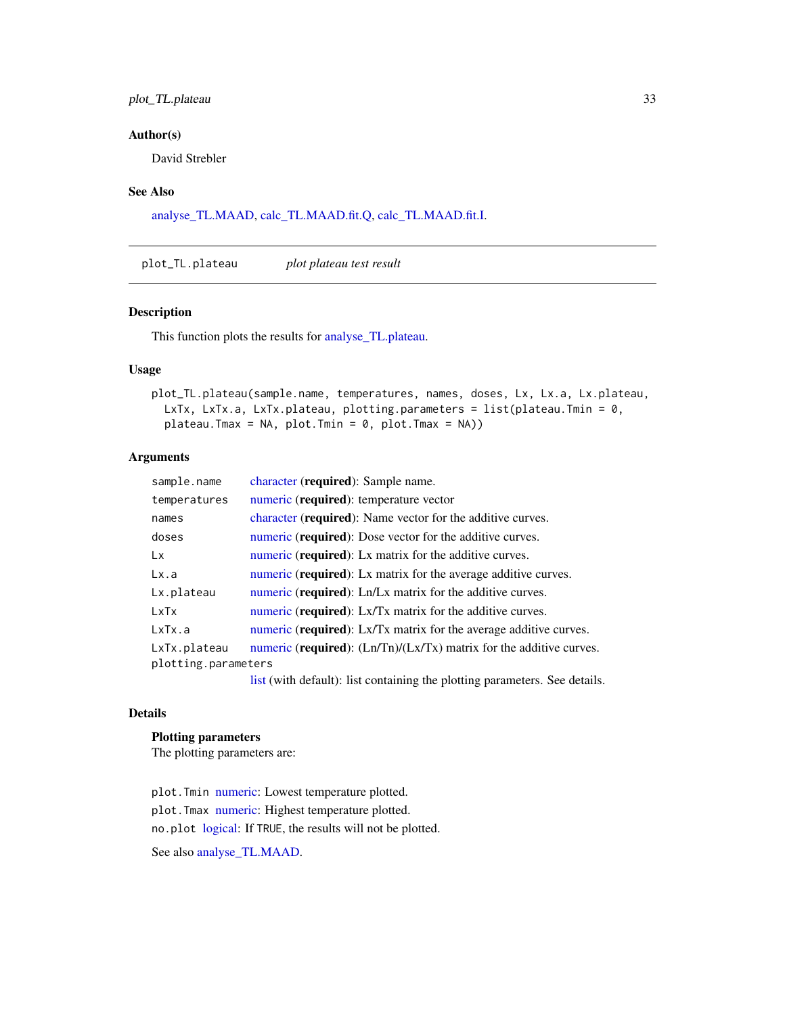### <span id="page-32-0"></span>plot\_TL.plateau 33

### Author(s)

David Strebler

### See Also

[analyse\\_TL.MAAD,](#page-3-1) [calc\\_TL.MAAD.fit.Q,](#page-13-1) [calc\\_TL.MAAD.fit.I.](#page-11-1)

<span id="page-32-1"></span>plot\_TL.plateau *plot plateau test result*

### Description

This function plots the results for [analyse\\_TL.plateau.](#page-6-1)

### Usage

```
plot_TL.plateau(sample.name, temperatures, names, doses, Lx, Lx.a, Lx.plateau,
 LxTx, LxTx.a, LxTx.plateau, plotting.parameters = list(plateau.Tmin = 0,
 plateau.Tmax = NA, plot.Tmin = 0, plot.Tmax = NA))
```
### Arguments

| sample.name         | character (required): Sample name.                                             |
|---------------------|--------------------------------------------------------------------------------|
| temperatures        | numeric (required): temperature vector                                         |
| names               | character ( <b>required</b> ): Name vector for the additive curves.            |
| doses               | numeric ( <b>required</b> ): Dose vector for the additive curves.              |
| Lx.                 | numeric ( <b>required</b> ): Lx matrix for the additive curves.                |
| Lx.a                | numeric ( <b>required</b> ): Lx matrix for the average additive curves.        |
| Lx.plateau          | numeric ( <b>required</b> ): Ln/Lx matrix for the additive curves.             |
| LxTx                | numeric ( <b>required</b> ): Lx/Tx matrix for the additive curves.             |
| LxTx.a              | numeric ( <b>required</b> ): Lx/Tx matrix for the average additive curves.     |
| LxTx.plateau        | numeric ( <b>required</b> ): $(Ln/Tn)/(Lx/Tx)$ matrix for the additive curves. |
| plotting.parameters |                                                                                |
|                     | list (with default): list containing the plotting parameters. See details.     |

#### Details

#### Plotting parameters

The plotting parameters are:

plot.Tmin [numeric:](#page-0-0) Lowest temperature plotted. plot.Tmax [numeric:](#page-0-0) Highest temperature plotted. no.plot [logical:](#page-0-0) If TRUE, the results will not be plotted. See also [analyse\\_TL.MAAD.](#page-3-1)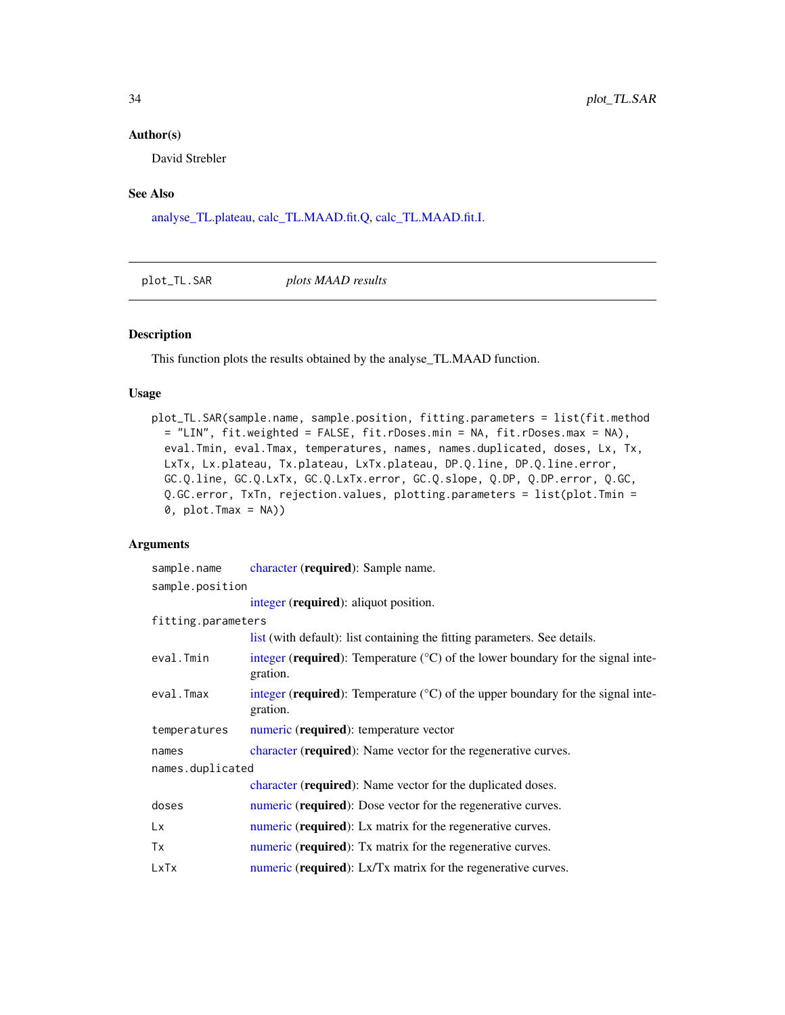#### <span id="page-33-0"></span>Author(s)

David Strebler

### See Also

[analyse\\_TL.plateau,](#page-6-1) [calc\\_TL.MAAD.fit.Q,](#page-13-1) [calc\\_TL.MAAD.fit.I.](#page-11-1)

<span id="page-33-1"></span>plot\_TL.SAR *plots MAAD results*

### Description

This function plots the results obtained by the analyse\_TL.MAAD function.

### Usage

plot\_TL.SAR(sample.name, sample.position, fitting.parameters = list(fit.method = "LIN", fit.weighted = FALSE, fit.rDoses.min = NA, fit.rDoses.max = NA), eval.Tmin, eval.Tmax, temperatures, names, names.duplicated, doses, Lx, Tx, LxTx, Lx.plateau, Tx.plateau, LxTx.plateau, DP.Q.line, DP.Q.line.error, GC.Q.line, GC.Q.LxTx, GC.Q.LxTx.error, GC.Q.slope, Q.DP, Q.DP.error, Q.GC, Q.GC.error, TxTn, rejection.values, plotting.parameters = list(plot.Tmin =  $\emptyset$ , plot.Tmax = NA))

### Arguments

| sample.name        | character (required): Sample name.                                                                     |
|--------------------|--------------------------------------------------------------------------------------------------------|
| sample.position    |                                                                                                        |
|                    | integer (required): aliquot position.                                                                  |
| fitting.parameters |                                                                                                        |
|                    | list (with default): list containing the fitting parameters. See details.                              |
| eval.Tmin          | integer (required): Temperature $(^{\circ}C)$ of the lower boundary for the signal inte-<br>gration.   |
| eval.Tmax          | integer (required): Temperature $({}^{\circ}C)$ of the upper boundary for the signal inte-<br>gration. |
| temperatures       | numeric (required): temperature vector                                                                 |
| names              | character (required): Name vector for the regenerative curves.                                         |
| names.duplicated   |                                                                                                        |
|                    | character (required): Name vector for the duplicated doses.                                            |
| doses              | numeric (required): Dose vector for the regenerative curves.                                           |
| Lx                 | numeric (required): Lx matrix for the regenerative curves.                                             |
| Tx                 | numeric (required): Tx matrix for the regenerative curves.                                             |
| LxTx               | numeric (required): Lx/Tx matrix for the regenerative curves.                                          |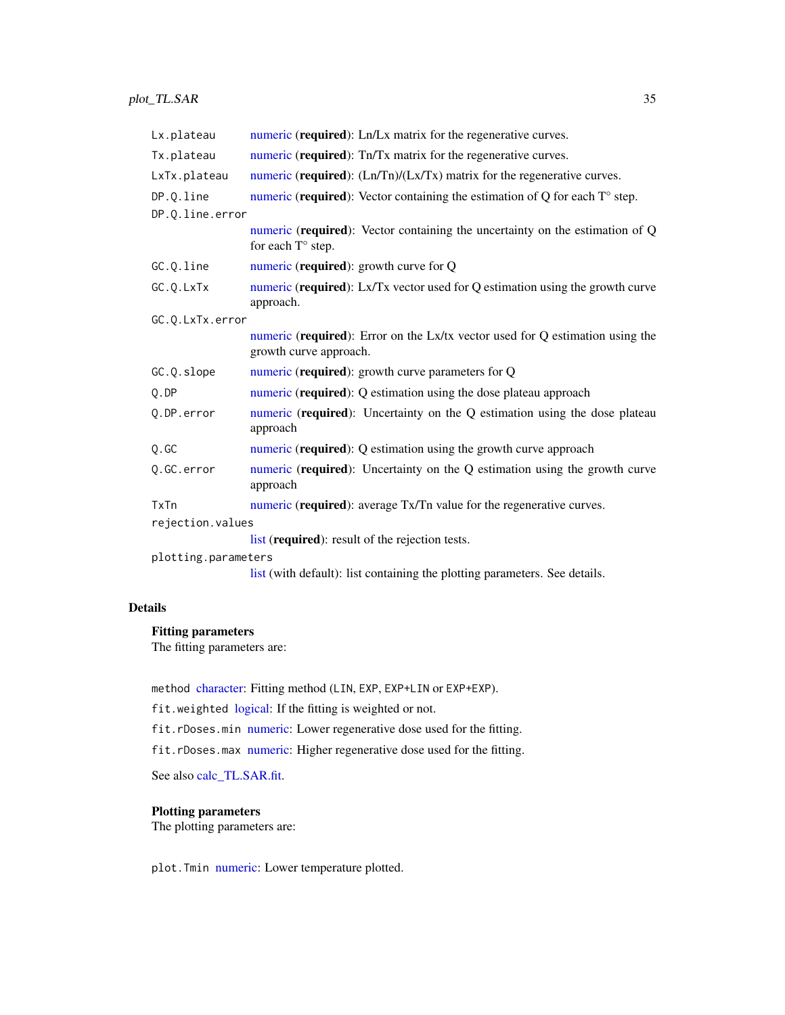<span id="page-34-0"></span>

| Lx.plateau          | numeric (required): Ln/Lx matrix for the regenerative curves.                                              |
|---------------------|------------------------------------------------------------------------------------------------------------|
| Tx.plateau          | numeric (required): Tn/Tx matrix for the regenerative curves.                                              |
| LxTx.plateau        | numeric (required): $(Ln/Tn)/(Lx/Tx)$ matrix for the regenerative curves.                                  |
| DP.Q.line           | numeric (required): Vector containing the estimation of $Q$ for each $T^{\circ}$ step.                     |
| DP.Q.line.error     |                                                                                                            |
|                     | numeric (required): Vector containing the uncertainty on the estimation of Q<br>for each $T^{\circ}$ step. |
| GC.Q.line           | numeric (required): growth curve for Q                                                                     |
| GC.Q.LxTx           | numeric (required): Lx/Tx vector used for Q estimation using the growth curve<br>approach.                 |
| GC.O.LxTx.error     |                                                                                                            |
|                     | numeric (required): Error on the Lx/tx vector used for Q estimation using the<br>growth curve approach.    |
| GC.Q.slope          | numeric (required): growth curve parameters for Q                                                          |
| Q.DP                | numeric (required): Q estimation using the dose plateau approach                                           |
| Q.DP.error          | numeric (required): Uncertainty on the Q estimation using the dose plateau<br>approach                     |
| 0.GC                | numeric (required): Q estimation using the growth curve approach                                           |
| Q.GC.error          | numeric (required): Uncertainty on the Q estimation using the growth curve<br>approach                     |
| TxTn                | numeric (required): average Tx/Tn value for the regenerative curves.                                       |
| rejection.values    |                                                                                                            |
|                     | list (required): result of the rejection tests.                                                            |
| plotting.parameters |                                                                                                            |
|                     | list (with default): list containing the plotting parameters. See details.                                 |

### Details

### Fitting parameters

The fitting parameters are:

method [character:](#page-0-0) Fitting method (LIN, EXP, EXP+LIN or EXP+EXP).

fit.weighted [logical:](#page-0-0) If the fitting is weighted or not.

fit.rDoses.min [numeric:](#page-0-0) Lower regenerative dose used for the fitting.

fit.rDoses.max [numeric:](#page-0-0) Higher regenerative dose used for the fitting.

See also [calc\\_TL.SAR.fit.](#page-16-1)

### Plotting parameters

The plotting parameters are:

plot.Tmin [numeric:](#page-0-0) Lower temperature plotted.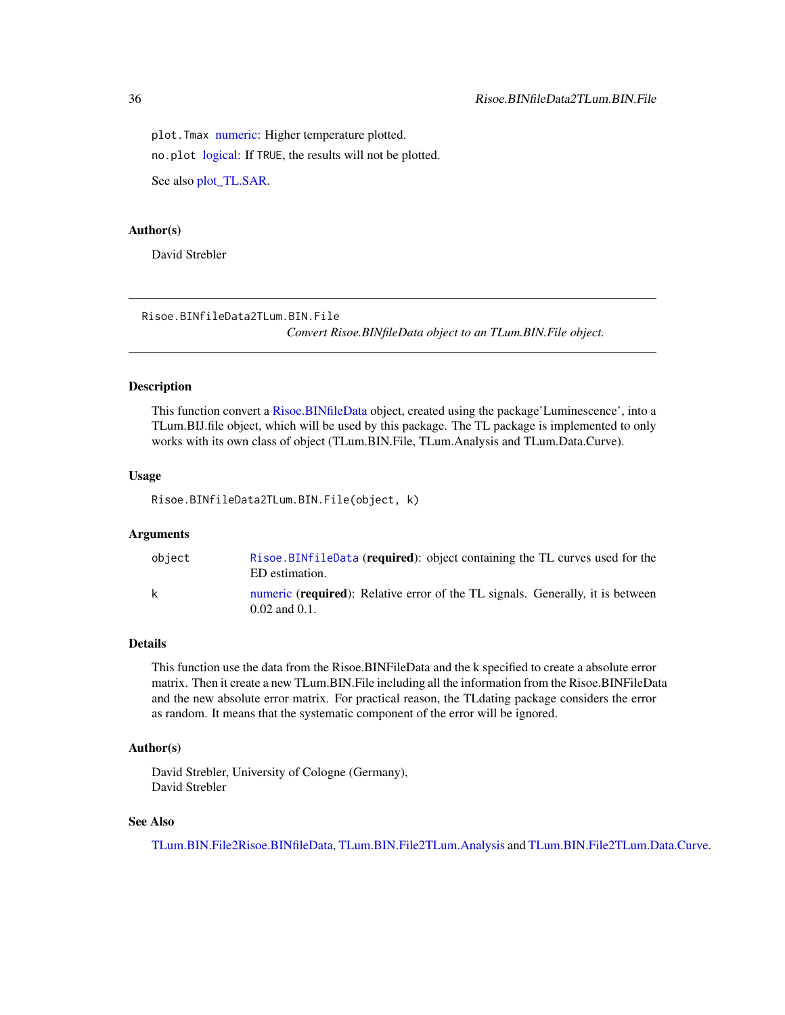<span id="page-35-0"></span>plot. Tmax [numeric:](#page-0-0) Higher temperature plotted. no.plot [logical:](#page-0-0) If TRUE, the results will not be plotted. See also [plot\\_TL.SAR.](#page-33-1)

#### Author(s)

David Strebler

<span id="page-35-1"></span>Risoe.BINfileData2TLum.BIN.File *Convert Risoe.BINfileData object to an TLum.BIN.File object.*

### Description

This function convert a [Risoe.BINfileData](#page-0-0) object, created using the package'Luminescence', into a TLum.BIJ.file object, which will be used by this package. The TL package is implemented to only works with its own class of object (TLum.BIN.File, TLum.Analysis and TLum.Data.Curve).

#### Usage

Risoe.BINfileData2TLum.BIN.File(object, k)

#### Arguments

| obiect | Risoe.BINfileData (required): object containing the TL curves used for the<br>ED estimation.                  |
|--------|---------------------------------------------------------------------------------------------------------------|
| k      | numeric ( <b>required</b> ): Relative error of the TL signals. Generally, it is between<br>$0.02$ and $0.1$ . |

### Details

This function use the data from the Risoe.BINFileData and the k specified to create a absolute error matrix. Then it create a new TLum.BIN.File including all the information from the Risoe.BINFileData and the new absolute error matrix. For practical reason, the TLdating package considers the error as random. It means that the systematic component of the error will be ignored.

### Author(s)

David Strebler, University of Cologne (Germany), David Strebler

### See Also

[TLum.BIN.File2Risoe.BINfileData,](#page-53-1) [TLum.BIN.File2TLum.Analysis](#page-53-2) and [TLum.BIN.File2TLum.Data.Curve.](#page-54-1)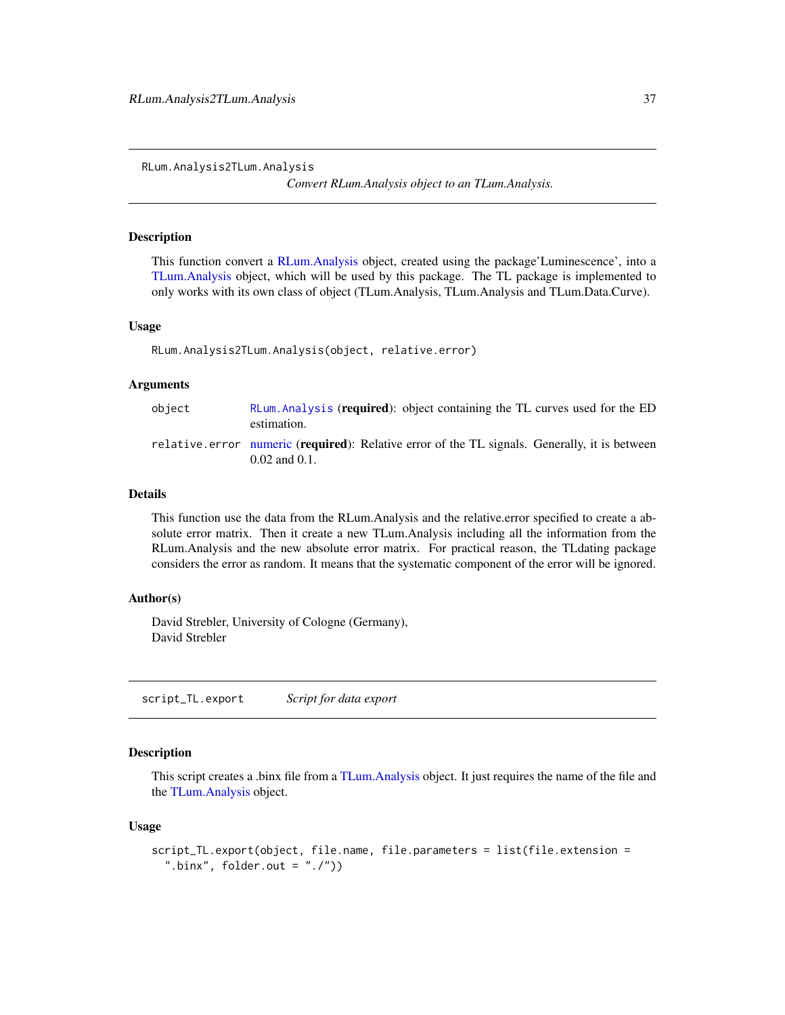<span id="page-36-0"></span>RLum.Analysis2TLum.Analysis

*Convert RLum.Analysis object to an TLum.Analysis.*

#### Description

This function convert a [RLum.Analysis](#page-0-0) object, created using the package'Luminescence', into a [TLum.Analysis](#page-49-1) object, which will be used by this package. The TL package is implemented to only works with its own class of object (TLum.Analysis, TLum.Analysis and TLum.Data.Curve).

#### Usage

```
RLum.Analysis2TLum.Analysis(object, relative.error)
```
#### Arguments

| object | RLum. Analysis (required): object containing the TL curves used for the ED<br>estimation.                           |
|--------|---------------------------------------------------------------------------------------------------------------------|
|        | relative.error numeric (required): Relative error of the TL signals. Generally, it is between<br>$0.02$ and $0.1$ . |

#### Details

This function use the data from the RLum.Analysis and the relative.error specified to create a absolute error matrix. Then it create a new TLum.Analysis including all the information from the RLum.Analysis and the new absolute error matrix. For practical reason, the TLdating package considers the error as random. It means that the systematic component of the error will be ignored.

### Author(s)

David Strebler, University of Cologne (Germany), David Strebler

script\_TL.export *Script for data export*

#### Description

This script creates a .binx file from a [TLum.Analysis](#page-49-1) object. It just requires the name of the file and the [TLum.Analysis](#page-49-1) object.

#### Usage

```
script_TL.export(object, file.name, file.parameters = list(file.extension =
 ".binx", folder.out = ".'")
```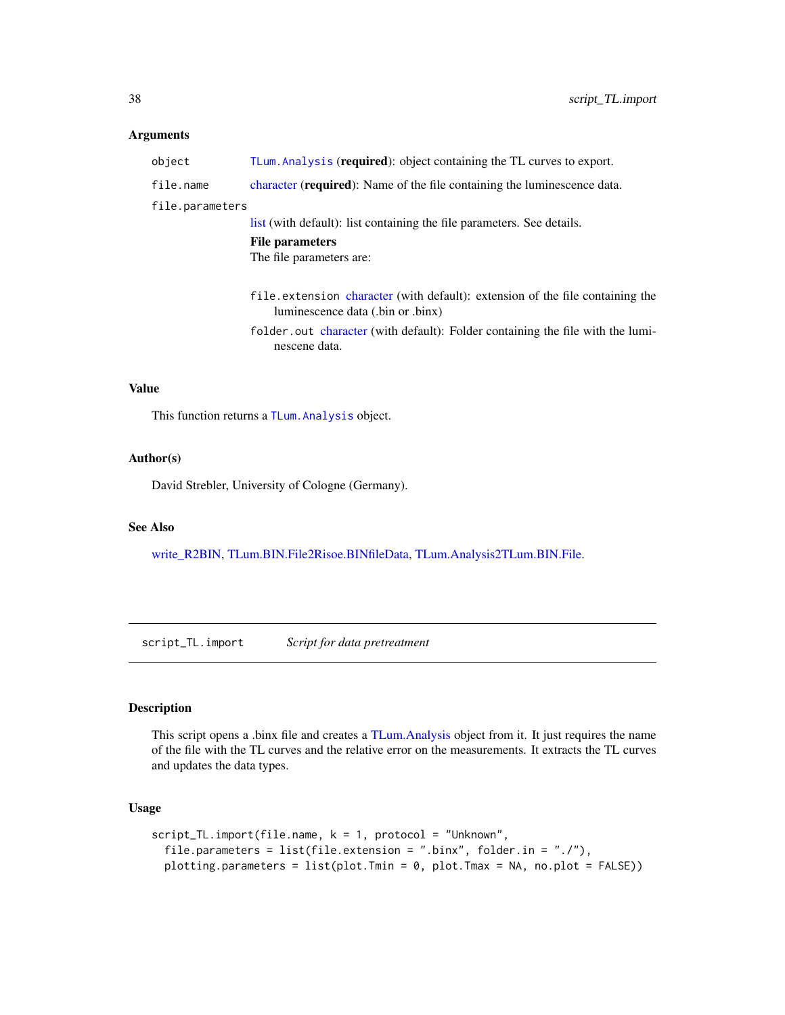#### <span id="page-37-0"></span>Arguments

| object          | TLum. Analysis (required): object containing the TL curves to export.                                              |
|-----------------|--------------------------------------------------------------------------------------------------------------------|
| file.name       | character (required): Name of the file containing the luminescence data.                                           |
| file.parameters |                                                                                                                    |
|                 | list (with default): list containing the file parameters. See details.                                             |
|                 | <b>File parameters</b>                                                                                             |
|                 | The file parameters are:                                                                                           |
|                 | file.extension character (with default): extension of the file containing the<br>luminescence data (.bin or .binx) |
|                 | folder.out character (with default): Folder containing the file with the lumi-<br>nescene data.                    |
|                 |                                                                                                                    |
|                 |                                                                                                                    |

### Value

This function returns a [TLum.Analysis](#page-49-1) object.

### Author(s)

David Strebler, University of Cologne (Germany).

### See Also

[write\\_R2BIN,](#page-0-0) [TLum.BIN.File2Risoe.BINfileData,](#page-53-1) [TLum.Analysis2TLum.BIN.File.](#page-51-1)

script\_TL.import *Script for data pretreatment*

### Description

This script opens a .binx file and creates a [TLum.Analysis](#page-49-1) object from it. It just requires the name of the file with the TL curves and the relative error on the measurements. It extracts the TL curves and updates the data types.

### Usage

```
script_TL.import(file.name, k = 1, protocol = "Unknown",
 file.parameters = list(file.extension = ".binx", folder.in = "./"),
 plotting.parameters = list(plot.Tmin = 0, plot.Tmax = NA, no.plot = FALSE))
```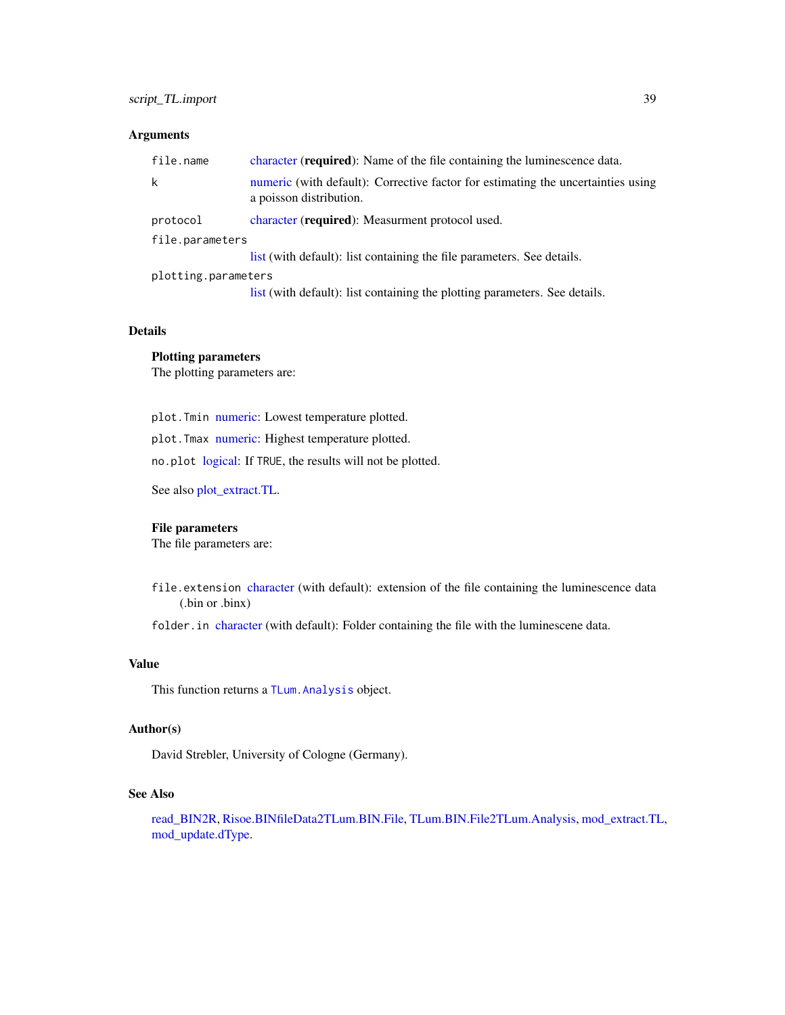### <span id="page-38-0"></span>script\_TL.import 39

### Arguments

| file.name           | character (required): Name of the file containing the luminescence data.                                    |  |
|---------------------|-------------------------------------------------------------------------------------------------------------|--|
| k                   | numeric (with default): Corrective factor for estimating the uncertainties using<br>a poisson distribution. |  |
| protocol            | character ( <b>required</b> ): Measurment protocol used.                                                    |  |
| file.parameters     |                                                                                                             |  |
|                     | list (with default): list containing the file parameters. See details.                                      |  |
| plotting.parameters |                                                                                                             |  |
|                     | list (with default): list containing the plotting parameters. See details.                                  |  |

### Details

#### Plotting parameters

The plotting parameters are:

plot.Tmin [numeric:](#page-0-0) Lowest temperature plotted.

plot.Tmax [numeric:](#page-0-0) Highest temperature plotted.

no.plot [logical:](#page-0-0) If TRUE, the results will not be plotted.

See also [plot\\_extract.TL.](#page-27-2)

### File parameters

The file parameters are:

file.extension [character](#page-0-0) (with default): extension of the file containing the luminescence data (.bin or .binx)

folder.in [character](#page-0-0) (with default): Folder containing the file with the luminescene data.

### Value

This function returns a [TLum.Analysis](#page-49-1) object.

### Author(s)

David Strebler, University of Cologne (Germany).

### See Also

[read\\_BIN2R,](#page-0-0) [Risoe.BINfileData2TLum.BIN.File,](#page-35-1) [TLum.BIN.File2TLum.Analysis,](#page-53-2) [mod\\_extract.TL,](#page-21-1) [mod\\_update.dType.](#page-24-1)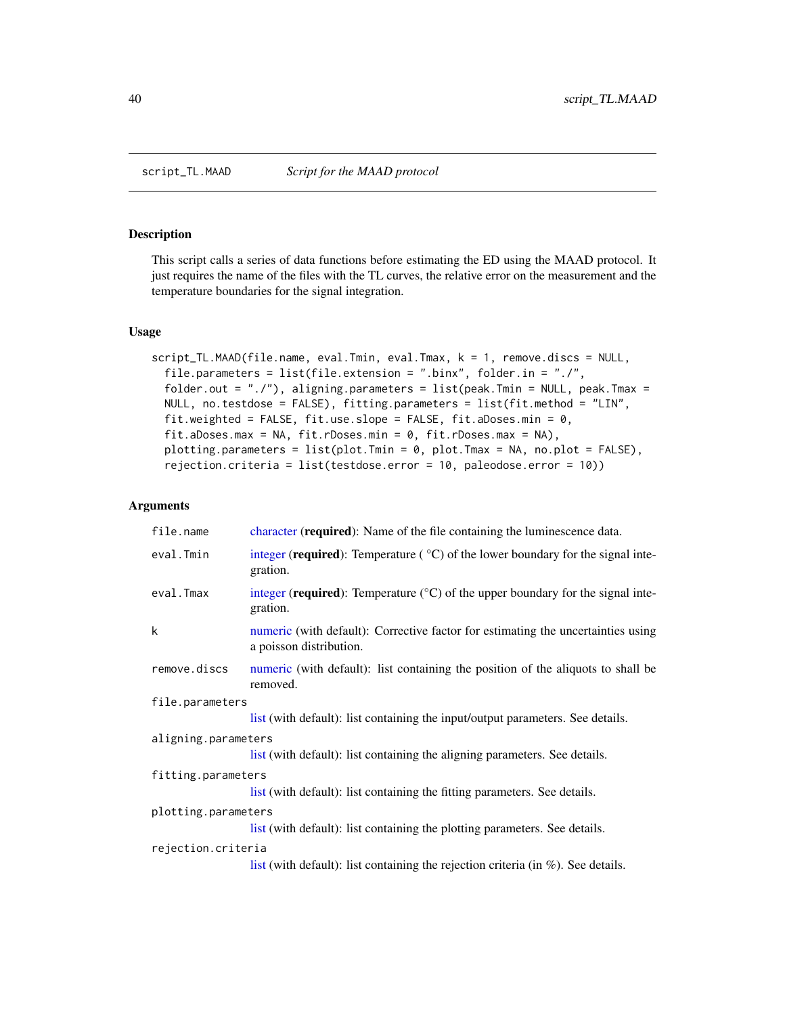<span id="page-39-0"></span>

### Description

This script calls a series of data functions before estimating the ED using the MAAD protocol. It just requires the name of the files with the TL curves, the relative error on the measurement and the temperature boundaries for the signal integration.

#### Usage

```
script_TL.MAAD(file.name, eval.Tmin, eval.Tmax, k = 1, remove.discs = NULL,
 file.parameters = list(file.extension = ".binx", folder.in = "./",
 folder.out = "./"), aligning.parameters = list(peak.Tmin = NULL, peak.Tmax =
 NULL, no.testdose = FALSE), fitting.parameters = list(fit.method = "LIN",
 fit.weighted = FALSE, fit.use.slope = FALSE, fit.aDoses.min = 0,
 fit.aDoses.max = NA, fit.rDoses.min = 0, fit.rDoses.max = NA),
 plotting.parameters = list(plot.Tmin = 0, plot.Tmax = NA, no.plot = FALSE),
 rejection.criteria = list(testdose.error = 10, paleodose.error = 10))
```
#### Arguments

| file.name           | character (required): Name of the file containing the luminescence data.                                    |  |  |
|---------------------|-------------------------------------------------------------------------------------------------------------|--|--|
| eval.Tmin           | integer (required): Temperature ( $\degree$ C) of the lower boundary for the signal inte-<br>gration.       |  |  |
| eval.Tmax           | integer (required): Temperature $({}^{\circ}C)$ of the upper boundary for the signal inte-<br>gration.      |  |  |
| k                   | numeric (with default): Corrective factor for estimating the uncertainties using<br>a poisson distribution. |  |  |
| remove.discs        | numeric (with default): list containing the position of the aliquots to shall be<br>removed.                |  |  |
|                     | file.parameters                                                                                             |  |  |
|                     | list (with default): list containing the input/output parameters. See details.                              |  |  |
| aligning.parameters |                                                                                                             |  |  |
|                     | list (with default): list containing the aligning parameters. See details.                                  |  |  |
| fitting.parameters  |                                                                                                             |  |  |
|                     | list (with default): list containing the fitting parameters. See details.                                   |  |  |
| plotting.parameters |                                                                                                             |  |  |
|                     | list (with default): list containing the plotting parameters. See details.                                  |  |  |
| rejection.criteria  |                                                                                                             |  |  |
|                     | list (with default): list containing the rejection criteria (in $\%$ ). See details.                        |  |  |
|                     |                                                                                                             |  |  |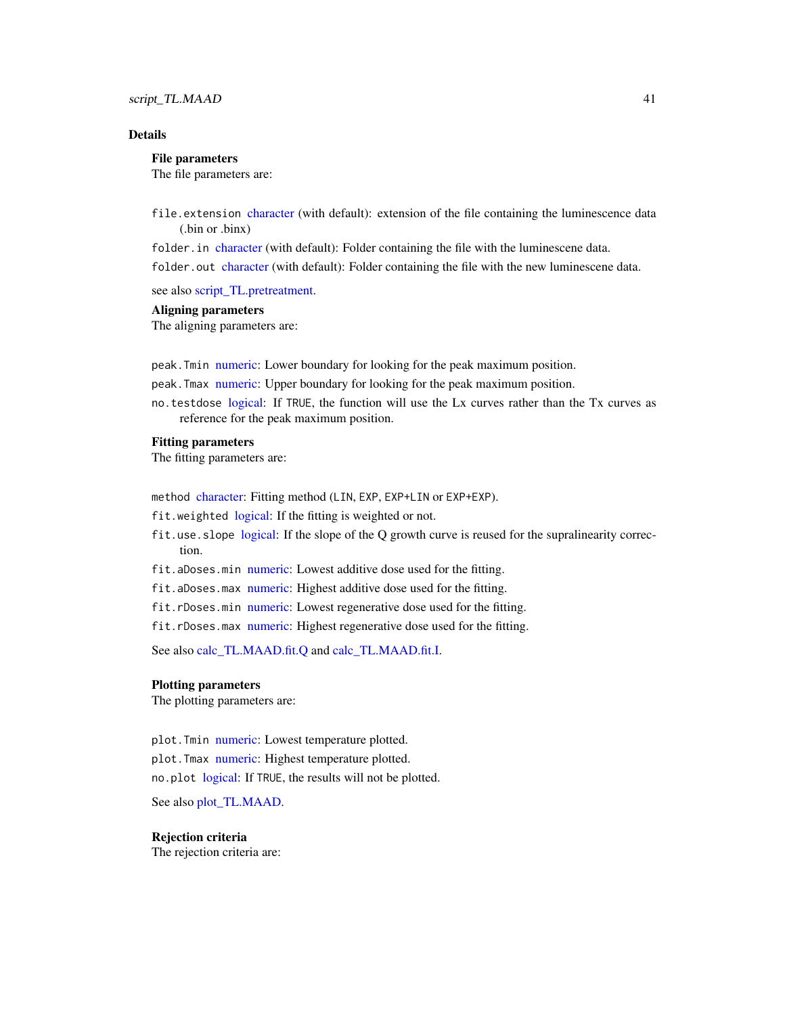### <span id="page-40-0"></span>script\_TL.MAAD 41

### Details

#### File parameters

The file parameters are:

file.extension [character](#page-0-0) (with default): extension of the file containing the luminescence data (.bin or .binx)

folder. in [character](#page-0-0) (with default): Folder containing the file with the luminescene data. folder.out [character](#page-0-0) (with default): Folder containing the file with the new luminescene data.

see also [script\\_TL.pretreatment.](#page-43-1)

### Aligning parameters

The aligning parameters are:

peak.Tmin [numeric:](#page-0-0) Lower boundary for looking for the peak maximum position.

peak.Tmax [numeric:](#page-0-0) Upper boundary for looking for the peak maximum position.

no.testdose [logical:](#page-0-0) If TRUE, the function will use the Lx curves rather than the Tx curves as reference for the peak maximum position.

#### Fitting parameters

The fitting parameters are:

method [character:](#page-0-0) Fitting method (LIN, EXP, EXP+LIN or EXP+EXP).

fit.weighted [logical:](#page-0-0) If the fitting is weighted or not.

- fit.use.slope [logical:](#page-0-0) If the slope of the Q growth curve is reused for the supralinearity correction.
- fit.aDoses.min [numeric:](#page-0-0) Lowest additive dose used for the fitting.
- fit.aDoses.max [numeric:](#page-0-0) Highest additive dose used for the fitting.
- fit.rDoses.min [numeric:](#page-0-0) Lowest regenerative dose used for the fitting.
- fit.rDoses.max [numeric:](#page-0-0) Highest regenerative dose used for the fitting.

See also [calc\\_TL.MAAD.fit.Q](#page-13-1) and [calc\\_TL.MAAD.fit.I.](#page-11-1)

#### Plotting parameters

The plotting parameters are:

plot. Tmin [numeric:](#page-0-0) Lowest temperature plotted. plot. Tmax [numeric:](#page-0-0) Highest temperature plotted. no.plot [logical:](#page-0-0) If TRUE, the results will not be plotted.

See also [plot\\_TL.MAAD.](#page-29-1)

#### Rejection criteria

The rejection criteria are: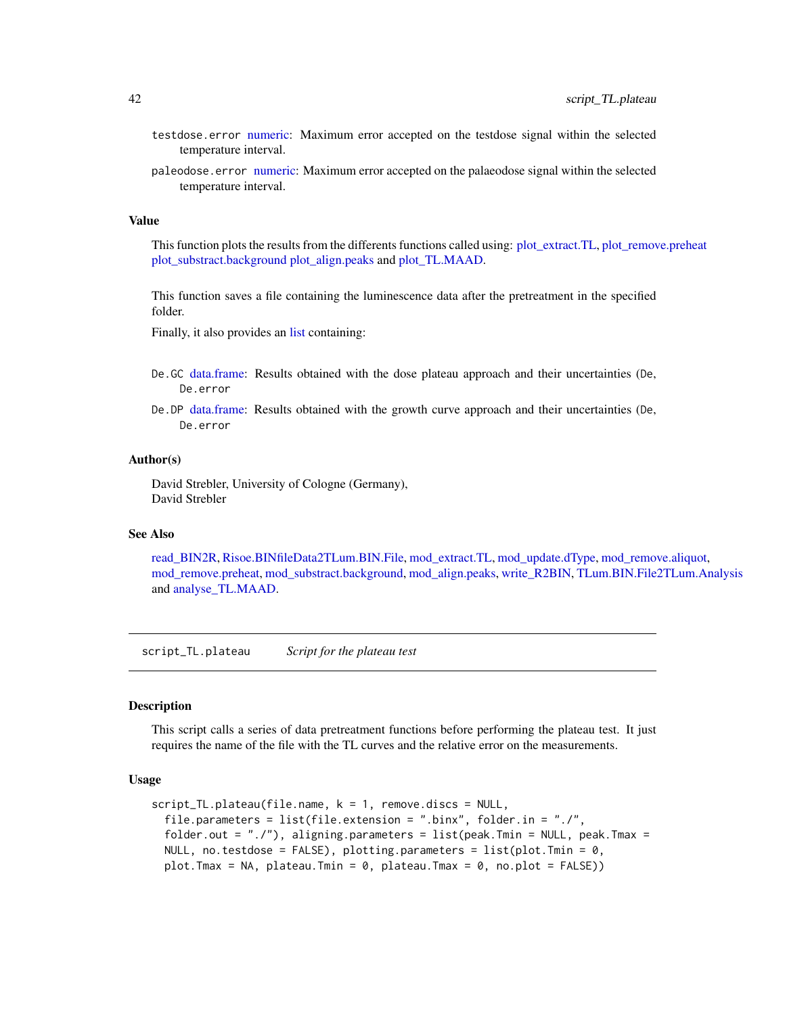- <span id="page-41-0"></span>testdose.error [numeric:](#page-0-0) Maximum error accepted on the testdose signal within the selected temperature interval.
- paleodose.error [numeric:](#page-0-0) Maximum error accepted on the palaeodose signal within the selected temperature interval.

#### Value

This function plots the results from the differents functions called using: [plot\\_extract.TL,](#page-27-2) [plot\\_remove.preheat](#page-27-1) [plot\\_substract.background](#page-28-1) [plot\\_align.peaks](#page-26-1) and [plot\\_TL.MAAD.](#page-29-1)

This function saves a file containing the luminescence data after the pretreatment in the specified folder.

Finally, it also provides an [list](#page-0-0) containing:

- De.GC [data.frame:](#page-0-0) Results obtained with the dose plateau approach and their uncertainties (De, De.error
- De.DP [data.frame:](#page-0-0) Results obtained with the growth curve approach and their uncertainties (De, De.error

#### Author(s)

David Strebler, University of Cologne (Germany), David Strebler

#### See Also

[read\\_BIN2R,](#page-0-0) [Risoe.BINfileData2TLum.BIN.File,](#page-35-1) [mod\\_extract.TL,](#page-21-1) [mod\\_update.dType,](#page-24-1) [mod\\_remove.aliquot,](#page-22-2) [mod\\_remove.preheat,](#page-22-1) [mod\\_substract.background,](#page-23-1) [mod\\_align.peaks,](#page-18-1) [write\\_R2BIN,](#page-0-0) [TLum.BIN.File2TLum.Analysis](#page-53-2) and [analyse\\_TL.MAAD.](#page-3-1)

script\_TL.plateau *Script for the plateau test*

#### Description

This script calls a series of data pretreatment functions before performing the plateau test. It just requires the name of the file with the TL curves and the relative error on the measurements.

#### Usage

```
script_TL.plateau(file.name, k = 1, remove.discs = NULL,
 file.parameters = list(file.extension = ".binx", folder.in = "./",
 folder.out = "./"), aligning.parameters = list(peak.Tmin = NULL, peak.Tmax =
 NULL, no.testdose = FALSE), plotting.parameters = list(plot.Tmin = 0,plot.Tmax = NA, plateau.Tmin = 0, plateau.Tmax = 0, no.plot = FALSE))
```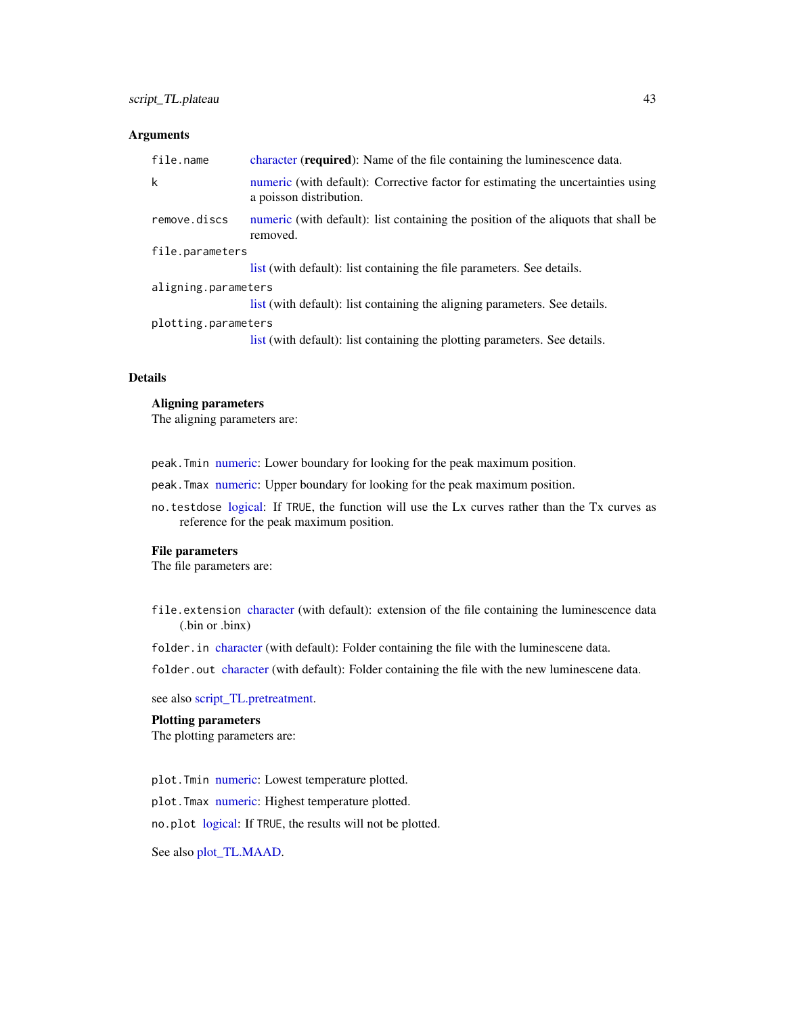### <span id="page-42-0"></span>Arguments

| file.name           | character ( <b>required</b> ): Name of the file containing the luminescence data.                           |
|---------------------|-------------------------------------------------------------------------------------------------------------|
| k                   | numeric (with default): Corrective factor for estimating the uncertainties using<br>a poisson distribution. |
| remove.discs        | numeric (with default): list containing the position of the aliquots that shall be<br>removed.              |
| file.parameters     |                                                                                                             |
|                     | list (with default): list containing the file parameters. See details.                                      |
| aligning.parameters |                                                                                                             |
|                     | list (with default): list containing the aligning parameters. See details.                                  |
| plotting.parameters |                                                                                                             |
|                     | list (with default): list containing the plotting parameters. See details.                                  |

#### Details

### Aligning parameters

The aligning parameters are:

peak.Tmin [numeric:](#page-0-0) Lower boundary for looking for the peak maximum position.

peak.Tmax [numeric:](#page-0-0) Upper boundary for looking for the peak maximum position.

no.testdose [logical:](#page-0-0) If TRUE, the function will use the Lx curves rather than the Tx curves as reference for the peak maximum position.

#### File parameters

The file parameters are:

file.extension [character](#page-0-0) (with default): extension of the file containing the luminescence data (.bin or .binx)

folder.in [character](#page-0-0) (with default): Folder containing the file with the luminescene data.

folder.out [character](#page-0-0) (with default): Folder containing the file with the new luminescene data.

see also [script\\_TL.pretreatment.](#page-43-1)

### Plotting parameters

The plotting parameters are:

plot.Tmin [numeric:](#page-0-0) Lowest temperature plotted.

plot.Tmax [numeric:](#page-0-0) Highest temperature plotted.

no.plot [logical:](#page-0-0) If TRUE, the results will not be plotted.

See also [plot\\_TL.MAAD.](#page-29-1)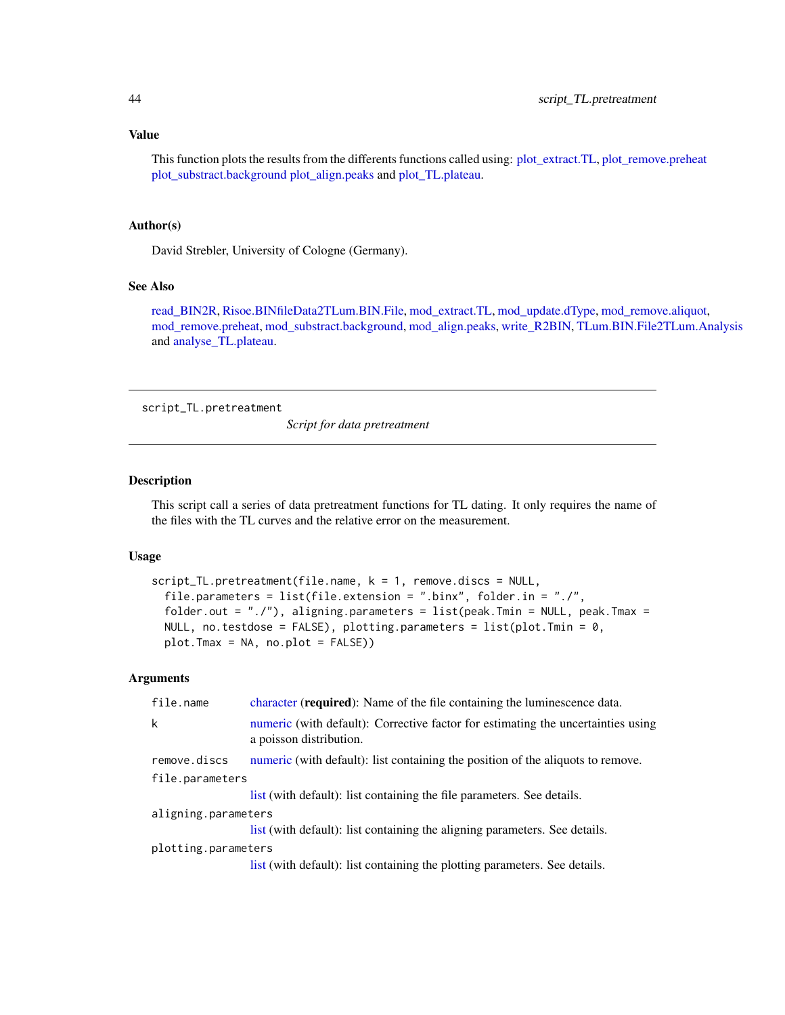#### <span id="page-43-0"></span>Value

This function plots the results from the differents functions called using: [plot\\_extract.TL,](#page-27-2) [plot\\_remove.preheat](#page-27-1) [plot\\_substract.background](#page-28-1) [plot\\_align.peaks](#page-26-1) and [plot\\_TL.plateau.](#page-32-1)

### Author(s)

David Strebler, University of Cologne (Germany).

#### See Also

[read\\_BIN2R,](#page-0-0) [Risoe.BINfileData2TLum.BIN.File,](#page-35-1) [mod\\_extract.TL,](#page-21-1) [mod\\_update.dType,](#page-24-1) [mod\\_remove.aliquot,](#page-22-2) [mod\\_remove.preheat,](#page-22-1) [mod\\_substract.background,](#page-23-1) [mod\\_align.peaks,](#page-18-1) [write\\_R2BIN,](#page-0-0) [TLum.BIN.File2TLum.Analysis](#page-53-2) and [analyse\\_TL.plateau.](#page-6-1)

<span id="page-43-1"></span>script\_TL.pretreatment

*Script for data pretreatment*

### Description

This script call a series of data pretreatment functions for TL dating. It only requires the name of the files with the TL curves and the relative error on the measurement.

### Usage

```
script_TL.pretreatment(file.name, k = 1, remove.discs = NULL,file.parameters = list(file.extension = ".binx", folder.in = "./",
  folder.out = "./"), aligning.parameters = list(peak.Tmin = NULL, peak.Tmax =
 NULL, no.testdose = FALSE), plotting.parameters = list(plot.Tmin = 0,plot.Tmax = NA, no.plot = FALSE))
```
#### Arguments

| file.name           | character ( <b>required</b> ): Name of the file containing the luminescence data.                           |
|---------------------|-------------------------------------------------------------------------------------------------------------|
| k                   | numeric (with default): Corrective factor for estimating the uncertainties using<br>a poisson distribution. |
| remove.discs        | numeric (with default): list containing the position of the aliquots to remove.                             |
| file.parameters     |                                                                                                             |
|                     | list (with default): list containing the file parameters. See details.                                      |
| aligning.parameters |                                                                                                             |
|                     | list (with default): list containing the aligning parameters. See details.                                  |
| plotting.parameters |                                                                                                             |
|                     | list (with default): list containing the plotting parameters. See details.                                  |
|                     |                                                                                                             |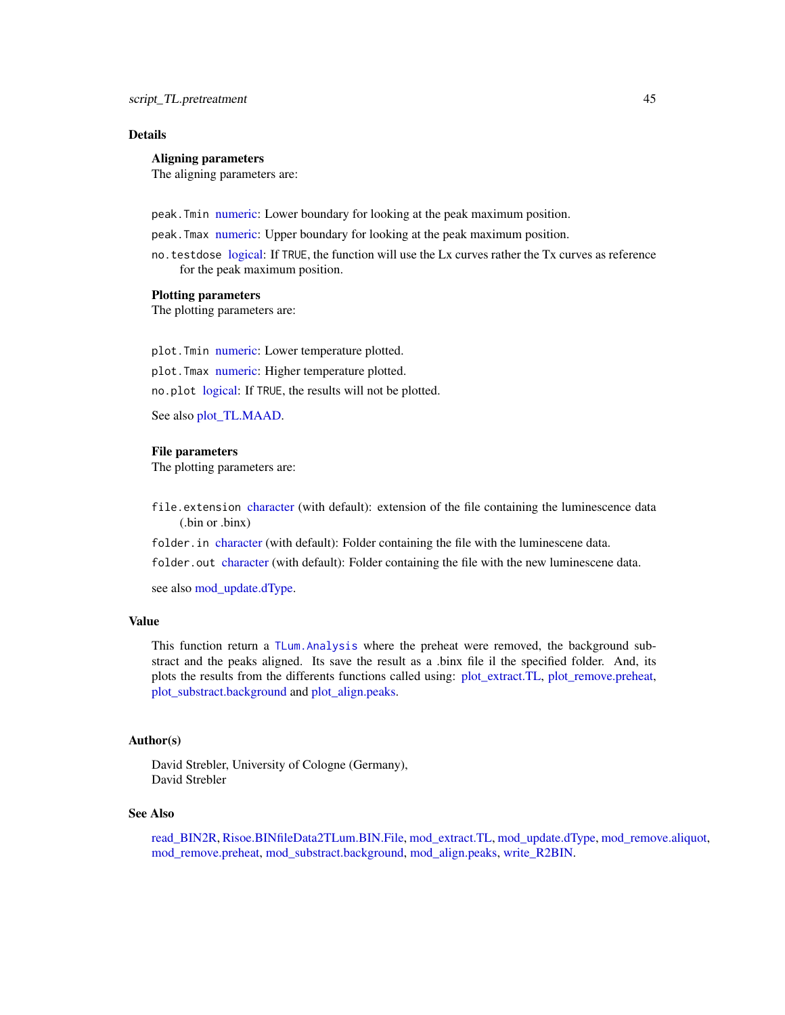### <span id="page-44-0"></span>Details

### Aligning parameters

The aligning parameters are:

peak.Tmin [numeric:](#page-0-0) Lower boundary for looking at the peak maximum position.

- peak.Tmax [numeric:](#page-0-0) Upper boundary for looking at the peak maximum position.
- no.testdose [logical:](#page-0-0) If TRUE, the function will use the Lx curves rather the Tx curves as reference for the peak maximum position.

#### Plotting parameters

The plotting parameters are:

plot. Tmin [numeric:](#page-0-0) Lower temperature plotted. plot. Tmax [numeric:](#page-0-0) Higher temperature plotted. no.plot [logical:](#page-0-0) If TRUE, the results will not be plotted.

See also [plot\\_TL.MAAD.](#page-29-1)

#### File parameters

The plotting parameters are:

- file.extension [character](#page-0-0) (with default): extension of the file containing the luminescence data (.bin or .binx)
- folder.in [character](#page-0-0) (with default): Folder containing the file with the luminescene data.

folder.out [character](#page-0-0) (with default): Folder containing the file with the new luminescene data.

see also mod update.dType.

### Value

This function return a [TLum.Analysis](#page-49-1) where the preheat were removed, the background substract and the peaks aligned. Its save the result as a .binx file il the specified folder. And, its plots the results from the differents functions called using: [plot\\_extract.TL,](#page-27-2) [plot\\_remove.preheat,](#page-27-1) [plot\\_substract.background](#page-28-1) and [plot\\_align.peaks.](#page-26-1)

### Author(s)

David Strebler, University of Cologne (Germany), David Strebler

#### See Also

[read\\_BIN2R,](#page-0-0) [Risoe.BINfileData2TLum.BIN.File,](#page-35-1) [mod\\_extract.TL,](#page-21-1) [mod\\_update.dType,](#page-24-1) [mod\\_remove.aliquot,](#page-22-2) [mod\\_remove.preheat,](#page-22-1) [mod\\_substract.background,](#page-23-1) [mod\\_align.peaks,](#page-18-1) [write\\_R2BIN.](#page-0-0)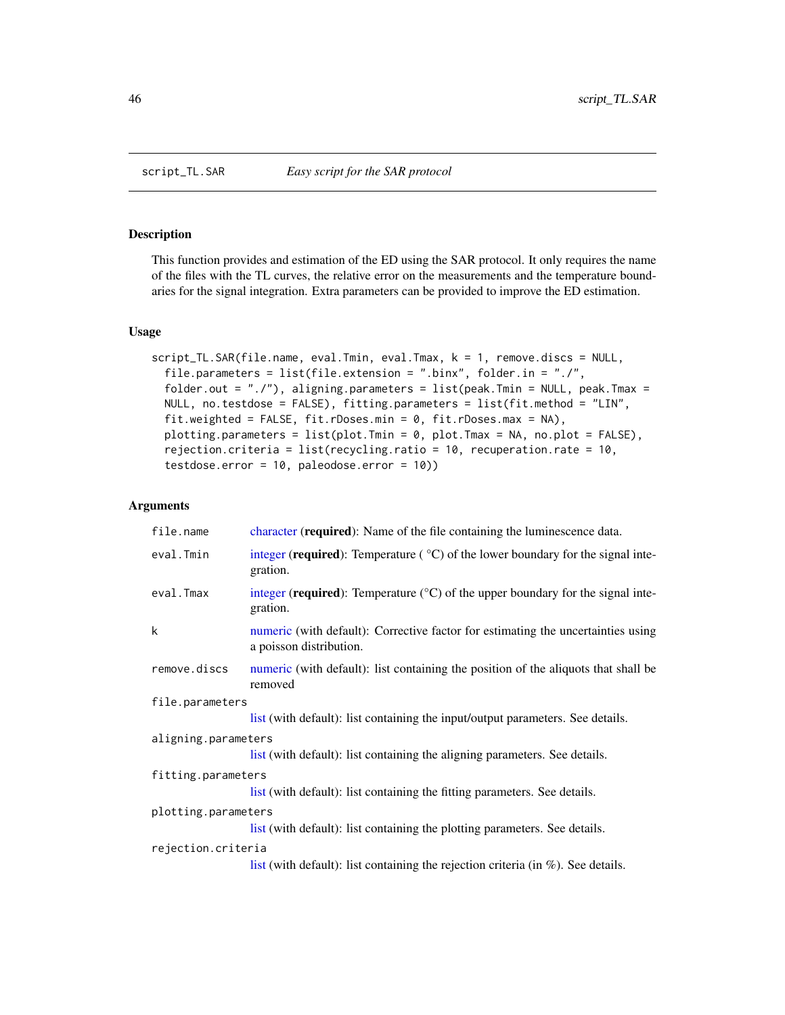<span id="page-45-0"></span>

### Description

This function provides and estimation of the ED using the SAR protocol. It only requires the name of the files with the TL curves, the relative error on the measurements and the temperature boundaries for the signal integration. Extra parameters can be provided to improve the ED estimation.

#### Usage

```
script_TL.SAR(file.name, eval.Tmin, eval.Tmax, k = 1, remove.discs = NULL,
 file.parameters = list(file.extension = ".binx", folder.in = "./",
 folder.out = "./"), aligning.parameters = list(peak.Tmin = NULL, peak.Tmax =
 NULL, no.testdose = FALSE), fitting.parameters = list(fit.method = "LIN",
 fit.weighted = FALSE, fit.rDoses.min = 0, fit.rDoses.max = NA),
 plotting.parameters = list(plot.Tmin = 0, plot.Tmax = NA, no.plot = FALSE),
 rejection.criteria = list(recycling.ratio = 10, recuperation.rate = 10,
 testdose.error = 10, paleodose.error = 10))
```
#### Arguments

| file.name           | character (required): Name of the file containing the luminescence data.                                    |  |
|---------------------|-------------------------------------------------------------------------------------------------------------|--|
| eval.Tmin           | integer (required): Temperature $(°C)$ of the lower boundary for the signal inte-<br>gration.               |  |
| eval.Tmax           | integer (required): Temperature $({}^{\circ}C)$ of the upper boundary for the signal inte-<br>gration.      |  |
| k                   | numeric (with default): Corrective factor for estimating the uncertainties using<br>a poisson distribution. |  |
| remove.discs        | numeric (with default): list containing the position of the aliquots that shall be<br>removed               |  |
| file.parameters     |                                                                                                             |  |
|                     | list (with default): list containing the input/output parameters. See details.                              |  |
| aligning.parameters |                                                                                                             |  |
|                     | list (with default): list containing the aligning parameters. See details.                                  |  |
| fitting.parameters  |                                                                                                             |  |
|                     | list (with default): list containing the fitting parameters. See details.                                   |  |
| plotting.parameters |                                                                                                             |  |
|                     | list (with default): list containing the plotting parameters. See details.                                  |  |
| rejection.criteria  |                                                                                                             |  |
|                     | list (with default): list containing the rejection criteria (in $\%$ ). See details.                        |  |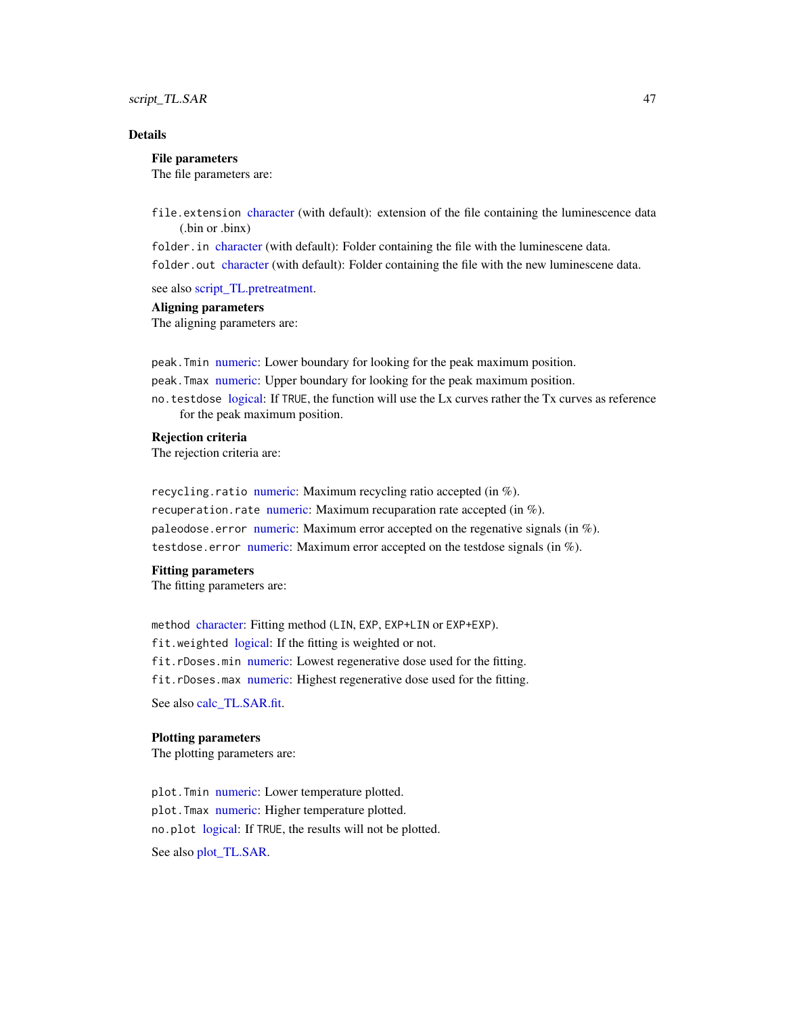### <span id="page-46-0"></span>script\_TL.SAR 47

### Details

#### File parameters

The file parameters are:

file.extension [character](#page-0-0) (with default): extension of the file containing the luminescence data (.bin or .binx)

folder.in [character](#page-0-0) (with default): Folder containing the file with the luminescene data. folder.out [character](#page-0-0) (with default): Folder containing the file with the new luminescene data.

see also [script\\_TL.pretreatment.](#page-43-1)

#### Aligning parameters

The aligning parameters are:

peak.Tmin [numeric:](#page-0-0) Lower boundary for looking for the peak maximum position. peak.Tmax [numeric:](#page-0-0) Upper boundary for looking for the peak maximum position. no.testdose [logical:](#page-0-0) If TRUE, the function will use the Lx curves rather the Tx curves as reference for the peak maximum position.

### Rejection criteria

The rejection criteria are:

recycling.ratio [numeric:](#page-0-0) Maximum recycling ratio accepted (in  $\%$ ). recuperation.rate [numeric:](#page-0-0) Maximum recuparation rate accepted (in  $\%$ ). paleodose.error [numeric:](#page-0-0) Maximum error accepted on the regenative signals (in %). testdose.error [numeric:](#page-0-0) Maximum error accepted on the testdose signals (in %).

#### Fitting parameters

The fitting parameters are:

method [character:](#page-0-0) Fitting method (LIN, EXP, EXP+LIN or EXP+EXP). fit.weighted [logical:](#page-0-0) If the fitting is weighted or not. fit.rDoses.min [numeric:](#page-0-0) Lowest regenerative dose used for the fitting. fit.rDoses.max [numeric:](#page-0-0) Highest regenerative dose used for the fitting. See also [calc\\_TL.SAR.fit.](#page-16-1)

#### Plotting parameters

The plotting parameters are:

plot. Tmin [numeric:](#page-0-0) Lower temperature plotted. plot. Tmax [numeric:](#page-0-0) Higher temperature plotted. no.plot [logical:](#page-0-0) If TRUE, the results will not be plotted. See also [plot\\_TL.SAR.](#page-33-1)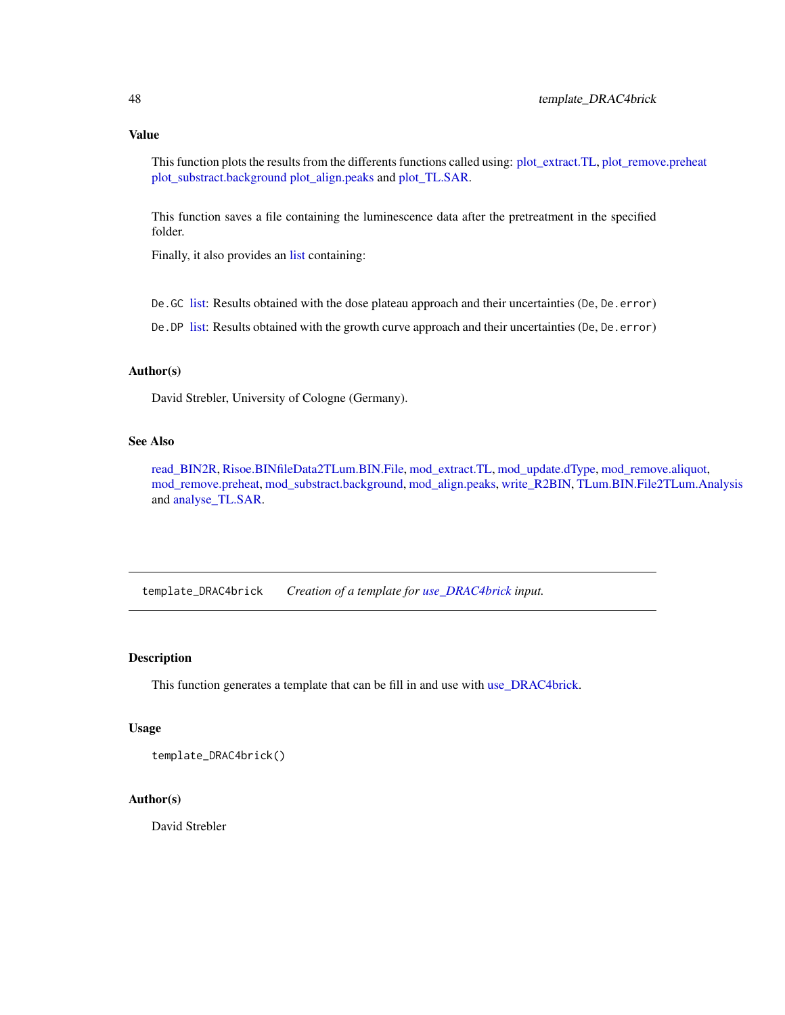<span id="page-47-0"></span>This function plots the results from the differents functions called using: [plot\\_extract.TL,](#page-27-2) [plot\\_remove.preheat](#page-27-1) [plot\\_substract.background](#page-28-1) [plot\\_align.peaks](#page-26-1) and [plot\\_TL.SAR.](#page-33-1)

This function saves a file containing the luminescence data after the pretreatment in the specified folder.

Finally, it also provides an [list](#page-0-0) containing:

De.GC [list:](#page-0-0) Results obtained with the dose plateau approach and their uncertainties (De, De.error)

De. DP [list:](#page-0-0) Results obtained with the growth curve approach and their uncertainties (De, De. error)

### Author(s)

David Strebler, University of Cologne (Germany).

### See Also

[read\\_BIN2R,](#page-0-0) [Risoe.BINfileData2TLum.BIN.File,](#page-35-1) [mod\\_extract.TL,](#page-21-1) [mod\\_update.dType,](#page-24-1) [mod\\_remove.aliquot,](#page-22-2) [mod\\_remove.preheat,](#page-22-1) [mod\\_substract.background,](#page-23-1) [mod\\_align.peaks,](#page-18-1) [write\\_R2BIN,](#page-0-0) [TLum.BIN.File2TLum.Analysis](#page-53-2) and [analyse\\_TL.SAR.](#page-7-1)

<span id="page-47-1"></span>template\_DRAC4brick *Creation of a template for [use\\_DRAC4brick](#page-58-1) input.*

### Description

This function generates a template that can be fill in and use with [use\\_DRAC4brick.](#page-58-1)

#### Usage

template\_DRAC4brick()

### Author(s)

David Strebler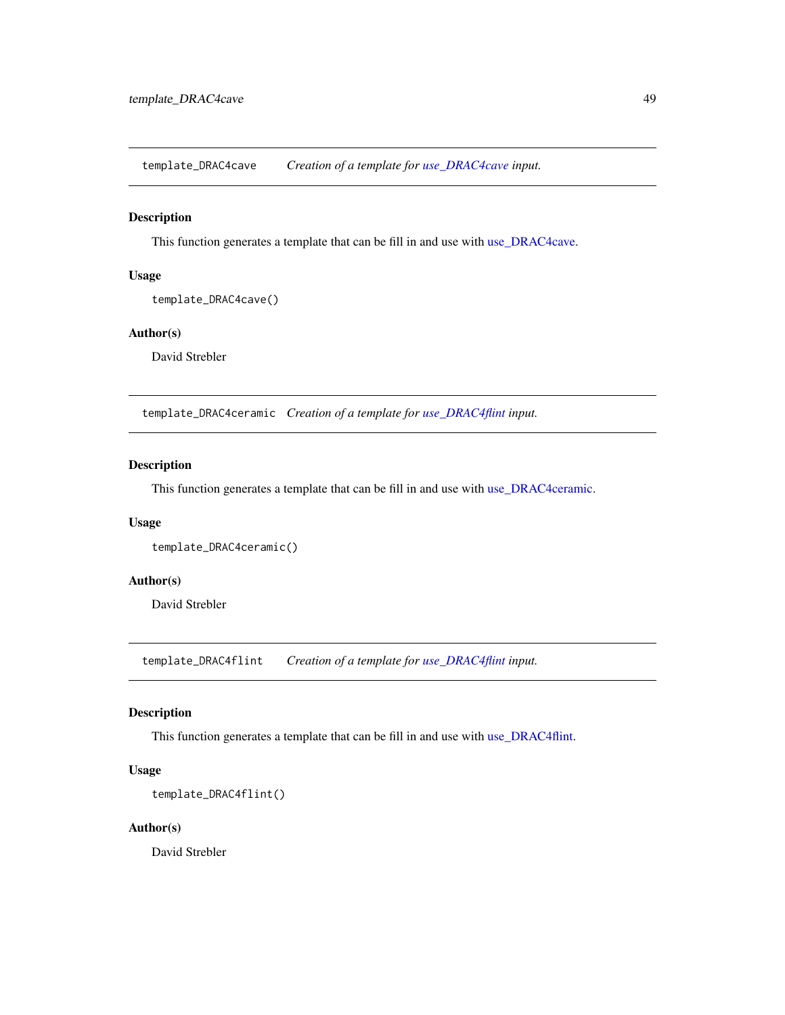<span id="page-48-1"></span><span id="page-48-0"></span>template\_DRAC4cave *Creation of a template for [use\\_DRAC4cave](#page-58-2) input.*

### Description

This function generates a template that can be fill in and use with [use\\_DRAC4cave.](#page-58-2)

### Usage

template\_DRAC4cave()

### Author(s)

David Strebler

template\_DRAC4ceramic *Creation of a template for [use\\_DRAC4flint](#page-60-1) input.*

### Description

This function generates a template that can be fill in and use with [use\\_DRAC4ceramic.](#page-59-1)

### Usage

```
template_DRAC4ceramic()
```
### Author(s)

David Strebler

<span id="page-48-2"></span>template\_DRAC4flint *Creation of a template for [use\\_DRAC4flint](#page-60-1) input.*

### Description

This function generates a template that can be fill in and use with [use\\_DRAC4flint.](#page-60-1)

### Usage

```
template_DRAC4flint()
```
#### Author(s)

David Strebler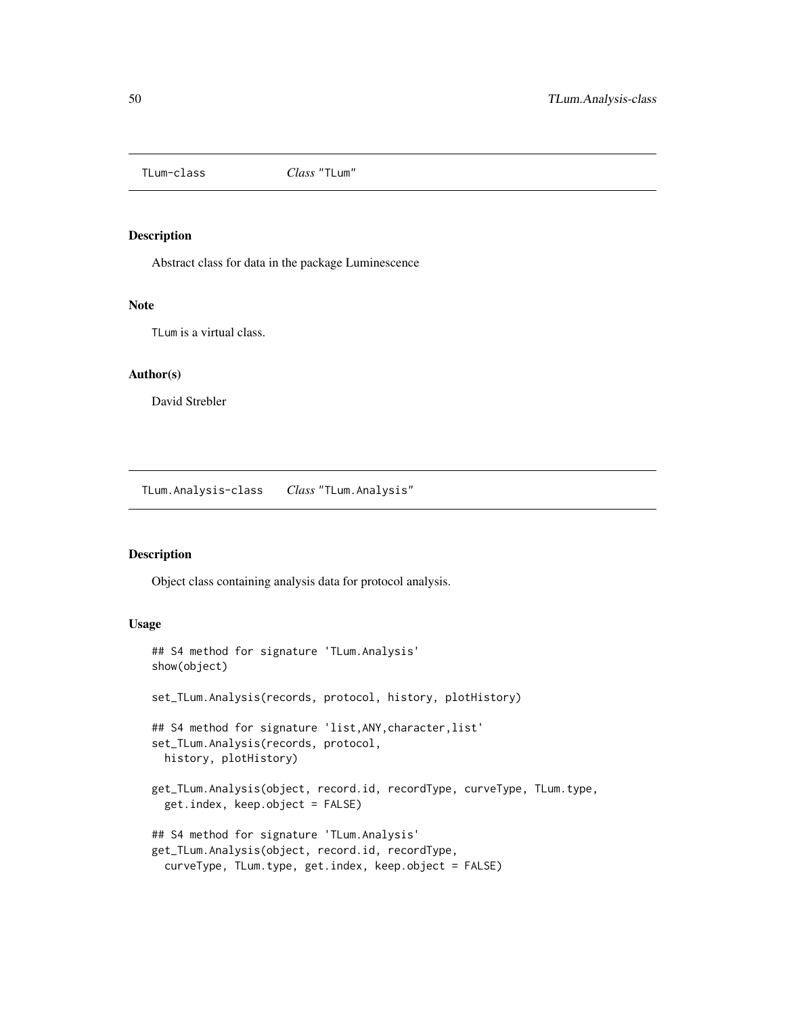<span id="page-49-0"></span>

#### Description

Abstract class for data in the package Luminescence

#### Note

TLum is a virtual class.

### Author(s)

David Strebler

<span id="page-49-1"></span>TLum.Analysis-class *Class* "TLum.Analysis"

#### Description

Object class containing analysis data for protocol analysis.

#### Usage

```
## S4 method for signature 'TLum.Analysis'
show(object)
set_TLum.Analysis(records, protocol, history, plotHistory)
## S4 method for signature 'list, ANY, character, list'
set_TLum.Analysis(records, protocol,
 history, plotHistory)
get_TLum.Analysis(object, record.id, recordType, curveType, TLum.type,
  get.index, keep.object = FALSE)
## S4 method for signature 'TLum.Analysis'
get_TLum.Analysis(object, record.id, recordType,
  curveType, TLum.type, get.index, keep.object = FALSE)
```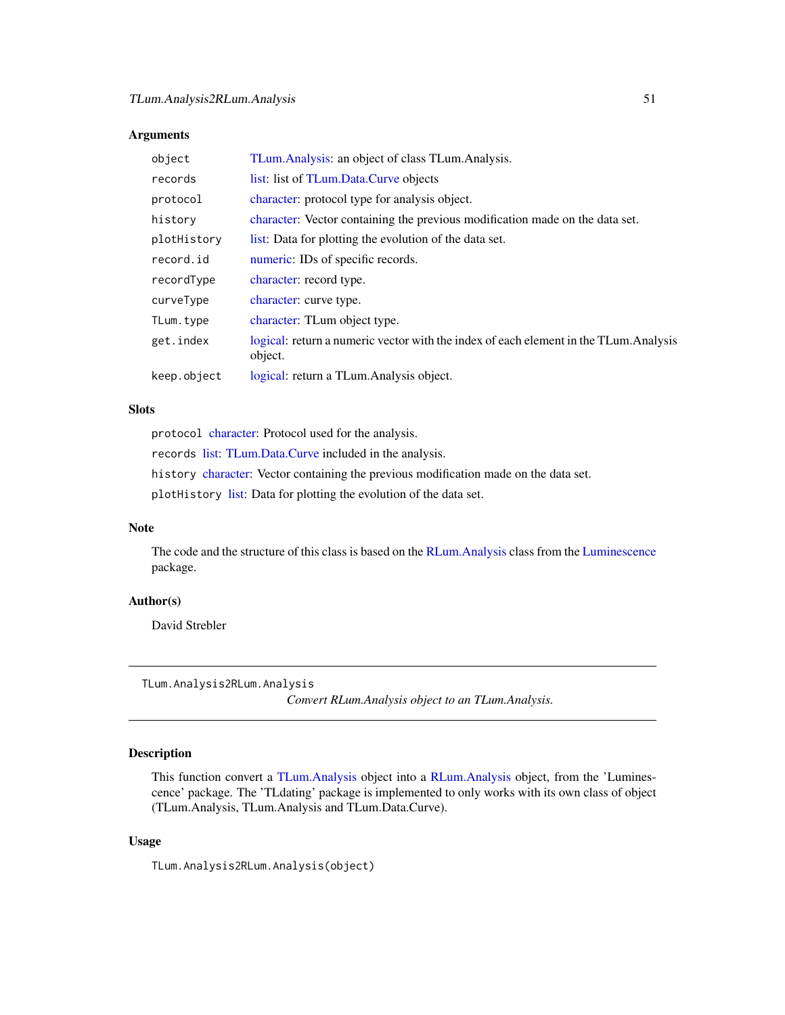### <span id="page-50-0"></span>Arguments

| object      | TLum. Analysis: an object of class TLum. Analysis.                                               |
|-------------|--------------------------------------------------------------------------------------------------|
| records     | list: list of TLum.Data.Curve objects                                                            |
| protocol    | character: protocol type for analysis object.                                                    |
| history     | character: Vector containing the previous modification made on the data set.                     |
| plotHistory | list: Data for plotting the evolution of the data set.                                           |
| record.id   | numeric: IDs of specific records.                                                                |
| recordType  | character: record type.                                                                          |
| curveType   | character: curve type.                                                                           |
| TLum.type   | character: TLum object type.                                                                     |
| get.index   | logical: return a numeric vector with the index of each element in the TLum. Analysis<br>object. |
| keep.object | logical: return a TLum. Analysis object.                                                         |

### Slots

protocol [character:](#page-0-0) Protocol used for the analysis. records [list:](#page-0-0) [TLum.Data.Curve](#page-55-1) included in the analysis. history [character:](#page-0-0) Vector containing the previous modification made on the data set. plotHistory [list:](#page-0-0) Data for plotting the evolution of the data set.

### Note

The code and the structure of this class is based on the [RLum.Analysis](#page-0-0) class from the [Luminescence](#page-0-0) package.

#### Author(s)

David Strebler

```
TLum.Analysis2RLum.Analysis
```
*Convert RLum.Analysis object to an TLum.Analysis.*

### Description

This function convert a [TLum.Analysis](#page-49-1) object into a [RLum.Analysis](#page-0-0) object, from the 'Luminescence' package. The 'TLdating' package is implemented to only works with its own class of object (TLum.Analysis, TLum.Analysis and TLum.Data.Curve).

#### Usage

TLum.Analysis2RLum.Analysis(object)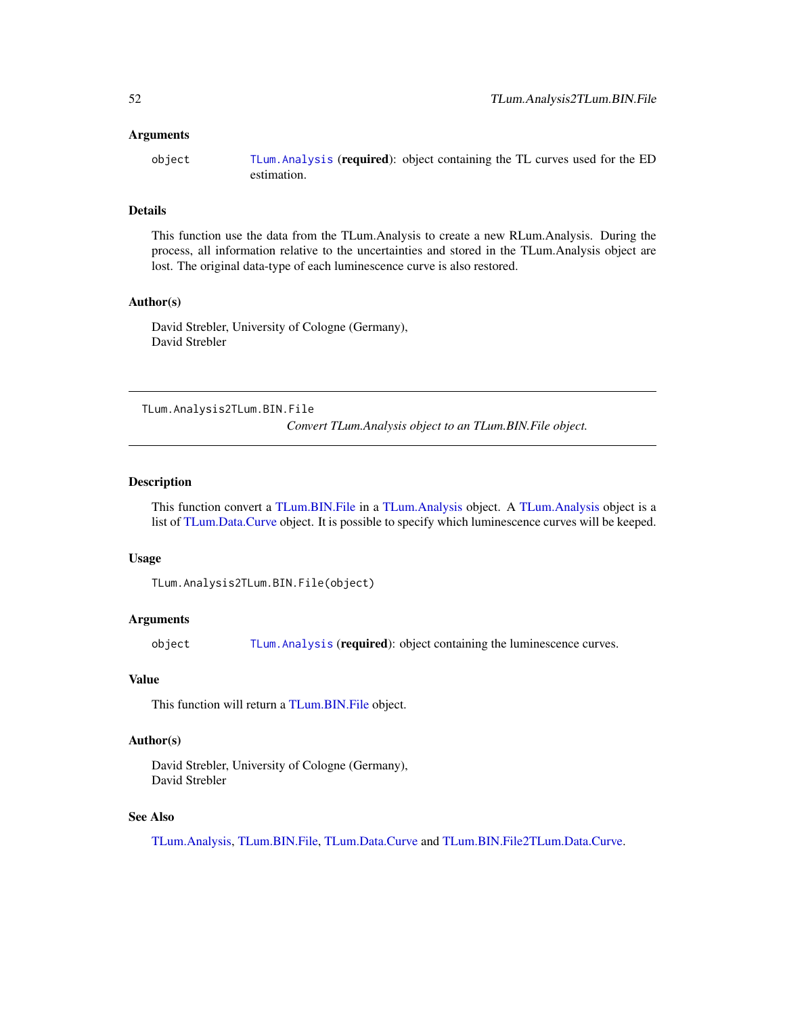#### <span id="page-51-0"></span>Arguments

object [TLum.Analysis](#page-49-1) (required): object containing the TL curves used for the ED estimation.

### Details

This function use the data from the TLum.Analysis to create a new RLum.Analysis. During the process, all information relative to the uncertainties and stored in the TLum.Analysis object are lost. The original data-type of each luminescence curve is also restored.

### Author(s)

David Strebler, University of Cologne (Germany), David Strebler

<span id="page-51-1"></span>TLum.Analysis2TLum.BIN.File

*Convert TLum.Analysis object to an TLum.BIN.File object.*

#### Description

This function convert a [TLum.BIN.File](#page-52-1) in a [TLum.Analysis](#page-49-1) object. A [TLum.Analysis](#page-49-1) object is a list of [TLum.Data.Curve](#page-55-1) object. It is possible to specify which luminescence curves will be keeped.

#### Usage

```
TLum.Analysis2TLum.BIN.File(object)
```
### Arguments

object [TLum.Analysis](#page-49-1) (required): object containing the luminescence curves.

#### Value

This function will return a [TLum.BIN.File](#page-52-1) object.

### Author(s)

David Strebler, University of Cologne (Germany), David Strebler

### See Also

[TLum.Analysis,](#page-49-1) [TLum.BIN.File,](#page-52-1) [TLum.Data.Curve](#page-55-1) and [TLum.BIN.File2TLum.Data.Curve.](#page-54-1)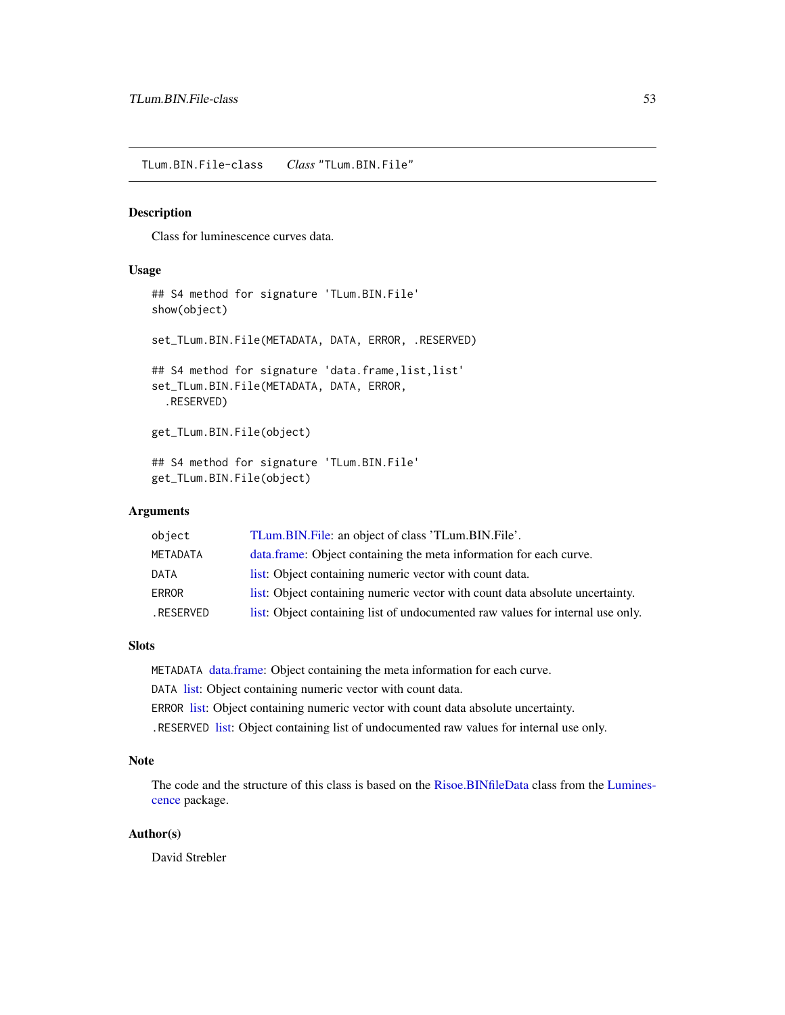<span id="page-52-1"></span><span id="page-52-0"></span>TLum.BIN.File-class *Class* "TLum.BIN.File"

#### Description

Class for luminescence curves data.

#### Usage

```
## S4 method for signature 'TLum.BIN.File'
show(object)
set_TLum.BIN.File(METADATA, DATA, ERROR, .RESERVED)
## S4 method for signature 'data.frame, list, list'
set_TLum.BIN.File(METADATA, DATA, ERROR,
  .RESERVED)
get_TLum.BIN.File(object)
## S4 method for signature 'TLum.BIN.File'
get_TLum.BIN.File(object)
```
### **Arguments**

| object          | TLum.BIN.File: an object of class 'TLum.BIN.File'.                             |
|-----------------|--------------------------------------------------------------------------------|
| <b>METADATA</b> | data.frame: Object containing the meta information for each curve.             |
| DATA            | list: Object containing numeric vector with count data.                        |
| <b>ERROR</b>    | list: Object containing numeric vector with count data absolute uncertainty.   |
| RESERVED.       | list: Object containing list of undocumented raw values for internal use only. |

#### Slots

METADATA [data.frame:](#page-0-0) Object containing the meta information for each curve.

DATA [list:](#page-0-0) Object containing numeric vector with count data.

ERROR [list:](#page-0-0) Object containing numeric vector with count data absolute uncertainty.

.RESERVED [list:](#page-0-0) Object containing list of undocumented raw values for internal use only.

### Note

The code and the structure of this class is based on the [Risoe.BINfileData](#page-0-0) class from the [Lumines](#page-0-0)[cence](#page-0-0) package.

### Author(s)

David Strebler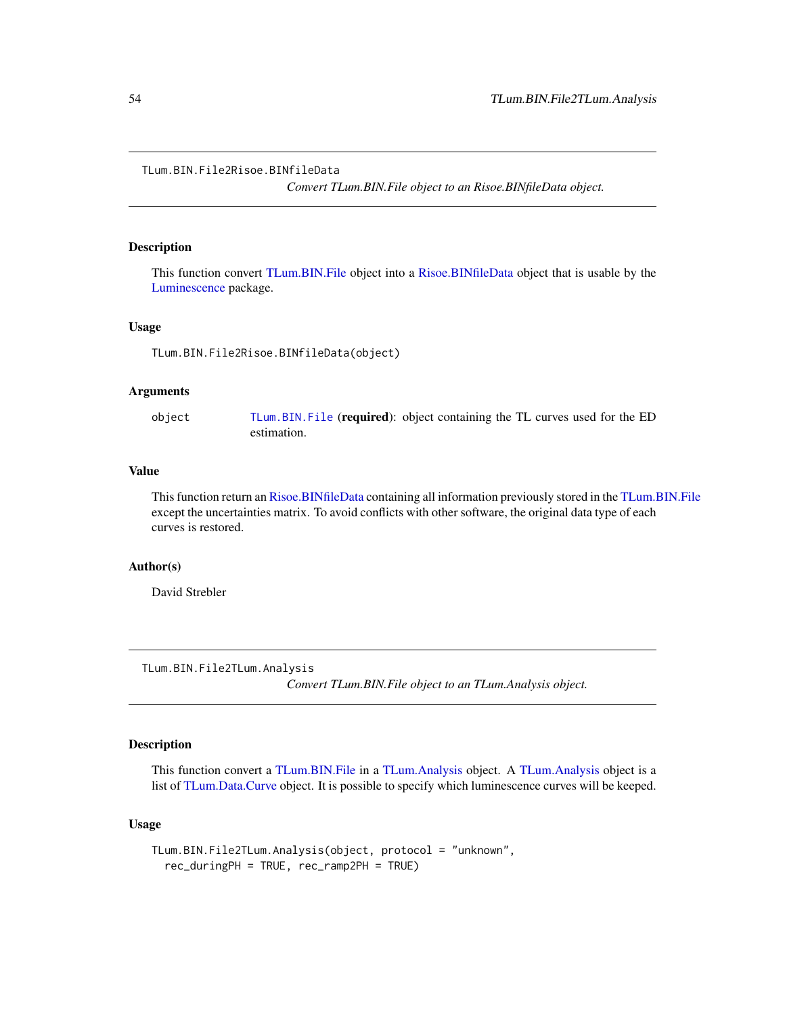<span id="page-53-1"></span><span id="page-53-0"></span>TLum.BIN.File2Risoe.BINfileData

*Convert TLum.BIN.File object to an Risoe.BINfileData object.*

### Description

This function convert [TLum.BIN.File](#page-52-1) object into a [Risoe.BINfileData](#page-0-0) object that is usable by the [Luminescence](#page-0-0) package.

#### Usage

TLum.BIN.File2Risoe.BINfileData(object)

### Arguments

object [TLum.BIN.File](#page-52-1) (required): object containing the TL curves used for the ED estimation.

### Value

This function return an [Risoe.BINfileData](#page-0-0) containing all information previously stored in the [TLum.BIN.File](#page-52-1) except the uncertainties matrix. To avoid conflicts with other software, the original data type of each curves is restored.

### Author(s)

David Strebler

<span id="page-53-2"></span>TLum.BIN.File2TLum.Analysis

*Convert TLum.BIN.File object to an TLum.Analysis object.*

### Description

This function convert a [TLum.BIN.File](#page-52-1) in a [TLum.Analysis](#page-49-1) object. A [TLum.Analysis](#page-49-1) object is a list of [TLum.Data.Curve](#page-55-1) object. It is possible to specify which luminescence curves will be keeped.

### Usage

```
TLum.BIN.File2TLum.Analysis(object, protocol = "unknown",
  rec_duringPH = TRUE, rec_ramp2PH = TRUE)
```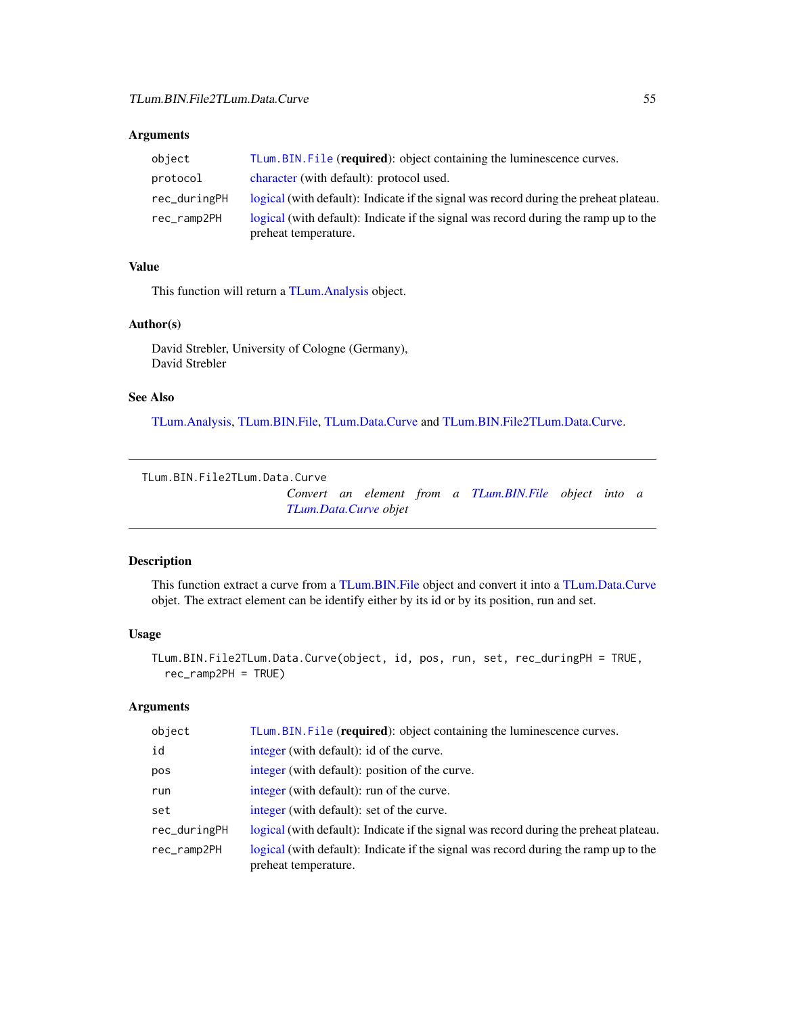### <span id="page-54-0"></span>Arguments

| object       | TLum.BIN.File (required): object containing the luminescence curves.                                        |
|--------------|-------------------------------------------------------------------------------------------------------------|
| protocol     | character (with default): protocol used.                                                                    |
| rec_duringPH | logical (with default): Indicate if the signal was record during the preheat plateau.                       |
| rec_ramp2PH  | logical (with default): Indicate if the signal was record during the ramp up to the<br>preheat temperature. |

### Value

This function will return a [TLum.Analysis](#page-49-1) object.

### Author(s)

David Strebler, University of Cologne (Germany), David Strebler

### See Also

[TLum.Analysis,](#page-49-1) [TLum.BIN.File,](#page-52-1) [TLum.Data.Curve](#page-55-1) and [TLum.BIN.File2TLum.Data.Curve.](#page-54-1)

```
TLum.BIN.File2TLum.Data.Curve
```
*Convert an element from a [TLum.BIN.File](#page-52-1) object into a [TLum.Data.Curve](#page-55-1) objet*

### Description

This function extract a curve from a [TLum.BIN.File](#page-52-1) object and convert it into a [TLum.Data.Curve](#page-55-1) objet. The extract element can be identify either by its id or by its position, run and set.

### Usage

```
TLum.BIN.File2TLum.Data.Curve(object, id, pos, run, set, rec_duringPH = TRUE,
  rec_ramp2PH = TRUE)
```
### Arguments

| object       | TLum.BIN.File (required): object containing the luminescence curves.                                        |
|--------------|-------------------------------------------------------------------------------------------------------------|
| id           | integer (with default): id of the curve.                                                                    |
| pos          | integer (with default): position of the curve.                                                              |
| run          | integer (with default): run of the curve.                                                                   |
| set          | integer (with default): set of the curve.                                                                   |
| rec_duringPH | logical (with default): Indicate if the signal was record during the preheat plateau.                       |
| rec_ramp2PH  | logical (with default): Indicate if the signal was record during the ramp up to the<br>preheat temperature. |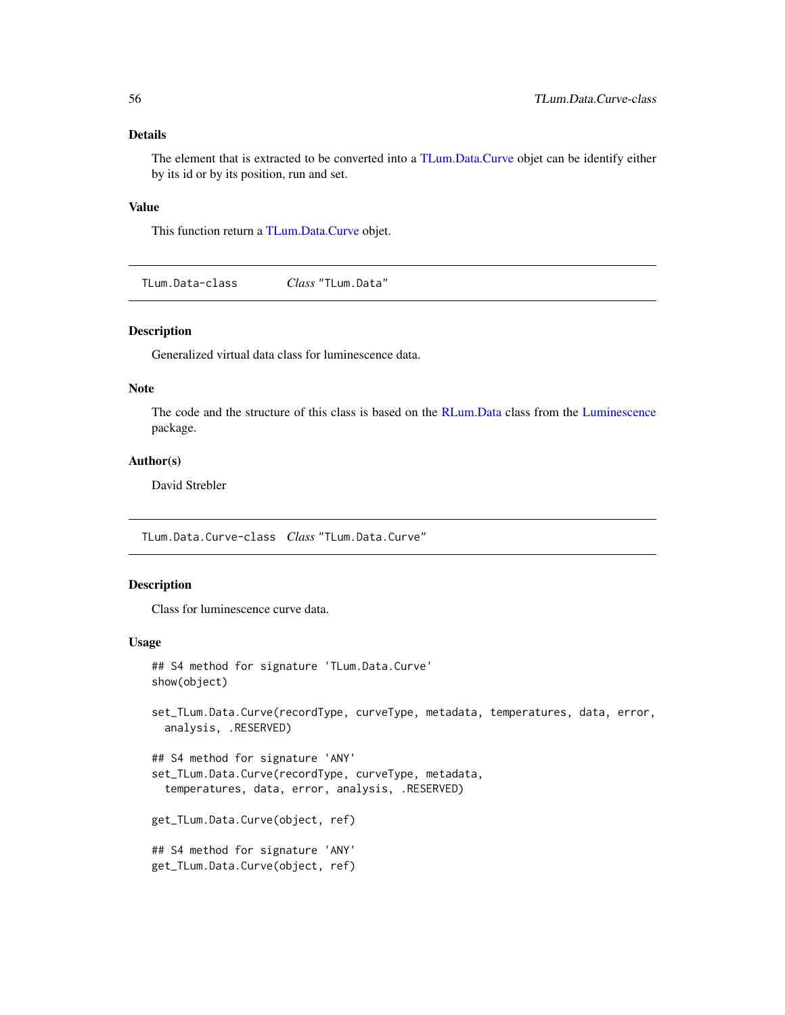### <span id="page-55-0"></span>Details

The element that is extracted to be converted into a [TLum.Data.Curve](#page-55-1) objet can be identify either by its id or by its position, run and set.

### Value

This function return a [TLum.Data.Curve](#page-55-1) objet.

TLum.Data-class *Class* "TLum.Data"

### Description

Generalized virtual data class for luminescence data.

### Note

The code and the structure of this class is based on the [RLum.Data](#page-0-0) class from the [Luminescence](#page-0-0) package.

### Author(s)

David Strebler

<span id="page-55-1"></span>TLum.Data.Curve-class *Class* "TLum.Data.Curve"

### Description

Class for luminescence curve data.

#### Usage

```
## S4 method for signature 'TLum.Data.Curve'
show(object)
set_TLum.Data.Curve(recordType, curveType, metadata, temperatures, data, error,
  analysis, .RESERVED)
## S4 method for signature 'ANY'
set_TLum.Data.Curve(recordType, curveType, metadata,
  temperatures, data, error, analysis, .RESERVED)
get_TLum.Data.Curve(object, ref)
## S4 method for signature 'ANY'
get_TLum.Data.Curve(object, ref)
```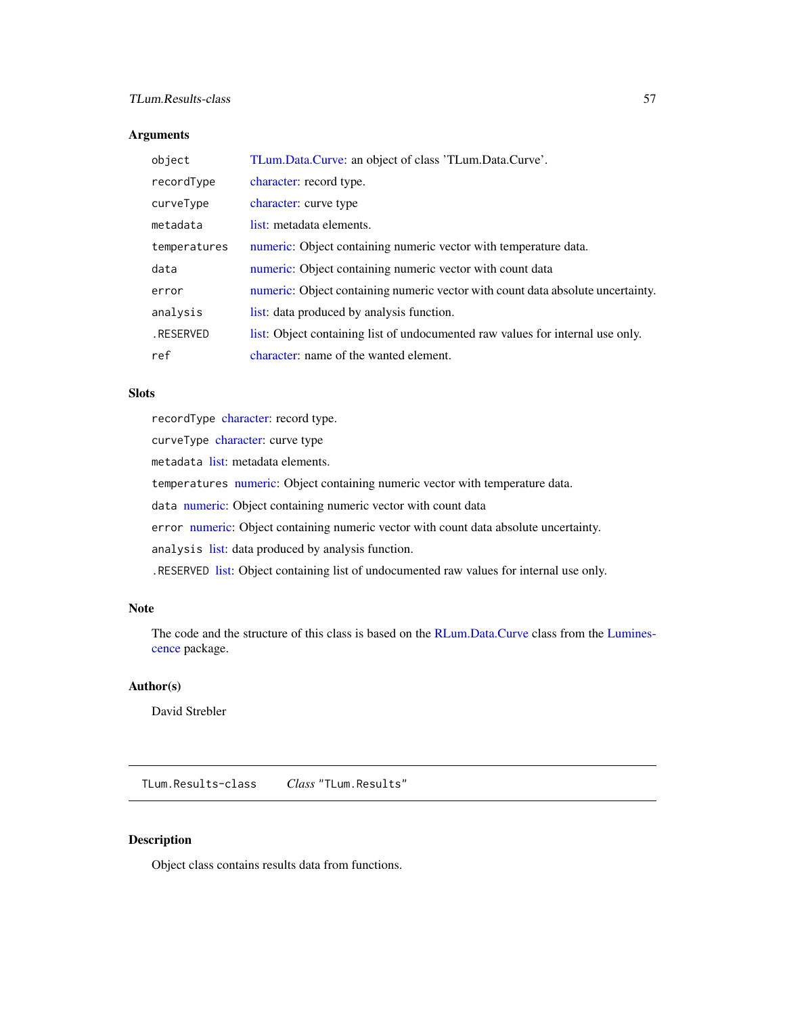### <span id="page-56-0"></span>TLum.Results-class 57

### Arguments

| object       | TLum.Data.Curve: an object of class 'TLum.Data.Curve'.                          |
|--------------|---------------------------------------------------------------------------------|
| recordType   | character: record type.                                                         |
| curveType    | character: curve type                                                           |
| metadata     | list: metadata elements.                                                        |
| temperatures | numeric: Object containing numeric vector with temperature data.                |
| data         | numeric: Object containing numeric vector with count data                       |
| error        | numeric: Object containing numeric vector with count data absolute uncertainty. |
| analysis     | list: data produced by analysis function.                                       |
| .RESERVED    | list: Object containing list of undocumented raw values for internal use only.  |
| ref          | character: name of the wanted element.                                          |

#### **Slots**

recordType [character:](#page-0-0) record type.

curveType [character:](#page-0-0) curve type

metadata [list:](#page-0-0) metadata elements.

temperatures [numeric:](#page-0-0) Object containing numeric vector with temperature data.

data [numeric:](#page-0-0) Object containing numeric vector with count data

error [numeric:](#page-0-0) Object containing numeric vector with count data absolute uncertainty.

analysis [list:](#page-0-0) data produced by analysis function.

.RESERVED [list:](#page-0-0) Object containing list of undocumented raw values for internal use only.

### Note

The code and the structure of this class is based on the [RLum.Data.Curve](#page-0-0) class from the [Lumines](#page-0-0)[cence](#page-0-0) package.

### Author(s)

David Strebler

<span id="page-56-1"></span>TLum.Results-class *Class* "TLum.Results"

### Description

Object class contains results data from functions.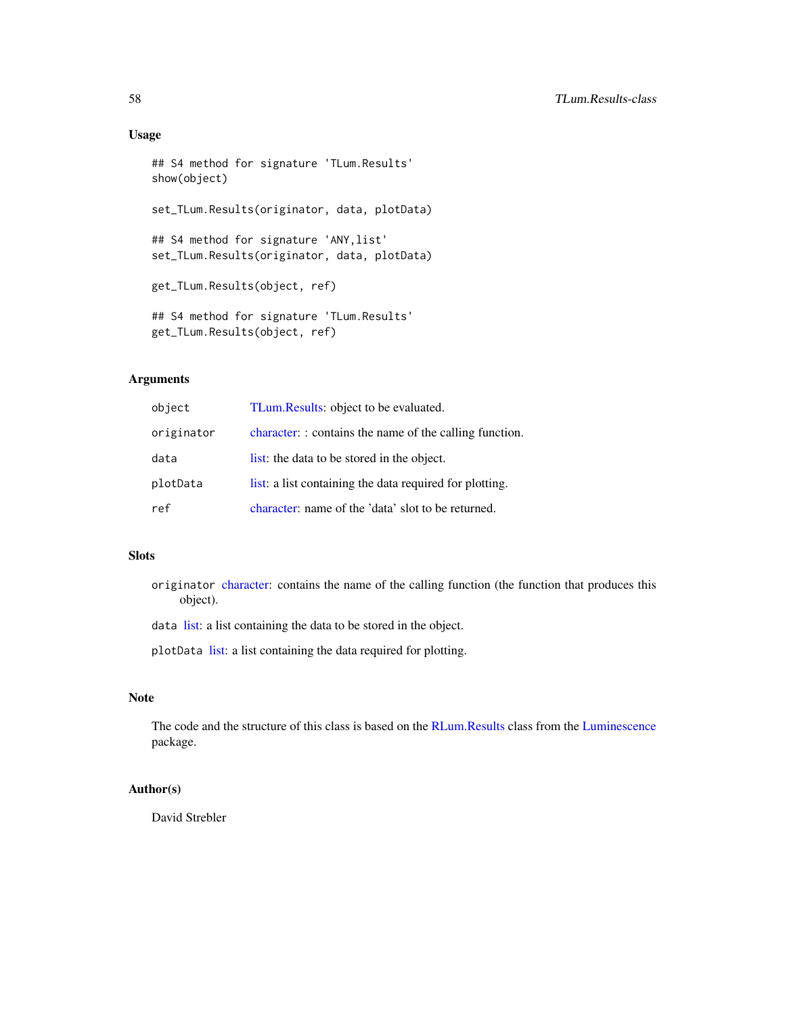### Usage

```
## S4 method for signature 'TLum.Results'
show(object)
set_TLum.Results(originator, data, plotData)
## S4 method for signature 'ANY,list'
set_TLum.Results(originator, data, plotData)
get_TLum.Results(object, ref)
## S4 method for signature 'TLum.Results'
get_TLum.Results(object, ref)
```
### Arguments

| object     | TLum. Results: object to be evaluated.                  |
|------------|---------------------------------------------------------|
| originator | character: : contains the name of the calling function. |
| data       | list: the data to be stored in the object.              |
| plotData   | list: a list containing the data required for plotting. |
| ref        | character: name of the 'data' slot to be returned.      |

### Slots

originator [character:](#page-0-0) contains the name of the calling function (the function that produces this object).

data [list:](#page-0-0) a list containing the data to be stored in the object.

plotData [list:](#page-0-0) a list containing the data required for plotting.

### Note

The code and the structure of this class is based on the [RLum.Results](#page-0-0) class from the [Luminescence](#page-0-0) package.

### Author(s)

David Strebler

<span id="page-57-0"></span>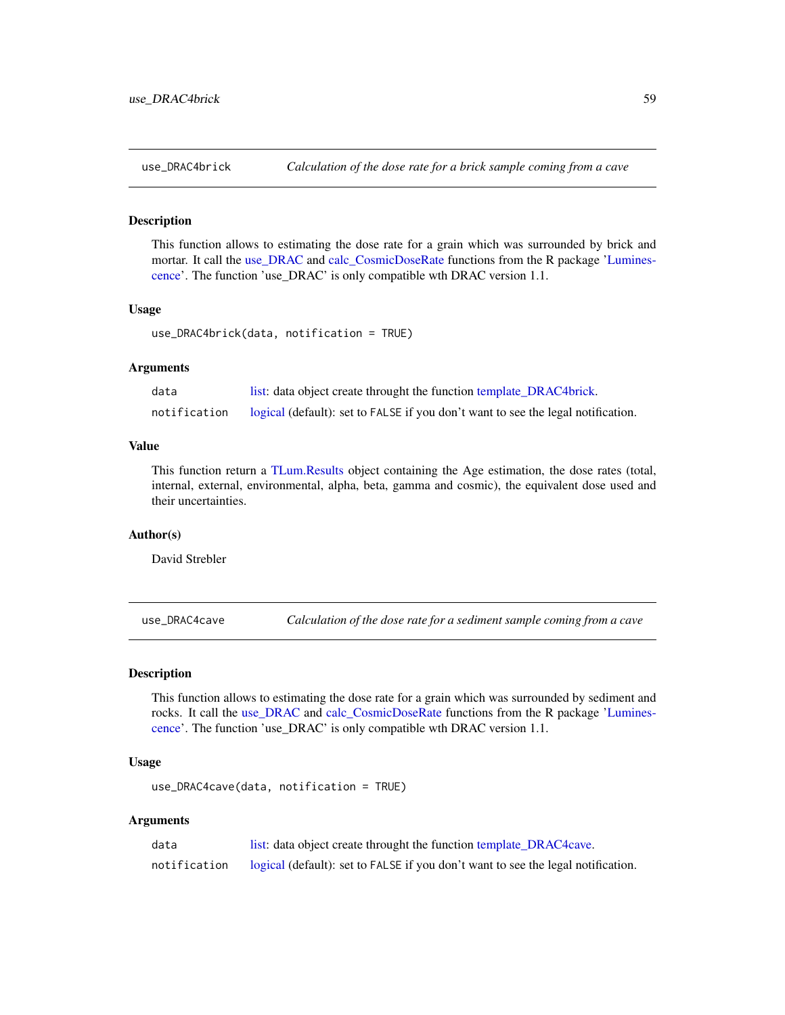<span id="page-58-1"></span><span id="page-58-0"></span>

#### Description

This function allows to estimating the dose rate for a grain which was surrounded by brick and mortar. It call the [use\\_DRAC](#page-0-0) and [calc\\_CosmicDoseRate](#page-0-0) functions from the R package ['Lumines](#page-0-0)[cence'](#page-0-0). The function 'use\_DRAC' is only compatible wth DRAC version 1.1.

### Usage

```
use_DRAC4brick(data, notification = TRUE)
```
#### Arguments

| data         | list: data object create throught the function template_DRAC4brick.              |
|--------------|----------------------------------------------------------------------------------|
| notification | logical (default): set to FALSE if you don't want to see the legal notification. |

#### Value

This function return a [TLum.Results](#page-56-1) object containing the Age estimation, the dose rates (total, internal, external, environmental, alpha, beta, gamma and cosmic), the equivalent dose used and their uncertainties.

### Author(s)

David Strebler

<span id="page-58-2"></span>use\_DRAC4cave *Calculation of the dose rate for a sediment sample coming from a cave*

#### Description

This function allows to estimating the dose rate for a grain which was surrounded by sediment and rocks. It call the [use\\_DRAC](#page-0-0) and [calc\\_CosmicDoseRate](#page-0-0) functions from the R package ['Lumines](#page-0-0)[cence'](#page-0-0). The function 'use\_DRAC' is only compatible wth DRAC version 1.1.

### Usage

use\_DRAC4cave(data, notification = TRUE)

#### Arguments

| data         | list: data object create throught the function template_DRAC4cave.               |
|--------------|----------------------------------------------------------------------------------|
| notification | logical (default): set to FALSE if you don't want to see the legal notification. |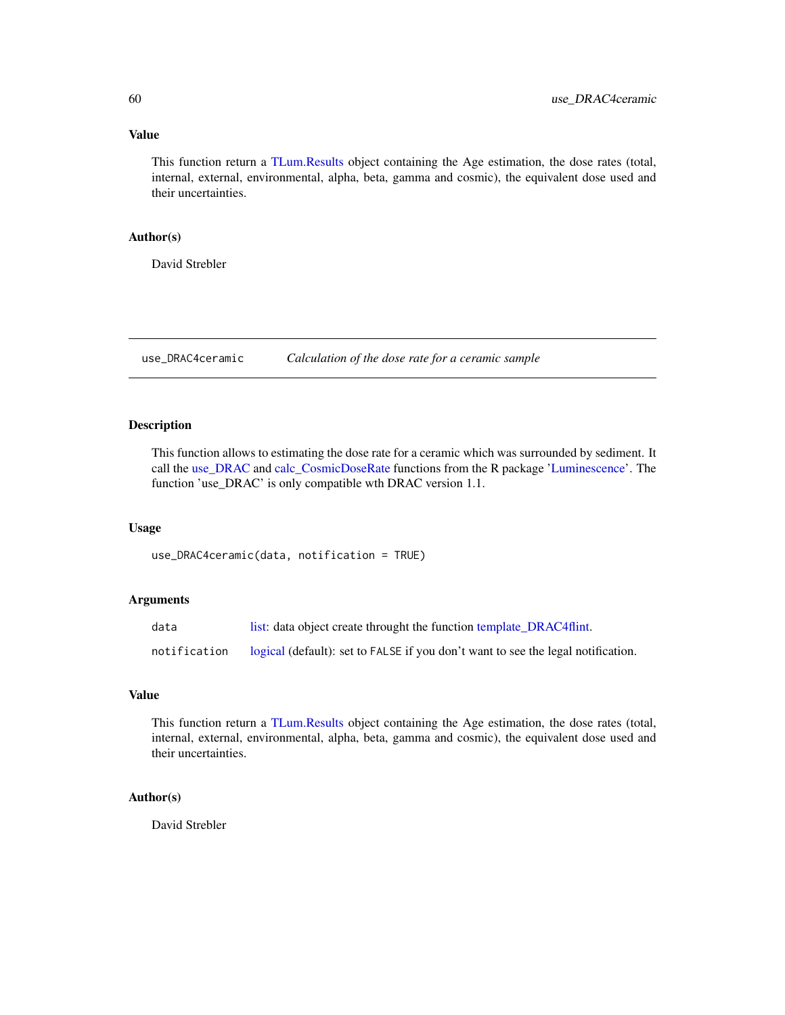### <span id="page-59-0"></span>Value

This function return a [TLum.Results](#page-56-1) object containing the Age estimation, the dose rates (total, internal, external, environmental, alpha, beta, gamma and cosmic), the equivalent dose used and their uncertainties.

#### Author(s)

David Strebler

<span id="page-59-1"></span>use\_DRAC4ceramic *Calculation of the dose rate for a ceramic sample*

#### Description

This function allows to estimating the dose rate for a ceramic which was surrounded by sediment. It call the [use\\_DRAC](#page-0-0) and [calc\\_CosmicDoseRate](#page-0-0) functions from the R package ['Luminescence'](#page-0-0). The function 'use\_DRAC' is only compatible wth DRAC version 1.1.

#### Usage

use\_DRAC4ceramic(data, notification = TRUE)

### Arguments

| data         | list: data object create throught the function template_DRAC4flint.              |
|--------------|----------------------------------------------------------------------------------|
| notification | logical (default): set to FALSE if you don't want to see the legal notification. |

#### Value

This function return a [TLum.Results](#page-56-1) object containing the Age estimation, the dose rates (total, internal, external, environmental, alpha, beta, gamma and cosmic), the equivalent dose used and their uncertainties.

### Author(s)

David Strebler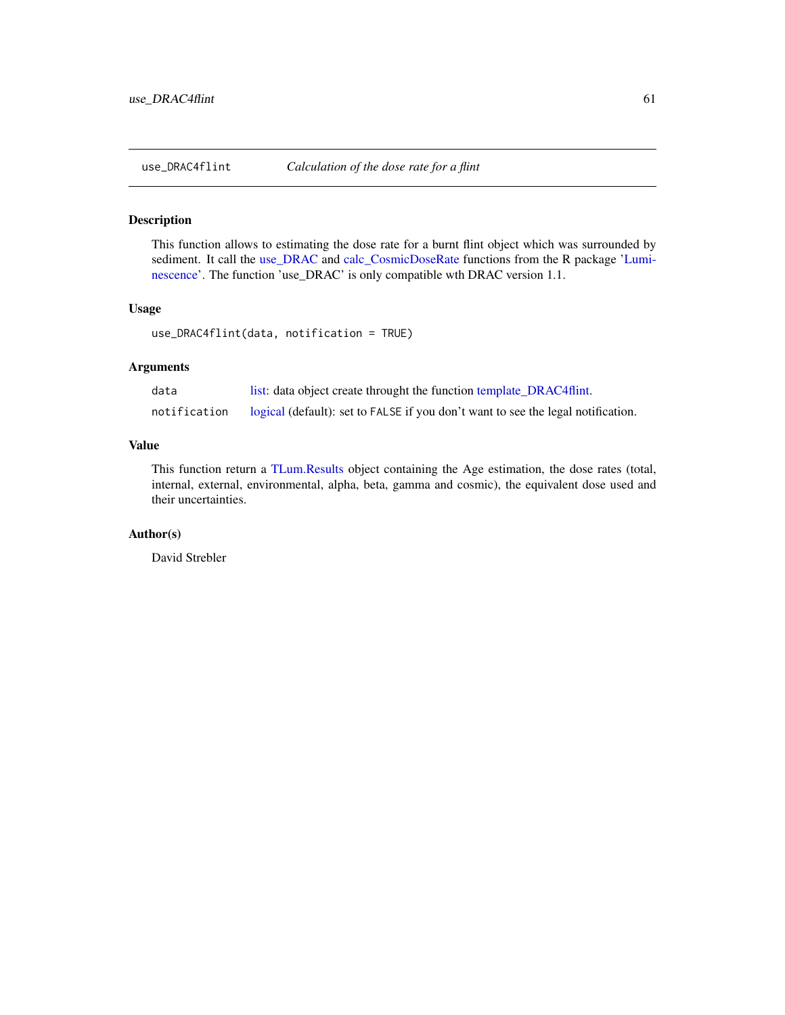### <span id="page-60-1"></span><span id="page-60-0"></span>Description

This function allows to estimating the dose rate for a burnt flint object which was surrounded by sediment. It call the [use\\_DRAC](#page-0-0) and [calc\\_CosmicDoseRate](#page-0-0) functions from the R package ['Lumi](#page-0-0)[nescence'](#page-0-0). The function 'use\_DRAC' is only compatible wth DRAC version 1.1.

### Usage

```
use_DRAC4flint(data, notification = TRUE)
```
### Arguments

| data         | list: data object create throught the function template_DRAC4flint.              |
|--------------|----------------------------------------------------------------------------------|
| notification | logical (default): set to FALSE if you don't want to see the legal notification. |

### Value

This function return a [TLum.Results](#page-56-1) object containing the Age estimation, the dose rates (total, internal, external, environmental, alpha, beta, gamma and cosmic), the equivalent dose used and their uncertainties.

#### Author(s)

David Strebler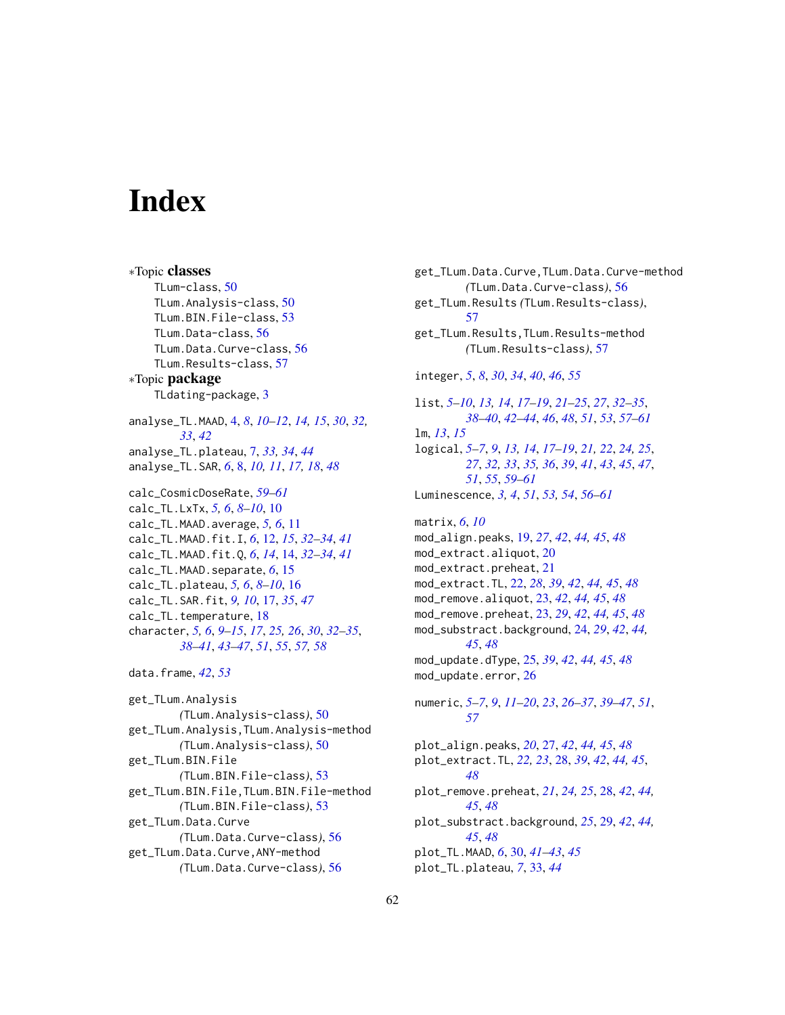# <span id="page-61-0"></span>**Index**

∗Topic classes TLum-class, [50](#page-49-0) TLum.Analysis-class, [50](#page-49-0) TLum.BIN.File-class, [53](#page-52-0) TLum.Data-class, [56](#page-55-0) TLum.Data.Curve-class, [56](#page-55-0) TLum.Results-class, [57](#page-56-0) ∗Topic package TLdating-package, [3](#page-2-0) analyse\_TL.MAAD, [4,](#page-3-0) *[8](#page-7-0)*, *[10–](#page-9-0)[12](#page-11-0)*, *[14,](#page-13-0) [15](#page-14-0)*, *[30](#page-29-0)*, *[32,](#page-31-0) [33](#page-32-0)*, *[42](#page-41-0)* analyse\_TL.plateau, [7,](#page-6-0) *[33,](#page-32-0) [34](#page-33-0)*, *[44](#page-43-0)* analyse\_TL.SAR, *[6](#page-5-0)*, [8,](#page-7-0) *[10,](#page-9-0) [11](#page-10-0)*, *[17,](#page-16-0) [18](#page-17-0)*, *[48](#page-47-0)* calc\_CosmicDoseRate, *[59–](#page-58-0)[61](#page-60-0)* calc\_TL.LxTx, *[5,](#page-4-0) [6](#page-5-0)*, *[8](#page-7-0)[–10](#page-9-0)*, [10](#page-9-0) calc\_TL.MAAD.average, *[5,](#page-4-0) [6](#page-5-0)*, [11](#page-10-0) calc\_TL.MAAD.fit.I, *[6](#page-5-0)*, [12,](#page-11-0) *[15](#page-14-0)*, *[32–](#page-31-0)[34](#page-33-0)*, *[41](#page-40-0)* calc\_TL.MAAD.fit.Q, *[6](#page-5-0)*, *[14](#page-13-0)*, [14,](#page-13-0) *[32–](#page-31-0)[34](#page-33-0)*, *[41](#page-40-0)* calc\_TL.MAAD.separate, *[6](#page-5-0)*, [15](#page-14-0) calc\_TL.plateau, *[5,](#page-4-0) [6](#page-5-0)*, *[8–](#page-7-0)[10](#page-9-0)*, [16](#page-15-0) calc\_TL.SAR.fit, *[9,](#page-8-0) [10](#page-9-0)*, [17,](#page-16-0) *[35](#page-34-0)*, *[47](#page-46-0)* calc\_TL.temperature, [18](#page-17-0) character, *[5,](#page-4-0) [6](#page-5-0)*, *[9](#page-8-0)[–15](#page-14-0)*, *[17](#page-16-0)*, *[25,](#page-24-0) [26](#page-25-0)*, *[30](#page-29-0)*, *[32–](#page-31-0)[35](#page-34-0)*, *[38](#page-37-0)[–41](#page-40-0)*, *[43](#page-42-0)[–47](#page-46-0)*, *[51](#page-50-0)*, *[55](#page-54-0)*, *[57,](#page-56-0) [58](#page-57-0)* data.frame, *[42](#page-41-0)*, *[53](#page-52-0)* get\_TLum.Analysis *(*TLum.Analysis-class*)*, [50](#page-49-0) get\_TLum.Analysis,TLum.Analysis-method *(*TLum.Analysis-class*)*, [50](#page-49-0) get\_TLum.BIN.File *(*TLum.BIN.File-class*)*, [53](#page-52-0) get\_TLum.BIN.File,TLum.BIN.File-method *(*TLum.BIN.File-class*)*, [53](#page-52-0) get\_TLum.Data.Curve *(*TLum.Data.Curve-class*)*, [56](#page-55-0)

get\_TLum.Data.Curve,ANY-method *(*TLum.Data.Curve-class*)*, [56](#page-55-0) get\_TLum.Data.Curve,TLum.Data.Curve-method *(*TLum.Data.Curve-class*)*, [56](#page-55-0) get\_TLum.Results *(*TLum.Results-class*)*, [57](#page-56-0) get\_TLum.Results,TLum.Results-method *(*TLum.Results-class*)*, [57](#page-56-0) integer, *[5](#page-4-0)*, *[8](#page-7-0)*, *[30](#page-29-0)*, *[34](#page-33-0)*, *[40](#page-39-0)*, *[46](#page-45-0)*, *[55](#page-54-0)* list, *[5–](#page-4-0)[10](#page-9-0)*, *[13,](#page-12-0) [14](#page-13-0)*, *[17](#page-16-0)[–19](#page-18-0)*, *[21](#page-20-0)[–25](#page-24-0)*, *[27](#page-26-0)*, *[32](#page-31-0)[–35](#page-34-0)*, *[38](#page-37-0)[–40](#page-39-0)*, *[42](#page-41-0)[–44](#page-43-0)*, *[46](#page-45-0)*, *[48](#page-47-0)*, *[51](#page-50-0)*, *[53](#page-52-0)*, *[57](#page-56-0)[–61](#page-60-0)* lm, *[13](#page-12-0)*, *[15](#page-14-0)* logical, *[5](#page-4-0)[–7](#page-6-0)*, *[9](#page-8-0)*, *[13,](#page-12-0) [14](#page-13-0)*, *[17](#page-16-0)[–19](#page-18-0)*, *[21,](#page-20-0) [22](#page-21-0)*, *[24,](#page-23-0) [25](#page-24-0)*, *[27](#page-26-0)*, *[32,](#page-31-0) [33](#page-32-0)*, *[35,](#page-34-0) [36](#page-35-0)*, *[39](#page-38-0)*, *[41](#page-40-0)*, *[43](#page-42-0)*, *[45](#page-44-0)*, *[47](#page-46-0)*, *[51](#page-50-0)*, *[55](#page-54-0)*, *[59](#page-58-0)[–61](#page-60-0)* Luminescence, *[3,](#page-2-0) [4](#page-3-0)*, *[51](#page-50-0)*, *[53,](#page-52-0) [54](#page-53-0)*, *[56](#page-55-0)[–61](#page-60-0)* matrix, *[6](#page-5-0)*, *[10](#page-9-0)* mod\_align.peaks, [19,](#page-18-0) *[27](#page-26-0)*, *[42](#page-41-0)*, *[44,](#page-43-0) [45](#page-44-0)*, *[48](#page-47-0)* mod\_extract.aliquot, [20](#page-19-0) mod\_extract.preheat, [21](#page-20-0) mod\_extract.TL, [22,](#page-21-0) *[28](#page-27-0)*, *[39](#page-38-0)*, *[42](#page-41-0)*, *[44,](#page-43-0) [45](#page-44-0)*, *[48](#page-47-0)* mod\_remove.aliquot, [23,](#page-22-0) *[42](#page-41-0)*, *[44,](#page-43-0) [45](#page-44-0)*, *[48](#page-47-0)* mod\_remove.preheat, [23,](#page-22-0) *[29](#page-28-0)*, *[42](#page-41-0)*, *[44,](#page-43-0) [45](#page-44-0)*, *[48](#page-47-0)* mod\_substract.background, [24,](#page-23-0) *[29](#page-28-0)*, *[42](#page-41-0)*, *[44,](#page-43-0) [45](#page-44-0)*, *[48](#page-47-0)* mod\_update.dType, [25,](#page-24-0) *[39](#page-38-0)*, *[42](#page-41-0)*, *[44,](#page-43-0) [45](#page-44-0)*, *[48](#page-47-0)* mod\_update.error, [26](#page-25-0)

numeric, *[5](#page-4-0)[–7](#page-6-0)*, *[9](#page-8-0)*, *[11](#page-10-0)[–20](#page-19-0)*, *[23](#page-22-0)*, *[26](#page-25-0)[–37](#page-36-0)*, *[39](#page-38-0)[–47](#page-46-0)*, *[51](#page-50-0)*, *[57](#page-56-0)*

plot\_align.peaks, *[20](#page-19-0)*, [27,](#page-26-0) *[42](#page-41-0)*, *[44,](#page-43-0) [45](#page-44-0)*, *[48](#page-47-0)* plot\_extract.TL, *[22,](#page-21-0) [23](#page-22-0)*, [28,](#page-27-0) *[39](#page-38-0)*, *[42](#page-41-0)*, *[44,](#page-43-0) [45](#page-44-0)*, *[48](#page-47-0)* plot\_remove.preheat, *[21](#page-20-0)*, *[24,](#page-23-0) [25](#page-24-0)*, [28,](#page-27-0) *[42](#page-41-0)*, *[44,](#page-43-0) [45](#page-44-0)*, *[48](#page-47-0)* plot\_substract.background, *[25](#page-24-0)*, [29,](#page-28-0) *[42](#page-41-0)*, *[44,](#page-43-0) [45](#page-44-0)*, *[48](#page-47-0)* plot\_TL.MAAD, *[6](#page-5-0)*, [30,](#page-29-0) *[41](#page-40-0)[–43](#page-42-0)*, *[45](#page-44-0)* plot\_TL.plateau, *[7](#page-6-0)*, [33,](#page-32-0) *[44](#page-43-0)*